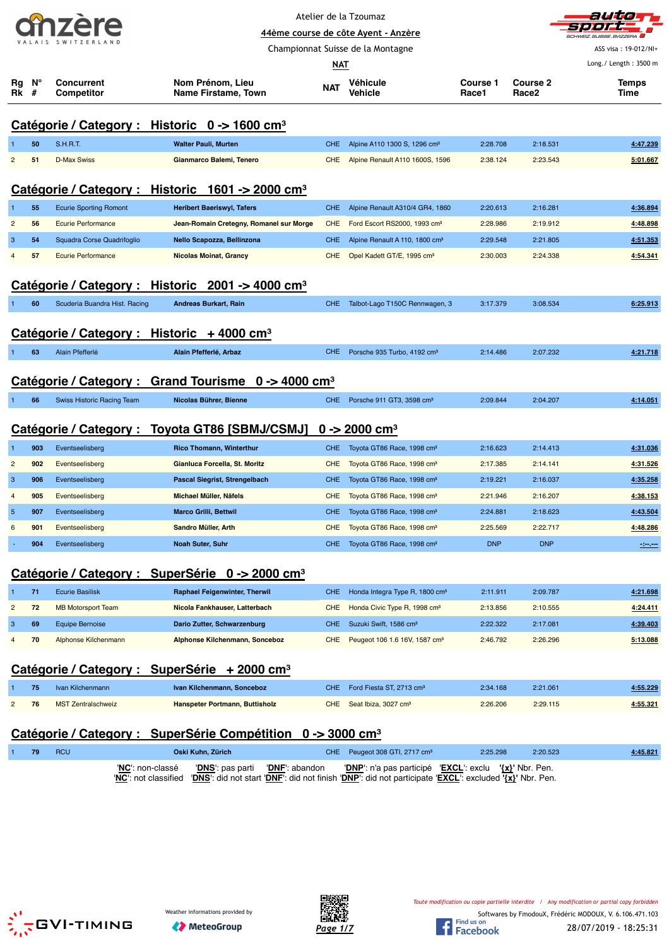|  | ÆTZ |  |  |                    |  |  |  |  |  |
|--|-----|--|--|--------------------|--|--|--|--|--|
|  |     |  |  | VALAIS SWITZERLAND |  |  |  |  |  |

Atelier de la Tzoumaz



|                |     | SWITZERLAND                     | 44ème course de côte Ayent - Anzère                                     |            | SCHWEIZ.SUISSE.SVIZZERA                    |                          |                                      |                       |
|----------------|-----|---------------------------------|-------------------------------------------------------------------------|------------|--------------------------------------------|--------------------------|--------------------------------------|-----------------------|
|                |     |                                 | Championnat Suisse de la Montagne                                       |            | ASS visa: 19-012/NI+                       |                          |                                      |                       |
|                |     |                                 |                                                                         | NAT        |                                            |                          |                                      | Long./ Length: 3500 m |
| Rg<br>Rk #     | N°  | Concurrent<br><b>Competitor</b> | Nom Prénom, Lieu<br>Name Firstame, Town                                 | <b>NAT</b> | Véhicule<br>Vehicle                        | <b>Course 1</b><br>Race1 | <b>Course 2</b><br>Race <sub>2</sub> | Temps<br>Time         |
|                |     |                                 |                                                                         |            |                                            |                          |                                      |                       |
|                |     |                                 | Catégorie / Category : Historic 0 -> 1600 cm <sup>3</sup>               |            |                                            |                          |                                      |                       |
|                | 50  | <b>S.H.R.T.</b>                 | <b>Walter Pauli, Murten</b>                                             | CHE.       | Alpine A110 1300 S, 1296 cm <sup>3</sup>   | 2:28.708                 | 2:18.531                             | 4:47.239              |
| $\overline{2}$ | 51  | <b>D-Max Swiss</b>              | Gianmarco Balemi, Tenero                                                | CHE.       | Alpine Renault A110 1600S, 1596            | 2:38.124                 | 2:23.543                             | 5:01.667              |
|                |     |                                 | Catégorie / Category : Historic 1601 -> 2000 cm <sup>3</sup>            |            |                                            |                          |                                      |                       |
|                | 55  | <b>Ecurie Sporting Romont</b>   | <b>Heribert Baeriswyl, Tafers</b>                                       | <b>CHE</b> | Alpine Renault A310/4 GR4, 1860            | 2:20.613                 | 2:16.281                             | 4:36.894              |
| $\overline{c}$ | 56  | <b>Ecurie Performance</b>       | Jean-Romain Cretegny, Romanel sur Morge                                 | <b>CHE</b> | Ford Escort RS2000, 1993 cm <sup>3</sup>   | 2:28.986                 | 2:19.912                             | 4:48.898              |
| 3              | 54  | Squadra Corse Quadrifoglio      | Nello Scapozza, Bellinzona                                              | CHE.       | Alpine Renault A 110, 1800 cm <sup>3</sup> | 2:29.548                 | 2:21.805                             | 4:51.353              |
| 4              | 57  | <b>Ecurie Performance</b>       | <b>Nicolas Moinat, Grancy</b>                                           | <b>CHE</b> | Opel Kadett GT/E, 1995 cm <sup>3</sup>     | 2:30.003                 | 2:24.338                             | 4:54.341              |
|                |     | <u>Catégorie / Category:</u>    | Historic 2001 -> 4000 cm <sup>3</sup>                                   |            |                                            |                          |                                      |                       |
|                | 60  | Scuderia Buandra Hist. Racing   | <b>Andreas Burkart, Rain</b>                                            | <b>CHE</b> | Talbot-Lago T150C Rennwagen, 3             | 3:17.379                 | 3:08.534                             | 6:25.913              |
|                |     |                                 |                                                                         |            |                                            |                          |                                      |                       |
|                |     |                                 | Catégorie / Category : Historic + 4000 cm <sup>3</sup>                  |            |                                            |                          |                                      |                       |
|                | 63  | Alain Pfefferlé                 | Alain Pfefferlé, Arbaz                                                  | CHE.       | Porsche 935 Turbo, 4192 cm <sup>3</sup>    | 2:14.486                 | 2:07.232                             | 4:21.718              |
|                |     |                                 |                                                                         |            |                                            |                          |                                      |                       |
|                |     |                                 | Catégorie / Category : Grand Tourisme 0 -> 4000 cm <sup>3</sup>         |            |                                            |                          |                                      |                       |
|                | 66  | Swiss Historic Racing Team      | Nicolas Bührer, Bienne                                                  | CHE.       | Porsche 911 GT3, 3598 cm <sup>3</sup>      | 2:09.844                 | 2:04.207                             | 4:14.051              |
|                |     |                                 |                                                                         |            |                                            |                          |                                      |                       |
|                |     | Catégorie / Category :          | Toyota GT86 [SBMJ/CSMJ]                                                 |            | $0 - 2000$ cm <sup>3</sup>                 |                          |                                      |                       |
| 1              | 903 | Eventseelisberg                 | <b>Rico Thomann, Winterthur</b>                                         | CHE        | Toyota GT86 Race, 1998 cm <sup>3</sup>     | 2:16.623                 | 2:14.413                             | 4:31.036              |
| $\overline{2}$ | 902 | Eventseelisberg                 | Gianluca Forcella, St. Moritz                                           | <b>CHE</b> | Toyota GT86 Race, 1998 cm <sup>3</sup>     | 2:17.385                 | 2:14.141                             | 4:31.526              |
| 3              | 906 | Eventseelisberg                 | Pascal Siegrist, Strengelbach                                           | CHE        | Toyota GT86 Race, 1998 cm <sup>3</sup>     | 2:19.221                 | 2:16.037                             | 4:35.258              |
| $\overline{4}$ | 905 | Eventseelisberg                 | Michael Müller, Näfels                                                  | <b>CHE</b> | Toyota GT86 Race, 1998 cm <sup>3</sup>     | 2:21.946                 | 2:16.207                             | 4:38.153              |
| 5              | 907 | Eventseelisberg                 | <b>Marco Grilli, Bettwil</b>                                            | <b>CHE</b> | Toyota GT86 Race, 1998 cm <sup>3</sup>     | 2:24.881                 | 2:18.623                             | 4:43.504              |
| 6              | 901 | Eventseelisberg                 | Sandro Müller, Arth                                                     | <b>CHE</b> | Toyota GT86 Race, 1998 cm <sup>3</sup>     | 2:25.569                 | 2:22.717                             | 4:48.286              |
|                | 904 | Eventseelisberg                 | Noah Suter, Suhr                                                        | CHE.       | Toyota GT86 Race, 1998 cm <sup>3</sup>     | <b>DNP</b>               | <b>DNP</b>                           | $-200$                |
|                |     |                                 | Catégorie / Category : SuperSérie 0 -> 2000 cm <sup>3</sup>             |            |                                            |                          |                                      |                       |
| 1              | 71  | <b>Ecurie Basilisk</b>          | <b>Raphael Feigenwinter, Therwil</b>                                    | <b>CHE</b> | Honda Integra Type R, 1800 cm <sup>3</sup> | 2:11.911                 | 2:09.787                             | 4:21.698              |
| $\overline{c}$ | 72  | <b>MB Motorsport Team</b>       | Nicola Fankhauser, Latterbach                                           | <b>CHE</b> | Honda Civic Type R, 1998 cm <sup>3</sup>   | 2:13.856                 | 2:10.555                             | 4:24.411              |
| 3              | 69  | <b>Equipe Bernoise</b>          | Dario Zutter, Schwarzenburg                                             | <b>CHE</b> | Suzuki Swift, 1586 cm <sup>3</sup>         | 2:22.322                 | 2:17.081                             | 4:39.403              |
| 4              | 70  | Alphonse Kilchenmann            | Alphonse Kilchenmann, Sonceboz                                          | <b>CHE</b> | Peugeot 106 1.6 16V, 1587 cm <sup>3</sup>  | 2:46.792                 | 2:26.296                             | 5:13.088              |
|                |     |                                 | Catégorie / Category : SuperSérie + 2000 cm <sup>3</sup>                |            |                                            |                          |                                      |                       |
|                | 75  | Ivan Kilchenmann                | Ivan Kilchenmann, Sonceboz                                              | <b>CHE</b> | Ford Fiesta ST, 2713 cm <sup>3</sup>       | 2:34.168                 | 2:21.061                             | 4:55.229              |
| $\overline{2}$ | 76  | <b>MST Zentralschweiz</b>       | Hanspeter Portmann, Buttisholz                                          | <b>CHE</b> | Seat Ibiza, 3027 cm <sup>3</sup>           | 2:26.206                 | 2:29.115                             | 4:55.321              |
|                |     |                                 | Catégorie / Category : SuperSérie Compétition 0 -> 3000 cm <sup>3</sup> |            |                                            |                          |                                      |                       |
|                |     |                                 |                                                                         |            |                                            |                          |                                      |                       |

| 79 | <b>RCU</b> | Oski Kuhn, Zürich                                                                                                                                        |  | CHE Peugeot 308 GTI, 2717 cm <sup>3</sup>                                                  | 2:25.298 | 2:20.523 | 4:45.821 |
|----|------------|----------------------------------------------------------------------------------------------------------------------------------------------------------|--|--------------------------------------------------------------------------------------------|----------|----------|----------|
|    |            | ' <b>NC</b> ': non-classé<br>"NC": not classified "DNS": did not start "DNF": did not finish "DNP": did not participate "EXCL": excluded '{x}' Nbr. Pen. |  | "DNS": pas parti "DNF": abandon "DNP": n'a pas participé "EXCL": exclu $\{x\}$ " Nbr. Pen. |          |          |          |



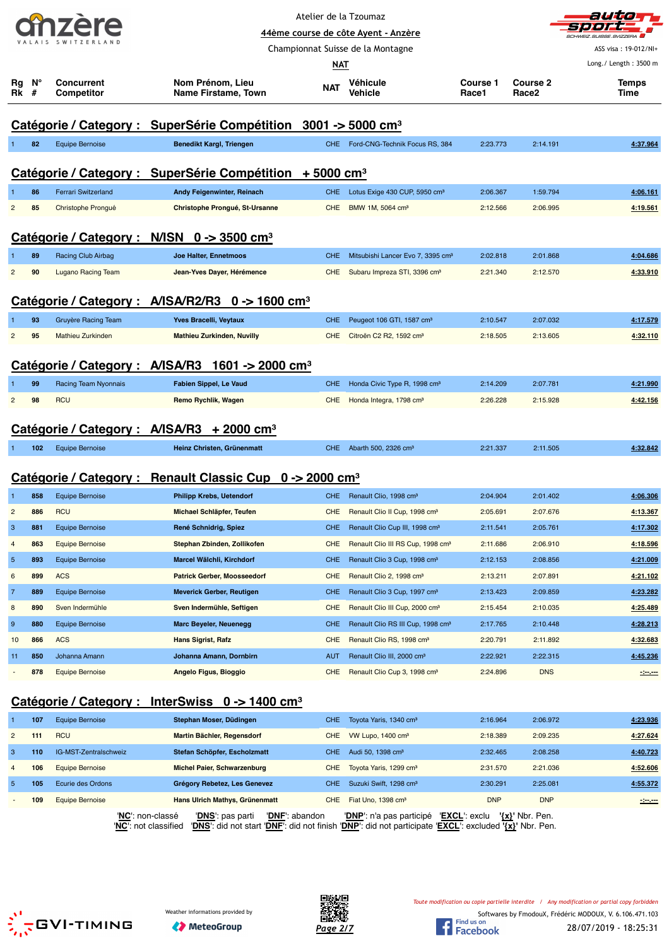



|                         |     |                                 |                                                                                                                             |            | 44ème course de côte Ayent - Anzère           |                                        |                   | 81 81 <b>82 7</b><br>SCHWEIZ.SUISSE.SVIZZERA |
|-------------------------|-----|---------------------------------|-----------------------------------------------------------------------------------------------------------------------------|------------|-----------------------------------------------|----------------------------------------|-------------------|----------------------------------------------|
|                         |     |                                 |                                                                                                                             |            | Championnat Suisse de la Montagne             |                                        |                   | ASS visa: 19-012/NI+                         |
|                         |     |                                 |                                                                                                                             | NAT        |                                               |                                        |                   | Long./ Length: 3500 m                        |
| Rg                      | N°  | <b>Concurrent</b>               | Nom Prénom, Lieu                                                                                                            |            | Véhicule                                      | <b>Course 1</b>                        | <b>Course 2</b>   | Temps                                        |
| Rk                      | #   | <b>Competitor</b>               | Name Firstame, Town                                                                                                         | <b>NAT</b> | Vehicle                                       | Race1                                  | Race <sub>2</sub> | Time                                         |
|                         |     |                                 |                                                                                                                             |            |                                               |                                        |                   |                                              |
|                         |     |                                 | Catégorie / Category : SuperSérie Compétition 3001 -> 5000 cm <sup>3</sup>                                                  |            |                                               |                                        |                   |                                              |
|                         | 82  | <b>Equipe Bernoise</b>          | Benedikt Kargl, Triengen                                                                                                    |            | CHE Ford-CNG-Technik Focus RS, 384            | 2:23.773                               | 2:14.191          | 4:37.964                                     |
|                         |     |                                 |                                                                                                                             |            |                                               |                                        |                   |                                              |
|                         |     |                                 | Catégorie / Category : SuperSérie Compétition + 5000 cm <sup>3</sup>                                                        |            |                                               |                                        |                   |                                              |
|                         | 86  | <b>Ferrari Switzerland</b>      | Andy Feigenwinter, Reinach                                                                                                  | <b>CHE</b> | Lotus Exige 430 CUP, 5950 cm <sup>3</sup>     | 2:06.367                               | 1:59.794          | 4:06.161                                     |
| $\overline{c}$          | 85  | Christophe Prongué              | Christophe Prongué, St-Ursanne                                                                                              | <b>CHE</b> | BMW 1M, 5064 cm <sup>3</sup>                  | 2:12.566                               | 2:06.995          | 4:19.561                                     |
|                         |     |                                 |                                                                                                                             |            |                                               |                                        |                   |                                              |
|                         |     |                                 | Catégorie / Category : N/ISN 0 -> 3500 cm <sup>3</sup>                                                                      |            |                                               |                                        |                   |                                              |
|                         | 89  | Racing Club Airbag              | Joe Halter, Ennetmoos                                                                                                       | <b>CHE</b> | Mitsubishi Lancer Evo 7, 3395 cm <sup>3</sup> | 2:02.818                               | 2:01.868          | 4:04.686                                     |
| 2                       | 90  | <b>Lugano Racing Team</b>       | Jean-Yves Dayer, Hérémence                                                                                                  | <b>CHE</b> | Subaru Impreza STI, 3396 cm <sup>3</sup>      | 2:21.340                               | 2:12.570          | 4:33.910                                     |
|                         |     |                                 |                                                                                                                             |            |                                               |                                        |                   |                                              |
|                         |     | Catégorie / Category :          | A/ISA/R2/R3 $0 \rightarrow 1600 \text{ cm}^3$                                                                               |            |                                               |                                        |                   |                                              |
|                         | 93  | Gruyère Racing Team             | Yves Bracelli, Veytaux                                                                                                      | <b>CHE</b> | Peugeot 106 GTI, 1587 cm <sup>3</sup>         | 2:10.547                               | 2:07.032          | 4.17.579                                     |
| $\overline{2}$          | 95  | <b>Mathieu Zurkinden</b>        | <b>Mathieu Zurkinden, Nuvilly</b>                                                                                           | <b>CHE</b> | Citroën C2 R2, 1592 cm <sup>3</sup>           | 2:18.505                               | 2:13.605          | 4:32.110                                     |
|                         |     |                                 |                                                                                                                             |            |                                               |                                        |                   |                                              |
|                         |     | Catégorie / Category : A/ISA/R3 | 1601 -> 2000 cm <sup>3</sup>                                                                                                |            |                                               |                                        |                   |                                              |
|                         | 99  | Racing Team Nyonnais            | <b>Fabien Sippel, Le Vaud</b>                                                                                               | <b>CHE</b> | Honda Civic Type R, 1998 cm <sup>3</sup>      | 2:14.209                               | 2:07.781          | 4:21.990                                     |
| 2                       | 98  | <b>RCU</b>                      | Remo Rychlik, Wagen                                                                                                         | <b>CHE</b> | Honda Integra, 1798 cm <sup>3</sup>           | 2:26.228                               | 2:15.928          | 4:42.156                                     |
|                         |     | Catégorie / Category: A/ISA/R3  | $+2000$ cm <sup>3</sup>                                                                                                     |            |                                               |                                        |                   |                                              |
|                         |     |                                 |                                                                                                                             |            |                                               |                                        |                   |                                              |
|                         | 102 | <b>Equipe Bernoise</b>          | Heinz Christen, Grünenmatt                                                                                                  | CHE        | Abarth 500, 2326 cm <sup>3</sup>              | 2:21.337                               | 2:11.505          | 4:32.842                                     |
|                         |     |                                 | Catégorie / Category : Renault Classic Cup 0 -> 2000 cm <sup>3</sup>                                                        |            |                                               |                                        |                   |                                              |
|                         | 858 | <b>Equipe Bernoise</b>          | <b>Philipp Krebs, Uetendorf</b>                                                                                             | <b>CHE</b> | Renault Clio, 1998 cm <sup>3</sup>            | 2:04.904                               | 2:01.402          | 4:06.306                                     |
| 2                       | 886 | <b>RCU</b>                      | Michael Schläpfer, Teufen                                                                                                   | <b>CHE</b> | Renault Clio II Cup, 1998 cm <sup>3</sup>     | 2:05.691                               | 2:07.676          | 4:13.367                                     |
| 3                       | 881 | <b>Equipe Bernoise</b>          | René Schnidrig, Spiez                                                                                                       | <b>CHE</b> | Renault Clio Cup III, 1998 cm <sup>3</sup>    | 2:11.541                               | 2:05.761          | 4:17.302                                     |
| $\overline{4}$          | 863 | <b>Equipe Bernoise</b>          | Stephan Zbinden, Zollikofen                                                                                                 | CHE        | Renault Clio III RS Cup, 1998 cm <sup>3</sup> | 2:11.686                               | 2:06.910          | 4:18.596                                     |
| $\overline{5}$          | 893 | <b>Equipe Bernoise</b>          | Marcel Wälchli, Kirchdorf                                                                                                   | <b>CHE</b> | Renault Clio 3 Cup, 1998 cm <sup>3</sup>      | 2:12.153                               | 2:08.856          | 4:21.009                                     |
| 6                       | 899 | <b>ACS</b>                      | <b>Patrick Gerber, Moosseedorf</b>                                                                                          | <b>CHE</b> | Renault Clio 2, 1998 cm <sup>3</sup>          | 2:13.211                               | 2:07.891          | 4:21.102                                     |
| $\overline{7}$          | 889 | <b>Equipe Bernoise</b>          | Meverick Gerber, Reutigen                                                                                                   | <b>CHE</b> | Renault Clio 3 Cup, 1997 cm <sup>3</sup>      | 2:13.423                               | 2:09.859          | 4:23.282                                     |
| 8                       | 890 | Sven Indermühle                 | Sven Indermühle, Seftigen                                                                                                   | <b>CHE</b> | Renault Clio III Cup, 2000 cm <sup>3</sup>    | 2:15.454                               | 2:10.035          | 4:25.489                                     |
| 9                       | 880 | <b>Equipe Bernoise</b>          | <b>Marc Beyeler, Neuenegg</b>                                                                                               | <b>CHE</b> | Renault Clio RS III Cup, 1998 cm <sup>3</sup> | 2:17.765                               | 2:10.448          | 4:28.213                                     |
| 10                      | 866 | <b>ACS</b>                      | Hans Sigrist, Rafz                                                                                                          | CHE        | Renault Clio RS, 1998 cm <sup>3</sup>         | 2:20.791                               | 2:11.892          | 4:32.683                                     |
| 11                      | 850 | Johanna Amann                   | Johanna Amann, Dornbirn                                                                                                     | AUT        | Renault Clio III, 2000 cm <sup>3</sup>        | 2:22.921                               | 2:22.315          | 4:45.236                                     |
|                         | 878 | <b>Equipe Bernoise</b>          | Angelo Figus, Bioggio                                                                                                       | <b>CHE</b> | Renault Clio Cup 3, 1998 cm <sup>3</sup>      | 2:24.896                               | <b>DNS</b>        | $-200$                                       |
|                         |     |                                 |                                                                                                                             |            |                                               |                                        |                   |                                              |
|                         |     |                                 | <u>Catégorie / Category : InterSwiss 0 -&gt; 1400 cm<sup>3</sup></u>                                                        |            |                                               |                                        |                   |                                              |
| n                       | 107 | <b>Equipe Bernoise</b>          | Stephan Moser, Düdingen                                                                                                     | <b>CHE</b> | Toyota Yaris, 1340 cm <sup>3</sup>            | 2:16.964                               | 2:06.972          | 4:23.936                                     |
| $\overline{\mathbf{c}}$ | 111 | <b>RCU</b>                      | Martin Bächler, Regensdorf                                                                                                  | <b>CHE</b> | VW Lupo, 1400 cm <sup>3</sup>                 | 2:18.389                               | 2:09.235          | 4:27.624                                     |
| 3                       | 110 | IG-MST-Zentralschweiz           | Stefan Schöpfer, Escholzmatt                                                                                                | <b>CHE</b> | Audi 50, 1398 cm <sup>3</sup>                 | 2:32.465                               | 2:08.258          | 4:40.723                                     |
| $\overline{4}$          | 106 | <b>Equipe Bernoise</b>          | <b>Michel Paier, Schwarzenburg</b>                                                                                          | <b>CHE</b> | Toyota Yaris, 1299 cm <sup>3</sup>            | 2:31.570                               | 2:21.036          | 4:52.606                                     |
| $\overline{5}$          | 105 | Ecurie des Ordons               | Grégory Rebetez, Les Genevez                                                                                                | <b>CHE</b> | Suzuki Swift, 1298 cm <sup>3</sup>            | 2:30.291                               | 2:25.081          | 4:55.372                                     |
|                         | 109 | <b>Equipe Bernoise</b>          | <b>Hans Ulrich Mathys, Grünenmatt</b>                                                                                       | CHE        | Fiat Uno, 1398 cm <sup>3</sup>                | <b>DNP</b>                             | <b>DNP</b>        | $-$                                          |
|                         |     |                                 | 'NC': non-classé<br>'DNF': abandon<br>' <b>DNS</b> ': pas parti                                                             |            | ' <b>DNP</b> ': n'a pas participé             | 'EXCL': exclu ' <u>{x}</u> ' Nbr. Pen. |                   |                                              |
|                         |     |                                 | 'NC': not classified VDNS': did not start 'DNF': did not finish 'DNP': did not participate 'EXCL': excluded '{x}' Nbr. Pen. |            |                                               |                                        |                   |                                              |
|                         |     |                                 |                                                                                                                             |            |                                               |                                        |                   |                                              |





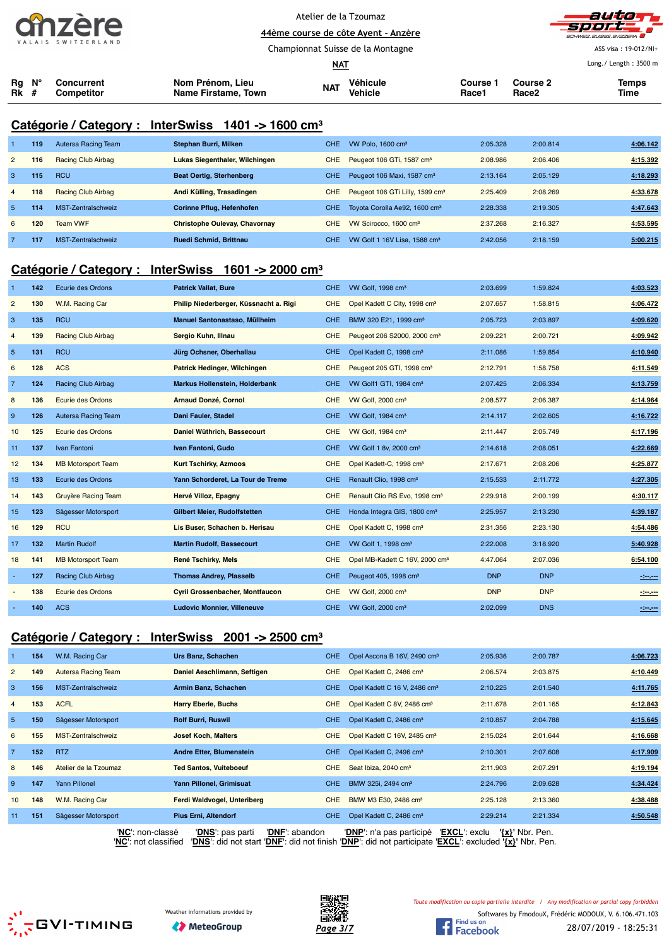



ASS visa : 19-012/NI+

**44ème course de côte Ayent - Anzère** Championnat Suisse de la Montagne **NATA** 

| Long./ Length: 3500 m<br><u>NAT</u> |                  |            |                     |            |                 |                 |                   |       |  |  |
|-------------------------------------|------------------|------------|---------------------|------------|-----------------|-----------------|-------------------|-------|--|--|
|                                     | $Ra$ $N^{\circ}$ | Concurrent | Nom Prénom, Lieu    | <b>NAT</b> | <b>Véhicule</b> | <b>Course 1</b> | <b>Course 2</b>   | Temps |  |  |
| <b>Rk</b> #                         |                  | Competitor | Name Firstame, Town |            | Vehicle         | Race1           | Race <sub>2</sub> | Time  |  |  |

## **Catégorie / Category : InterSwiss 1401 -> 1600 cm³**

|                | 119 | Autersa Racing Team | Stephan Burri, Milken                | CHE.       | VW Polo, $1600 \text{ cm}^3$                | 2:05.328 | 2:00.814 | 4:06.142 |
|----------------|-----|---------------------|--------------------------------------|------------|---------------------------------------------|----------|----------|----------|
| $\overline{2}$ | 116 | Racing Club Airbag  | Lukas Siegenthaler, Wilchingen       | <b>CHE</b> | Peugeot 106 GTi, 1587 cm <sup>3</sup>       | 2:08.986 | 2:06.406 | 4:15.392 |
| 3              | 115 | <b>RCU</b>          | <b>Beat Oertig, Sterhenberg</b>      | CHE        | Peugeot 106 Maxi, 1587 cm <sup>3</sup>      | 2:13.164 | 2:05.129 | 4:18.293 |
| $\overline{4}$ | 118 | Racing Club Airbag  | Andi Külling, Trasadingen            | <b>CHE</b> | Peugeot 106 GTi Lilly, 1599 cm <sup>3</sup> | 2:25.409 | 2:08.269 | 4:33.678 |
| 5              | 114 | MST-Zentralschweiz  | Corinne Pflug, Hefenhofen            | CHE.       | Toyota Corolla Ae92, 1600 cm <sup>3</sup>   | 2:28.338 | 2:19.305 | 4:47.643 |
| 6              | 120 | <b>Team VWF</b>     | <b>Christophe Oulevay, Chavornay</b> | <b>CHE</b> | VW Scirocco, 1600 cm <sup>3</sup>           | 2:37.268 | 2:16.327 | 4:53.595 |
|                | 117 | MST-Zentralschweiz  | <b>Ruedi Schmid, Brittnau</b>        | CHE.       | VW Golf 1 16V Lisa, 1588 cm <sup>3</sup>    | 2:42.056 | 2:18.159 | 5:00.215 |

### **Catégorie / Category : InterSwiss 1601 -> 2000 cm³**

| -1              | 142 | Ecurie des Ordons         | <b>Patrick Vallat, Bure</b>            | <b>CHE</b> | VW Golf, 1998 cm <sup>3</sup>              | 2:03.699   | 1:59.824   | 4:03.523 |
|-----------------|-----|---------------------------|----------------------------------------|------------|--------------------------------------------|------------|------------|----------|
| $\overline{2}$  | 130 | W.M. Racing Car           | Philip Niederberger, Küssnacht a. Rigi | <b>CHE</b> | Opel Kadett C City, 1998 cm <sup>3</sup>   | 2:07.657   | 1:58.815   | 4:06.472 |
| 3               | 135 | <b>RCU</b>                | Manuel Santonastaso, Müllheim          | <b>CHE</b> | BMW 320 E21, 1999 cm <sup>3</sup>          | 2:05.723   | 2:03.897   | 4:09.620 |
| $\overline{4}$  | 139 | Racing Club Airbag        | Sergio Kuhn, Illnau                    | <b>CHE</b> | Peugeot 206 S2000, 2000 cm <sup>3</sup>    | 2:09.221   | 2:00.721   | 4:09.942 |
| $5\phantom{.0}$ | 131 | <b>RCU</b>                | Jürg Ochsner, Oberhallau               | <b>CHE</b> | Opel Kadett C, 1998 cm <sup>3</sup>        | 2:11.086   | 1:59.854   | 4:10.940 |
| 6               | 128 | <b>ACS</b>                | Patrick Hedinger, Wilchingen           | <b>CHE</b> | Peugeot 205 GTI, 1998 cm <sup>3</sup>      | 2:12.791   | 1:58.758   | 4:11.549 |
| $\overline{7}$  | 124 | Racing Club Airbag        | Markus Hollenstein, Holderbank         | CHE.       | VW Golf1 GTI, 1984 cm <sup>3</sup>         | 2:07.425   | 2:06.334   | 4:13.759 |
| 8               | 136 | Ecurie des Ordons         | <b>Arnaud Donzé, Cornol</b>            | <b>CHE</b> | VW Golf, 2000 cm <sup>3</sup>              | 2:08.577   | 2:06.387   | 4:14.964 |
| 9               | 126 | Autersa Racing Team       | Dani Fauler, Stadel                    | <b>CHE</b> | VW Golf, 1984 cm <sup>3</sup>              | 2:14.117   | 2:02.605   | 4:16.722 |
| 10              | 125 | Ecurie des Ordons         | Daniel Wüthrich, Bassecourt            | <b>CHE</b> | VW Golf, 1984 cm <sup>3</sup>              | 2:11.447   | 2:05.749   | 4:17.196 |
| 11              | 137 | Ivan Fantoni              | Ivan Fantoni, Gudo                     | <b>CHE</b> | VW Golf 1 8v, 2000 cm <sup>3</sup>         | 2:14.618   | 2:08.051   | 4:22.669 |
| 12              | 134 | <b>MB Motorsport Team</b> | <b>Kurt Tschirky, Azmoos</b>           | CHE        | Opel Kadett-C, 1998 cm <sup>3</sup>        | 2:17.671   | 2:08.206   | 4:25.877 |
| 13              | 133 | Ecurie des Ordons         | Yann Schorderet, La Tour de Treme      | <b>CHE</b> | Renault Clio, 1998 cm <sup>3</sup>         | 2:15.533   | 2:11.772   | 4:27.305 |
| 14              | 143 | Gruyère Racing Team       | Hervé Villoz, Epagny                   | CHE        | Renault Clio RS Evo, 1998 cm <sup>3</sup>  | 2:29.918   | 2:00.199   | 4:30.117 |
| 15              | 123 | Sägesser Motorsport       | Gilbert Meier, Rudolfstetten           | <b>CHE</b> | Honda Integra GIS, 1800 cm <sup>3</sup>    | 2:25.957   | 2:13.230   | 4:39.187 |
| 16              | 129 | <b>RCU</b>                | Lis Buser, Schachen b. Herisau         | <b>CHE</b> | Opel Kadett C, 1998 cm <sup>3</sup>        | 2:31.356   | 2:23.130   | 4:54.486 |
| 17              | 132 | <b>Martin Rudolf</b>      | <b>Martin Rudolf, Bassecourt</b>       | <b>CHE</b> | VW Golf 1, 1998 cm <sup>3</sup>            | 2:22.008   | 3:18.920   | 5:40.928 |
| 18              | 141 | <b>MB Motorsport Team</b> | René Tschirky, Mels                    | <b>CHE</b> | Opel MB-Kadett C 16V, 2000 cm <sup>3</sup> | 4:47.064   | 2:07.036   | 6:54.100 |
|                 | 127 | <b>Racing Club Airbag</b> | <b>Thomas Andrey, Plasselb</b>         | <b>CHE</b> | Peugeot 405, 1998 cm <sup>3</sup>          | <b>DNP</b> | <b>DNP</b> | $-200$   |
|                 | 138 | Ecurie des Ordons         | <b>Cyril Grossenbacher, Montfaucon</b> | <b>CHE</b> | VW Golf, 2000 cm <sup>3</sup>              | <b>DNP</b> | <b>DNP</b> | -3-3-    |
|                 | 140 | <b>ACS</b>                | <b>Ludovic Monnier, Villeneuve</b>     | CHE.       | VW Golf, 2000 cm <sup>3</sup>              | 2:02.099   | <b>DNS</b> | -1-1-    |

## **Catégorie / Category : InterSwiss 2001 -> 2500 cm³**

|                 | 154 | W.M. Racing Car            | Urs Banz, Schachen                 | CHE.       | Opel Ascona B 16V, 2490 cm <sup>3</sup>   | 2:05.936            | 2:00.787 | 4:06.723 |
|-----------------|-----|----------------------------|------------------------------------|------------|-------------------------------------------|---------------------|----------|----------|
| $\overline{2}$  | 149 | <b>Autersa Racing Team</b> | Daniel Aeschlimann, Seftigen       | CHE        | Opel Kadett C, 2486 cm <sup>3</sup>       | 2:06.574            | 2:03.875 | 4:10.449 |
| 3               | 156 | MST-Zentralschweiz         | Armin Banz, Schachen               | <b>CHE</b> | Opel Kadett C 16 V, 2486 cm <sup>3</sup>  | 2:10.225            | 2:01.540 | 4:11.765 |
| $\overline{4}$  | 153 | <b>ACFL</b>                | <b>Harry Eberle, Buchs</b>         | <b>CHE</b> | Opel Kadett C 8V, 2486 cm <sup>3</sup>    | 2:11.678            | 2:01.165 | 4:12.843 |
| $5\phantom{.0}$ | 150 | Sägesser Motorsport        | <b>Rolf Burri, Ruswil</b>          | <b>CHE</b> | Opel Kadett C, 2486 cm <sup>3</sup>       | 2:10.857            | 2:04.788 | 4:15.645 |
| 6               | 155 | MST-Zentralschweiz         | <b>Josef Koch, Malters</b>         | <b>CHE</b> | Opel Kadett C 16V, 2485 cm <sup>3</sup>   | 2:15.024            | 2:01.644 | 4:16.668 |
| $\overline{7}$  | 152 | <b>RTZ</b>                 | <b>Andre Etter, Blumenstein</b>    | <b>CHE</b> | Opel Kadett C, 2496 cm <sup>3</sup>       | 2:10.301            | 2:07.608 | 4:17.909 |
| 8               | 146 | Atelier de la Tzoumaz      | <b>Ted Santos, Vuiteboeuf</b>      | <b>CHE</b> | Seat Ibiza, 2040 cm <sup>3</sup>          | 2:11.903            | 2:07.291 | 4:19.194 |
| 9               | 147 | Yann Pillonel              | Yann Pillonel, Grimisuat           | CHE.       | BMW 325i, 2494 cm <sup>3</sup>            | 2:24.796            | 2:09.628 | 4:34.424 |
| 10              | 148 | W.M. Racing Car            | Ferdi Waldvogel, Unteriberg        | <b>CHE</b> | BMW M3 E30, 2486 cm <sup>3</sup>          | 2:25.128            | 2:13.360 | 4:38.488 |
| 11              | 151 | Sägesser Motorsport        | <b>Pius Erni, Altendorf</b>        | <b>CHE</b> | Opel Kadett C, 2486 cm <sup>3</sup>       | 2:29.214            | 2:21.334 | 4:50.548 |
|                 |     | 'NC': non-classé           | 'DNS': pas parti<br>'DNF': abandon |            | 'EXCL': exclu<br>'DNP': n'a pas participé | $\{x\}$ ' Nbr. Pen. |          |          |

'**NC**': not classified '**DNS**': did not start '**DNF**': did not finish '**DNP**': did not participate '**EXCL**': excluded **'{x}'** Nbr. Pen.





Softwares by FmodouX, Frédéric MODOUX, V. 6.106.471.103 *Toute modification ou copie partielle interdite / Any modification or partial copy forbidden*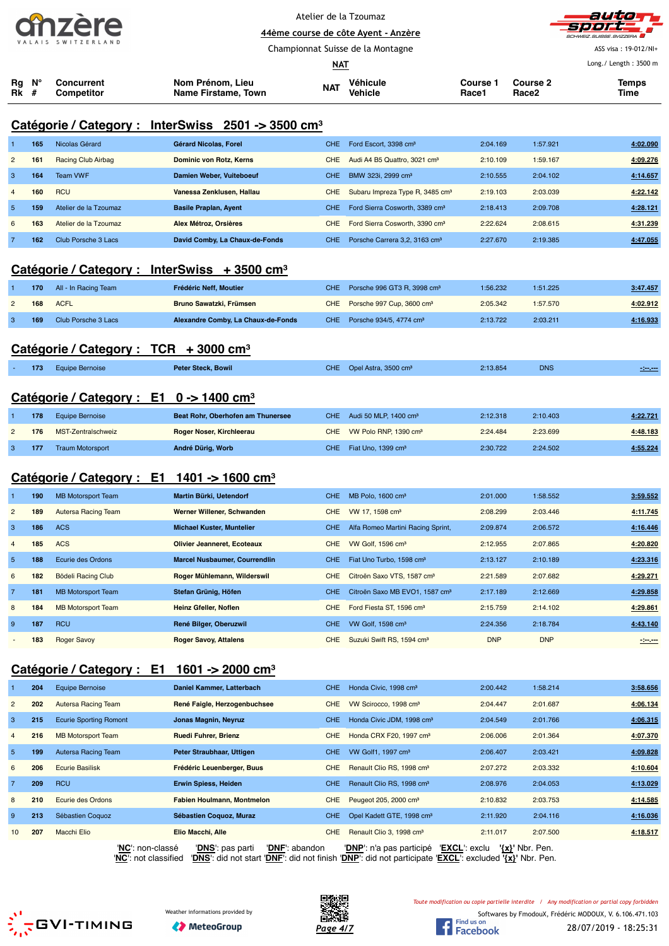

Atelier de la Tzoumaz **44ème course de côte Ayent - Anzère**



ASS visa : 19-012/NI+

| <u>NAT</u> |       |                          |                                         |            |                     |                          |                                      |               |
|------------|-------|--------------------------|-----------------------------------------|------------|---------------------|--------------------------|--------------------------------------|---------------|
| Rk #       | Ra N° | Concurrent<br>Competitor | Nom Prénom, Lieu<br>Name Firstame, Town | <b>NAT</b> | Véhicule<br>Vehicle | <b>Course 1</b><br>Race1 | <b>Course 2</b><br>Race <sub>2</sub> | Temps<br>Time |

Championnat Suisse de la Montagne

## **Catégorie / Category : InterSwiss 2501 -> 3500 cm³**

|                | 165 | Nicolas Gérard            | Gérard Nicolas, Forel          | <b>CHE</b> | Ford Escort, 3398 cm <sup>3</sup>           | 2:04.169 | 1:57.921 | 4:02.090 |
|----------------|-----|---------------------------|--------------------------------|------------|---------------------------------------------|----------|----------|----------|
| $\overline{2}$ | 161 | <b>Racing Club Airbag</b> | <b>Dominic von Rotz, Kerns</b> | CHE.       | Audi A4 B5 Quattro, 3021 cm <sup>3</sup>    | 2:10.109 | 1:59.167 | 4:09.276 |
| 3              | 164 | <b>Team VWF</b>           | Damien Weber, Vuiteboeuf       | <b>CHE</b> | BMW 323i, 2999 cm <sup>3</sup>              | 2:10.555 | 2:04.102 | 4:14.657 |
| $\overline{4}$ | 160 | <b>RCU</b>                | Vanessa Zenklusen, Hallau      | <b>CHE</b> | Subaru Impreza Type R, 3485 cm <sup>3</sup> | 2:19.103 | 2:03.039 | 4:22.142 |
| $\overline{5}$ | 159 | Atelier de la Tzoumaz     | <b>Basile Praplan, Ayent</b>   | CHE.       | Ford Sierra Cosworth, 3389 cm <sup>3</sup>  | 2:18.413 | 2:09.708 | 4:28.121 |
| 6              | 163 | Atelier de la Tzoumaz     | Alex Métroz, Orsières          | CHE.       | Ford Sierra Cosworth, 3390 cm <sup>3</sup>  | 2:22.624 | 2:08.615 | 4:31.239 |
|                | 162 | Club Porsche 3 Lacs       | David Comby, La Chaux-de-Fonds | CHE.       | Porsche Carrera 3.2, 3163 cm <sup>3</sup>   | 2:27.670 | 2:19.385 | 4:47.055 |
|                |     |                           |                                |            |                                             |          |          |          |

### **Catégorie / Category : InterSwiss + 3500 cm³**

| 170 | All - In Racing Team | Frédéric Neff. Moutier             | CHE Porsche 996 GT3 R, 3998 cm <sup>3</sup> | 1:56.232 | 1:51.225 | 3:47.457 |
|-----|----------------------|------------------------------------|---------------------------------------------|----------|----------|----------|
| 168 | <b>ACFL</b>          | <b>Bruno Sawatzki, Frümsen</b>     | CHE Porsche 997 Cup, 3600 cm <sup>3</sup>   | 2:05.342 | 1:57.570 | 4:02.912 |
| 169 | Club Porsche 3 Lacs  | Alexandre Comby, La Chaux-de-Fonds | CHE Porsche 934/5, 4774 cm <sup>3</sup>     | 2:13.722 | 2:03.211 | 4:16.933 |

### **Catégorie / Category : TCR + 3000 cm³**

| 173 | <b>Equipe Bernoise</b>                              | <b>Peter Steck, Bowil</b> | CHE Opel Astra, 3500 cm <sup>3</sup> | 2:13.854 | <b>DNS</b> | $-200 - 200$ |
|-----|-----------------------------------------------------|---------------------------|--------------------------------------|----------|------------|--------------|
|     | Catégorie / Category : E1 0 -> 1400 cm <sup>3</sup> |                           |                                      |          |            |              |

| 178 | Equipe Bernoise         | Beat Rohr, Oberhofen am Thunersee | CHE Audi 50 MLP. $1400 \text{ cm}^3$  | 2:12.318 | 2:10.403 | 4:22.721 |
|-----|-------------------------|-----------------------------------|---------------------------------------|----------|----------|----------|
| 176 | MST-Zentralschweiz      | <b>Roger Noser, Kirchleerau</b>   | CHE VW Polo RNP, 1390 cm <sup>3</sup> | 2:24.484 | 2:23.699 | 4:48.183 |
| 177 | <b>Traum Motorsport</b> | André Dürig, Worb                 | CHE Fiat Uno. 1399 cm <sup>3</sup>    | 2:30.722 | 2:24.502 | 4:55.224 |

### **Catégorie / Category : E1 1401 -> 1600 cm³**

|                | 190 | <b>MB Motorsport Team</b> | Martin Bürki, Uetendorf              | CHE.       | MB Polo, 1600 cm <sup>3</sup>              | 2:01.000   | 1:58.552   | 3:59.552 |
|----------------|-----|---------------------------|--------------------------------------|------------|--------------------------------------------|------------|------------|----------|
| $\overline{2}$ | 189 | Autersa Racing Team       | Werner Willener, Schwanden           | <b>CHE</b> | VW 17, 1598 cm <sup>3</sup>                | 2:08.299   | 2:03.446   | 4:11.745 |
| -3             | 186 | <b>ACS</b>                | <b>Michael Kuster, Muntelier</b>     | CHE.       | Alfa Romeo Martini Racing Sprint,          | 2:09.874   | 2:06.572   | 4:16.446 |
| $\overline{4}$ | 185 | <b>ACS</b>                | <b>Olivier Jeanneret, Ecoteaux</b>   | <b>CHE</b> | VW Golf. 1596 cm <sup>3</sup>              | 2:12.955   | 2:07.865   | 4:20.820 |
| $\overline{5}$ | 188 | Ecurie des Ordons         | <b>Marcel Nusbaumer, Courrendlin</b> | <b>CHE</b> | Fiat Uno Turbo, 1598 cm <sup>3</sup>       | 2:13.127   | 2:10.189   | 4:23.316 |
| 6              | 182 | Bödeli Racing Club        | Roger Mühlemann, Wilderswil          | <b>CHE</b> | Citroën Saxo VTS, 1587 cm <sup>3</sup>     | 2:21.589   | 2:07.682   | 4:29.271 |
| $\overline{7}$ | 181 | <b>MB Motorsport Team</b> | Stefan Grünig, Höfen                 | <b>CHE</b> | Citroën Saxo MB EVO1, 1587 cm <sup>3</sup> | 2:17.189   | 2:12.669   | 4:29.858 |
| 8              | 184 | <b>MB Motorsport Team</b> | Heinz Gfeller, Noflen                | <b>CHE</b> | Ford Fiesta ST, 1596 cm <sup>3</sup>       | 2:15.759   | 2:14.102   | 4:29.861 |
| 9              | 187 | <b>RCU</b>                | René Bilger, Oberuzwil               | CHE.       | VW Golf, 1598 cm <sup>3</sup>              | 2:24.356   | 2:18.784   | 4:43.140 |
|                | 183 | <b>Roger Savoy</b>        | <b>Roger Savoy, Attalens</b>         | <b>CHE</b> | Suzuki Swift RS, 1594 cm <sup>3</sup>      | <b>DNP</b> | <b>DNP</b> | -25,000  |

### **Catégorie / Category : E1 1601 -> 2000 cm³**

|                 | 204 | <b>Equipe Bernoise</b>        | Daniel Kammer, Latterbach          | <b>CHE</b> | Honda Civic, 1998 cm <sup>3</sup>         | 2:00.442            | 1:58.214 | 3:58.656 |
|-----------------|-----|-------------------------------|------------------------------------|------------|-------------------------------------------|---------------------|----------|----------|
| $\overline{2}$  | 202 | <b>Autersa Racing Team</b>    | René Faigle, Herzogenbuchsee       | <b>CHE</b> | VW Scirocco, 1998 cm <sup>3</sup>         | 2:04.447            | 2:01.687 | 4:06.134 |
| 3               | 215 | <b>Ecurie Sporting Romont</b> | Jonas Magnin, Neyruz               | <b>CHE</b> | Honda Civic JDM, 1998 cm <sup>3</sup>     | 2:04.549            | 2:01.766 | 4:06.315 |
| $\overline{4}$  | 216 | <b>MB Motorsport Team</b>     | <b>Ruedi Fuhrer, Brienz</b>        | <b>CHE</b> | Honda CRX F20, 1997 cm <sup>3</sup>       | 2:06.006            | 2:01.364 | 4:07.370 |
| 5               | 199 | Autersa Racing Team           | Peter Straubhaar, Uttigen          | CHE.       | VW Golf1, 1997 cm <sup>3</sup>            | 2:06.407            | 2:03.421 | 4:09.828 |
| 6               | 206 | <b>Ecurie Basilisk</b>        | Frédéric Leuenberger, Buus         | <b>CHE</b> | Renault Clio RS, 1998 cm <sup>3</sup>     | 2:07.272            | 2:03.332 | 4:10.604 |
| $\overline{7}$  | 209 | <b>RCU</b>                    | Erwin Spiess, Heiden               | CHE.       | Renault Clio RS, 1998 cm <sup>3</sup>     | 2:08.976            | 2:04.053 | 4:13.029 |
| 8               | 210 | Ecurie des Ordons             | <b>Fabien Houlmann, Montmelon</b>  | <b>CHE</b> | Peugeot 205, 2000 cm <sup>3</sup>         | 2:10.832            | 2:03.753 | 4:14.585 |
| 9               | 213 | Sébastien Coquoz              | Sébastien Coquoz, Muraz            | CHE.       | Opel Kadett GTE, 1998 cm <sup>3</sup>     | 2:11.920            | 2:04.116 | 4:16.036 |
| 10 <sup>1</sup> | 207 | Macchi Elio                   | Elio Macchi, Alle                  | <b>CHE</b> | Renault Clio 3, 1998 cm <sup>3</sup>      | 2:11.017            | 2:07.500 | 4:18.517 |
|                 |     | 'NC': non-classé              | 'DNS': pas parti<br>'DNF': abandon |            | 'EXCL': exclu<br>'DNP': n'a pas participé | $\{x\}$ ' Nbr. Pen. |          |          |

'**NC**': not classified '**DNS**': did not start '**DNF**': did not finish '**DNP**': did not participate '**EXCL**': excluded **'{x}'** Nbr. Pen.





Softwares by FmodouX, Frédéric MODOUX, V. 6.106.471.103 *Toute modification ou copie partielle interdite / Any modification or partial copy forbidden*

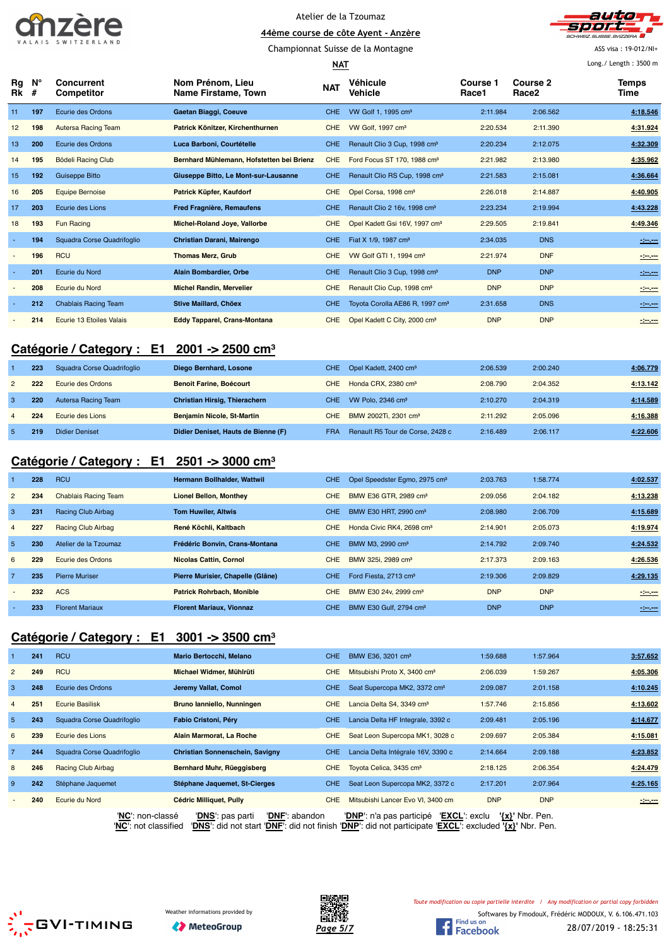







ASS visa : 19-012/NI+ Long./ Length : 3500 m

| Long./ Length: 3500 m<br><b>NAT</b> |                  |                                 |                                           |            |                                             |                          |                               |               |
|-------------------------------------|------------------|---------------------------------|-------------------------------------------|------------|---------------------------------------------|--------------------------|-------------------------------|---------------|
| Rg<br>Rk                            | $N^{\circ}$<br># | <b>Concurrent</b><br>Competitor | Nom Prénom. Lieu<br>Name Firstame, Town   | <b>NAT</b> | Véhicule<br>Vehicle                         | <b>Course 1</b><br>Race1 | Course 2<br>Race <sub>2</sub> | Temps<br>Time |
| 11                                  | 197              | Ecurie des Ordons               | Gaetan Biaggi, Coeuve                     | CHE.       | VW Golf 1, 1995 cm <sup>3</sup>             | 2:11.984                 | 2:06.562                      | 4:18.546      |
| 12                                  | 198              | Autersa Racing Team             | Patrick Könitzer, Kirchenthurnen          | CHE        | VW Golf, 1997 cm <sup>3</sup>               | 2:20.534                 | 2:11.390                      | 4:31.924      |
| 13                                  | 200              | Ecurie des Ordons               | Luca Barboni, Courtételle                 | CHE.       | Renault Clio 3 Cup, 1998 cm <sup>3</sup>    | 2:20.234                 | 2:12.075                      | 4:32.309      |
| 14                                  | 195              | Bödeli Racing Club              | Bernhard Mühlemann, Hofstetten bei Brienz | <b>CHE</b> | Ford Focus ST 170, 1988 cm <sup>3</sup>     | 2:21.982                 | 2:13.980                      | 4:35.962      |
| 15                                  | 192              | <b>Guiseppe Bitto</b>           | Giuseppe Bitto, Le Mont-sur-Lausanne      | <b>CHE</b> | Renault Clio RS Cup, 1998 cm <sup>3</sup>   | 2:21.583                 | 2:15.081                      | 4:36.664      |
| 16                                  | 205              | <b>Equipe Bernoise</b>          | Patrick Küpfer, Kaufdorf                  | <b>CHE</b> | Opel Corsa, 1998 cm <sup>3</sup>            | 2:26.018                 | 2:14.887                      | 4:40.905      |
| 17                                  | 203              | Ecurie des Lions                | Fred Fragnière, Remaufens                 | <b>CHE</b> | Renault Clio 2 16v, 1998 cm <sup>3</sup>    | 2:23.234                 | 2:19.994                      | 4:43.228      |
| 18                                  | 193              | <b>Fun Racing</b>               | Michel-Roland Joye, Vallorbe              | <b>CHE</b> | Opel Kadett Gsi 16V, 1997 cm <sup>3</sup>   | 2:29.505                 | 2:19.841                      | 4:49.346      |
|                                     | 194              | Squadra Corse Quadrifoqlio      | Christian Darani, Mairengo                | <b>CHE</b> | Fiat X 1/9, 1987 cm <sup>3</sup>            | 2:34.035                 | <b>DNS</b>                    | 121,000       |
|                                     | 196              | <b>RCU</b>                      | <b>Thomas Merz, Grub</b>                  | <b>CHE</b> | VW Golf GTI 1, 1994 cm <sup>3</sup>         | 2:21.974                 | <b>DNF</b>                    | $-200$        |
|                                     | 201              | Ecurie du Nord                  | Alain Bombardier, Orbe                    | CHE.       | Renault Clio 3 Cup, 1998 cm <sup>3</sup>    | <b>DNP</b>               | <b>DNP</b>                    | -----         |
|                                     | 208              | Ecurie du Nord                  | <b>Michel Randin, Mervelier</b>           | <b>CHE</b> | Renault Clio Cup, 1998 cm <sup>3</sup>      | <b>DNP</b>               | <b>DNP</b>                    | $-200$        |
|                                     | 212              | <b>Chablais Racing Team</b>     | <b>Stive Maillard, Chöex</b>              | CHE        | Toyota Corolla AE86 R, 1997 cm <sup>3</sup> | 2:31.658                 | <b>DNS</b>                    | $-200 - 100$  |
|                                     | 214              | Ecurie 13 Etoiles Valais        | <b>Eddy Tapparel, Crans-Montana</b>       | CHE        | Opel Kadett C City, 2000 cm <sup>3</sup>    | <b>DNP</b>               | <b>DNP</b>                    | -:----        |

### **Catégorie / Category : E1 2001 -> 2500 cm³**

|               | 223 | Squadra Corse Quadrifoglio | Diego Bernhard, Losone              |            | CHE Opel Kadett, 2400 cm <sup>3</sup> | 2:06.539 | 2:00.240 | 4:06.779 |
|---------------|-----|----------------------------|-------------------------------------|------------|---------------------------------------|----------|----------|----------|
| $\mathcal{P}$ | 222 | Ecurie des Ordons          | <b>Benoit Farine, Boécourt</b>      | CHE        | Honda CRX, 2380 cm <sup>3</sup>       | 2:08.790 | 2:04.352 | 4:13.142 |
|               | 220 | Autersa Racing Team        | Christian Hirsig, Thierachern       | CHE.       | VW Polo, $2346 \text{ cm}^3$          | 2:10.270 | 2:04.319 | 4:14.589 |
|               | 224 | Ecurie des Lions           | <b>Benjamin Nicole, St-Martin</b>   | CHE        | BMW 2002Ti, 2301 cm <sup>3</sup>      | 2:11.292 | 2:05.096 | 4:16.388 |
|               | 219 | Didier Deniset             | Didier Deniset. Hauts de Bienne (F) | <b>FRA</b> | Renault R5 Tour de Corse, 2428 c      | 2:16.489 | 2:06.117 | 4:22.606 |

## **Catégorie / Category : E1 2501 -> 3000 cm³**

|                          | 228 | <b>RCU</b>                  | <b>Hermann Bollhalder, Wattwil</b> | <b>CHE</b> | Opel Speedster Egmo, 2975 cm <sup>3</sup> | 2:03.763   | 1:58.774   | 4:02.537 |
|--------------------------|-----|-----------------------------|------------------------------------|------------|-------------------------------------------|------------|------------|----------|
| $\overline{2}$           | 234 | <b>Chablais Racing Team</b> | <b>Lionel Bellon, Monthey</b>      | <b>CHE</b> | BMW E36 GTR, 2989 cm <sup>3</sup>         | 2:09.056   | 2:04.182   | 4:13.238 |
| 3                        | 231 | Racing Club Airbag          | <b>Tom Huwiler, Altwis</b>         | <b>CHE</b> | BMW E30 HRT, 2990 cm <sup>3</sup>         | 2:08.980   | 2:06.709   | 4:15.689 |
| $\overline{4}$           | 227 | Racing Club Airbag          | René Köchli, Kaltbach              | <b>CHE</b> | Honda Civic RK4, 2698 cm <sup>3</sup>     | 2:14.901   | 2:05.073   | 4:19.974 |
| 5                        | 230 | Atelier de la Tzoumaz       | Frédéric Bonvin, Crans-Montana     | <b>CHE</b> | BMW M3, 2990 cm <sup>3</sup>              | 2:14.792   | 2:09.740   | 4:24.532 |
| 6                        | 229 | Ecurie des Ordons           | <b>Nicolas Cattin, Cornol</b>      | <b>CHE</b> | BMW 325i, 2989 cm <sup>3</sup>            | 2:17.373   | 2:09.163   | 4:26.536 |
| $\overline{7}$           | 235 | <b>Pierre Muriser</b>       | Pierre Murisier, Chapelle (Glâne)  | <b>CHE</b> | Ford Fiesta, 2713 cm <sup>3</sup>         | 2:19.306   | 2:09.829   | 4:29.135 |
| $\overline{\phantom{0}}$ | 232 | <b>ACS</b>                  | <b>Patrick Rohrbach, Monible</b>   | <b>CHE</b> | BMW E30 24v, 2999 cm <sup>3</sup>         | <b>DNP</b> | <b>DNP</b> | $-200$   |
|                          | 233 | <b>Florent Mariaux</b>      | <b>Florent Mariaux, Vionnaz</b>    | <b>CHE</b> | BMW E30 Gulf, 2794 cm <sup>3</sup>        | <b>DNP</b> | <b>DNP</b> | -3-0-    |

## **Catégorie / Category : E1 3001 -> 3500 cm³**

|                | 241 | <b>RCU</b>                 | Mario Bertocchi, Melano            | CHE.       | BMW E36, 3201 cm <sup>3</sup>             | 1:59.688            | 1:57.964   | 3:57.652     |
|----------------|-----|----------------------------|------------------------------------|------------|-------------------------------------------|---------------------|------------|--------------|
| $\overline{2}$ | 249 | <b>RCU</b>                 | Michael Widmer, Mühlrüti           | <b>CHE</b> | Mitsubishi Proto X, 3400 cm <sup>3</sup>  | 2:06.039            | 1:59.267   | 4:05.306     |
| 3              | 248 | Ecurie des Ordons          | Jeremy Vallat, Comol               | CHE.       | Seat Supercopa MK2, 3372 cm <sup>3</sup>  | 2:09.087            | 2:01.158   | 4:10.245     |
| $\overline{4}$ | 251 | <b>Ecurie Basilisk</b>     | Bruno lanniello, Nunningen         | <b>CHE</b> | Lancia Delta S4, 3349 cm <sup>3</sup>     | 1:57.746            | 2:15.856   | 4:13.602     |
| 5 <sup>5</sup> | 243 | Squadra Corse Quadrifoglio | Fabio Cristoni, Péry               | CHE.       | Lancia Delta HF Integrale, 3392 c         | 2:09.481            | 2:05.196   | 4.14.677     |
| 6              | 239 | Ecurie des Lions           | Alain Marmorat, La Roche           | <b>CHE</b> | Seat Leon Supercopa MK1, 3028 c           | 2:09.697            | 2:05.384   | 4:15.081     |
| $\overline{7}$ | 244 | Squadra Corse Quadrifoqlio | Christian Sonnenschein, Savigny    | CHE.       | Lancia Delta Intégrale 16V, 3390 c        | 2:14.664            | 2:09.188   | 4:23.852     |
| 8              | 246 | <b>Racing Club Airbag</b>  | Bernhard Muhr, Rüeggisberg         | CHE.       | Toyota Celica, 3435 cm <sup>3</sup>       | 2:18.125            | 2:06.354   | 4:24.479     |
| 9              | 242 | Stéphane Jaquemet          | Stéphane Jaquemet, St-Cierges      | CHE.       | Seat Leon Supercopa MK2, 3372 c           | 2:17.201            | 2:07.964   | 4:25.165     |
|                | 240 | Ecurie du Nord             | <b>Cédric Milliquet, Pully</b>     | <b>CHE</b> | Mitsubishi Lancer Evo VI, 3400 cm         | <b>DNP</b>          | <b>DNP</b> | $-200 - 200$ |
|                |     | 'NC': non-classé           | 'DNS': pas parti<br>'DNF': abandon |            | 'EXCL': exclu<br>'DNP': n'a pas participé | $\{x\}$ ' Nbr. Pen. |            |              |

'**NC**': not classified '**DNS**': did not start '**DNF**': did not finish '**DNP**': did not participate '**EXCL**': excluded **'{x}'** Nbr. Pen.





*Toute modification ou copie partielle interdite / Any modification or partial copy forbidden*

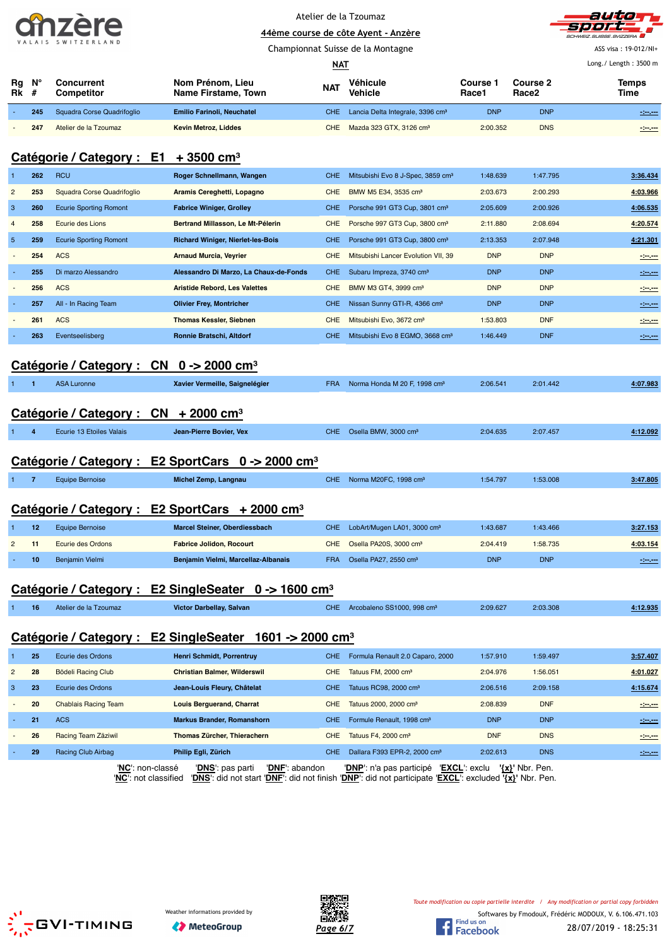|                    | . . |  |  |  |  |  |  |  |
|--------------------|-----|--|--|--|--|--|--|--|
| VALAIS SWITZERLAND |     |  |  |  |  |  |  |  |



|                |                  | VALAIS SWIILENLAND                     |                                          | Championnat Suisse de la Montagne |                                               |                          |                               |                       |  |  |
|----------------|------------------|----------------------------------------|------------------------------------------|-----------------------------------|-----------------------------------------------|--------------------------|-------------------------------|-----------------------|--|--|
|                |                  |                                        |                                          | <b>NAT</b>                        |                                               |                          |                               | Long./ Length: 3500 m |  |  |
| Rg<br>Rk       | $N^{\circ}$<br># | <b>Concurrent</b><br><b>Competitor</b> | Nom Prénom, Lieu<br>Name Firstame, Town  | <b>NAT</b>                        | Véhicule<br>Vehicle                           | <b>Course 1</b><br>Race1 | Course 2<br>Race <sub>2</sub> | <b>Temps</b><br>Time  |  |  |
|                | 245              | Squadra Corse Quadrifoglio             | <b>Emilio Farinoli, Neuchatel</b>        | CHE.                              | Lancia Delta Integrale, 3396 cm <sup>3</sup>  | <b>DNP</b>               | <b>DNP</b>                    | 121.00                |  |  |
|                | 247              | Atelier de la Tzoumaz                  | <b>Kevin Metroz, Liddes</b>              | <b>CHE</b>                        | Mazda 323 GTX, 3126 cm <sup>3</sup>           | 2:00.352                 | <b>DNS</b>                    | $-200$                |  |  |
|                |                  | Catégorie / Category : E1              | $+3500$ cm <sup>3</sup>                  |                                   |                                               |                          |                               |                       |  |  |
|                | 262              | <b>RCU</b>                             | Roger Schnellmann, Wangen                | <b>CHE</b>                        | Mitsubishi Evo 8 J-Spec, 3859 cm <sup>3</sup> | 1:48.639                 | 1:47.795                      | 3:36.434              |  |  |
| $\overline{2}$ | 253              | Squadra Corse Quadrifoqlio             | Aramis Cereghetti, Lopagno               | <b>CHE</b>                        | BMW M5 E34, 3535 cm <sup>3</sup>              | 2:03.673                 | 2:00.293                      | 4:03.966              |  |  |
| 3              | 260              | <b>Ecurie Sporting Romont</b>          | <b>Fabrice Winiger, Grolley</b>          | CHE.                              | Porsche 991 GT3 Cup, 3801 cm <sup>3</sup>     | 2:05.609                 | 2:00.926                      | 4:06.535              |  |  |
|                | 258              | Ecurie des Lions                       | Bertrand Millasson, Le Mt-Pélerin        | <b>CHE</b>                        | Porsche 997 GT3 Cup, 3800 cm <sup>3</sup>     | 2:11.880                 | 2:08.694                      | 4:20.574              |  |  |
| 5              | 259              | <b>Ecurie Sporting Romont</b>          | <b>Richard Winiger, Nierlet-les-Bois</b> | CHE.                              | Porsche 991 GT3 Cup, 3800 cm <sup>3</sup>     | 2:13.353                 | 2:07.948                      | 4:21.301              |  |  |
|                | 254              | <b>ACS</b>                             | <b>Arnaud Murcia, Veyrier</b>            | <b>CHE</b>                        | Mitsubishi Lancer Evolution VII, 39           | <b>DNP</b>               | <b>DNP</b>                    | 120,000               |  |  |
|                | 255              | Di marzo Alessandro                    | Alessandro Di Marzo, La Chaux-de-Fonds   | CHE.                              | Subaru Impreza, 3740 cm <sup>3</sup>          | <b>DNP</b>               | <b>DNP</b>                    | $-200$                |  |  |
|                | 256              | <b>ACS</b>                             | <b>Aristide Rebord, Les Valettes</b>     | <b>CHE</b>                        | BMW M3 GT4, 3999 cm <sup>3</sup>              | <b>DNP</b>               | <b>DNP</b>                    | $-200$                |  |  |
|                | 257              | All - In Racing Team                   | <b>Olivier Frey, Montricher</b>          | CHE.                              | Nissan Sunny GTI-R, 4366 cm <sup>3</sup>      | <b>DNP</b>               | <b>DNP</b>                    | $-200$                |  |  |

### **Catégorie / Category : CN 0 -> 2000 cm³**

|  | ASA Luronne | Xavier Vermeille, Saignelégier | <b>FRA</b> | Norma Honda M 20 F, 1998 cm <sup>3</sup> | 2:06.541 | 2:01.442 | 4:07.983 |
|--|-------------|--------------------------------|------------|------------------------------------------|----------|----------|----------|
|  |             |                                |            |                                          |          |          |          |

 - **261** ACS **Thomas Kessler, Siebnen** CHE Mitsubishi Evo, 3672 cm³ 1:53.803 DNF **-:--.---** - **263** Eventseelisberg **Ronnie Bratschi, Altdorf** CHE Mitsubishi Evo 8 EGMO, 3668 cm³ 1:46.449 DNF **-:--.---**

## **Catégorie / Category : CN + 2000 cm³**

|  |  | Ecurie 13 Etoiles Valais | Jean-Pierre Bovier, Vex | CHE. | Osella BMW, 3000 cm <sup>3</sup> | 2:04.635 | 2:07.457 | 1:12.092 |
|--|--|--------------------------|-------------------------|------|----------------------------------|----------|----------|----------|
|--|--|--------------------------|-------------------------|------|----------------------------------|----------|----------|----------|

## **Catégorie / Category : E2 SportCars 0 -> 2000 cm³**

|  | Equipe Bernoise | Michel Zemp, Langnau | CHE. | Norma M20FC, 1998 cm <sup>3</sup> | 1:54.797 | 1:53.008 | 3:47.805 |
|--|-----------------|----------------------|------|-----------------------------------|----------|----------|----------|
|  |                 |                      |      |                                   |          |          |          |

### **Catégorie / Category : E2 SportCars + 2000 cm³**

|              | 12 | Equipe Bernoise   | <b>Marcel Steiner, Oberdiessbach</b> |            | CHE LobArt/Mugen LA01, 3000 cm <sup>3</sup> | 1:43.687   | 1:43.466   | <u>3:27.153</u> |
|--------------|----|-------------------|--------------------------------------|------------|---------------------------------------------|------------|------------|-----------------|
| $\mathbf{2}$ |    | Ecurie des Ordons | <b>Fabrice Jolidon, Rocourt</b>      |            | CHE Osella PA20S, 3000 cm <sup>3</sup>      | 2:04.419   | 1:58.735   | 4:03.154        |
|              | 10 | Benjamin Vielmi   | Benjamin Vielmi, Marcellaz-Albanais  | <b>FRA</b> | Osella PA27, 2550 cm <sup>3</sup>           | <b>DNP</b> | <b>DNP</b> | -2-1-1-         |

### **Catégorie / Category : E2 SingleSeater 0 -> 1600 cm³**

| Arcobaleno SS1000, 998 cm <sup>3</sup><br>CHE.<br>2:03.308<br>2:09.627<br>Victor Darbellay, Salvan<br>16<br>Atelier de la Tzoumaz | $+12.935$ |
|-----------------------------------------------------------------------------------------------------------------------------------|-----------|
|-----------------------------------------------------------------------------------------------------------------------------------|-----------|

## **Catégorie / Category : E2 SingleSeater 1601 -> 2000 cm³**

|                | 25 | Ecurie des Ordons                        | Henri Schmidt, Porrentruy                                                                                                                    | CHE. | Formula Renault 2.0 Caparo, 2000          | 1:57.910   | 1:59.497            | 3:57.407      |
|----------------|----|------------------------------------------|----------------------------------------------------------------------------------------------------------------------------------------------|------|-------------------------------------------|------------|---------------------|---------------|
| $\overline{2}$ | 28 | Bödeli Racing Club                       | <b>Christian Balmer, Wilderswil</b>                                                                                                          | CHE. | Tatuus FM, 2000 cm <sup>3</sup>           | 2:04.976   | 1:56.051            | 4:01.027      |
| -3             | 23 | Ecurie des Ordons                        | Jean-Louis Fleury, Châtelat                                                                                                                  | CHE. | Tatuus RC98, 2000 cm <sup>3</sup>         | 2:06.516   | 2:09.158            | 4:15.674      |
| $\sim$         | 20 | <b>Chablais Racing Team</b>              | <b>Louis Berguerand, Charrat</b>                                                                                                             | CHE. | Tatuus 2000, 2000 cm <sup>3</sup>         | 2:08.839   | <b>DNF</b>          | $-200 - 200$  |
|                | 21 | <b>ACS</b>                               | <b>Markus Brander, Romanshorn</b>                                                                                                            | CHE. | Formule Renault, 1998 cm <sup>3</sup>     | <b>DNP</b> | <b>DNP</b>          | $-200 - 200$  |
|                | 26 | Racing Team Zäziwil                      | Thomas Zürcher, Thierachern                                                                                                                  | CHE. | Tatuus F4, 2000 cm <sup>3</sup>           | <b>DNF</b> | <b>DNS</b>          | $-200 - 200$  |
|                | 29 | Racing Club Airbag                       | Philip Egli, Zürich                                                                                                                          | CHE. | Dallara F393 EPR-2, 2000 cm <sup>3</sup>  | 2:02.613   | <b>DNS</b>          | $\frac{1}{2}$ |
|                |    | 'NC': non-classé<br>'NC': not classified | 'DNF': abandon<br>'DNS': pas parti<br>'DNS': did not start 'DNF': did not finish 'DNP': did not participate 'EXCL': excluded '{x}' Nbr. Pen. |      | 'EXCL': exclu<br>'DNP': n'a pas participé |            | $\{x\}$ ' Nbr. Pen. |               |





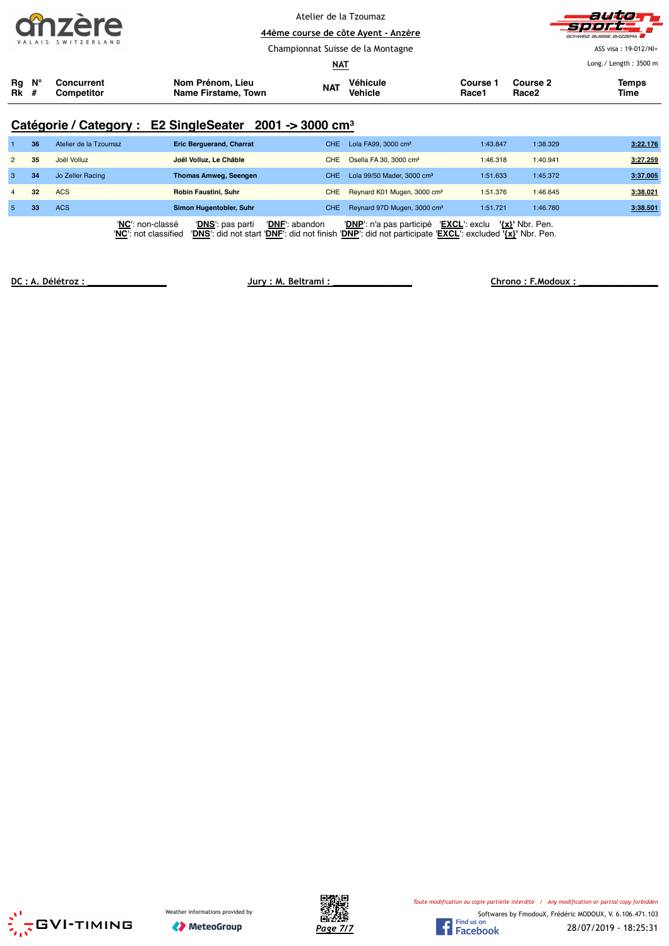|                                 |    | hzere<br>SWITZERLAND     |                                                                     | Atelier de la Tzoumaz<br><b>NAT</b> | 44ème course de côte Ayent - Anzère<br>Championnat Suisse de la Montagne |                   | auto<br>ドラック<br>SCHWEIZ SUISSE SVIZZERA<br>ASS visa: 19-012/NI+<br>Long./ Length: 3500 m |                      |  |  |
|---------------------------------|----|--------------------------|---------------------------------------------------------------------|-------------------------------------|--------------------------------------------------------------------------|-------------------|------------------------------------------------------------------------------------------|----------------------|--|--|
| $Rg$ $N^{\circ}$<br><b>Rk</b> # |    | Concurrent<br>Competitor | Nom Prénom, Lieu<br>Name Firstame, Town                             | <b>NAT</b>                          | Véhicule<br><b>Vehicle</b>                                               | Course 1<br>Race1 | Course 2<br>Race <sub>2</sub>                                                            | <b>Temps</b><br>Time |  |  |
|                                 |    |                          | Catégorie / Category : E2 SingleSeater 2001 -> 3000 cm <sup>3</sup> |                                     |                                                                          |                   |                                                                                          |                      |  |  |
|                                 | 36 | Atelier de la Tzoumaz    | <b>Eric Berguerand, Charrat</b>                                     | <b>CHE</b>                          | Lola FA99, 3000 cm <sup>3</sup>                                          | 1:43.847          | 1:38.329                                                                                 | 3:22.176             |  |  |
| $\overline{2}$                  | 35 | Joël Volluz              | Joël Volluz, Le Châble                                              | <b>CHE</b>                          | Osella FA 30, 3000 cm <sup>3</sup>                                       | 1:46.318          | 1:40.941                                                                                 | 3:27.259             |  |  |
| 3                               | 34 | Jo Zeller Racing         | <b>Thomas Amweg, Seengen</b>                                        | <b>CHE</b>                          | Lola 99/50 Mader, 3000 cm <sup>3</sup>                                   | 1:51.633          | 1:45.372                                                                                 | 3:37.005             |  |  |
| $\overline{4}$                  | 32 | <b>ACS</b>               | Robin Faustini, Suhr                                                | <b>CHE</b>                          | Reynard K01 Mugen, 3000 cm <sup>3</sup>                                  | 1:51.376          | 1:46.645                                                                                 | 3:38.021             |  |  |
| 5                               | 33 | <b>ACS</b>               | Simon Hugentobler, Suhr                                             | CHE.                                | Reynard 97D Mugen, 3000 cm <sup>3</sup>                                  | 1:51.721          | 1:46.780                                                                                 | 3:38.501             |  |  |

'**NC**': non-classé '**DNS**': pas parti '**DNF**': abandon '**DNP**': n'a pas participé '**EXCL**': exclu **'{x}'** Nbr. Pen. '**NC**': not classified '**DNS**': did not start '**DNF**': did not finish '**DNP**': did not participate '**EXCL**': excluded **'{x}'** Nbr. Pen.

**DC : A. Délétroz : \_\_\_\_\_\_\_\_\_\_\_\_\_\_\_ Jury : M. Beltrami : \_\_\_\_\_\_\_\_\_\_\_\_\_\_\_ Chrono : F.Modoux : \_\_\_\_\_\_\_\_\_\_\_\_\_\_\_**





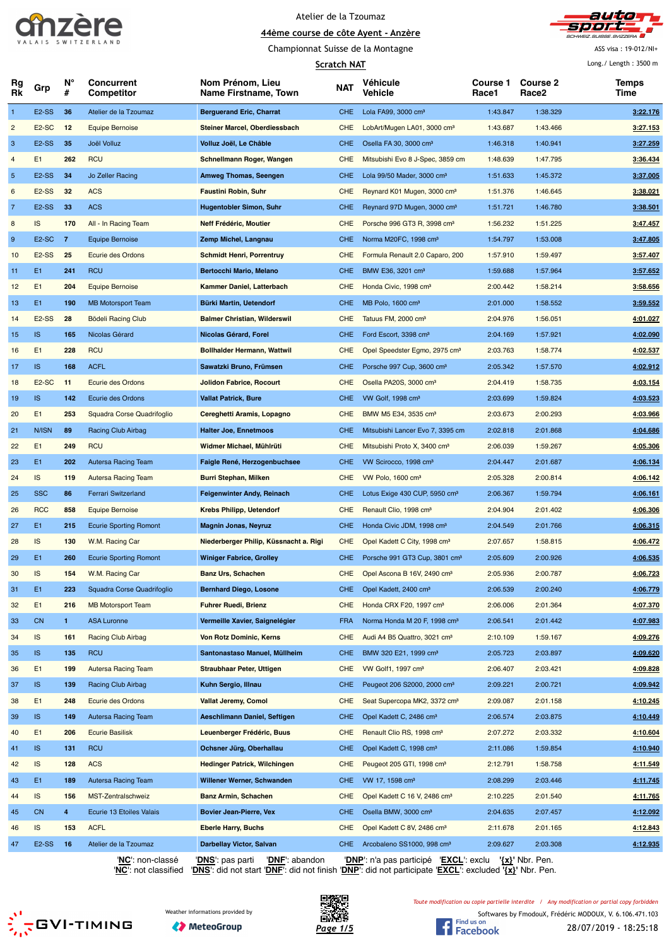



Championnat Suisse de la Montagne

ASS visa : 19-012/NI+ Long./ Length : 3500 m

|                | <b>Scratch NAT</b> |                |                                 |                                          |            |                                           |                   | Long./ Length: 3500 m    |               |
|----------------|--------------------|----------------|---------------------------------|------------------------------------------|------------|-------------------------------------------|-------------------|--------------------------|---------------|
| Rg<br>Rk       | Grp                | N°<br>#        | <b>Concurrent</b><br>Competitor | Nom Prénom, Lieu<br>Name Firstname, Town | <b>NAT</b> | Véhicule<br>Vehicle                       | Course 1<br>Race1 | <b>Course 2</b><br>Race2 | Temps<br>Time |
| $\mathbf{1}$   | E <sub>2</sub> -SS | 36             | Atelier de la Tzoumaz           | <b>Berguerand Eric, Charrat</b>          | CHE.       | Lola FA99, 3000 cm <sup>3</sup>           | 1:43.847          | 1:38.329                 | 3:22.176      |
| $\overline{c}$ | E <sub>2</sub> -SC | 12             | <b>Equipe Bernoise</b>          | Steiner Marcel, Oberdiessbach            | CHE        | LobArt/Mugen LA01, 3000 cm <sup>3</sup>   | 1:43.687          | 1:43.466                 | 3:27.153      |
| 3              | E <sub>2</sub> -SS | 35             | Joël Volluz                     | Volluz Joël, Le Châble                   | CHE        | Osella FA 30, 3000 cm <sup>3</sup>        | 1:46.318          | 1:40.941                 | 3:27.259      |
| $\overline{4}$ | E <sub>1</sub>     | 262            | <b>RCU</b>                      | Schnellmann Roger, Wangen                | <b>CHE</b> | Mitsubishi Evo 8 J-Spec, 3859 cm          | 1:48.639          | 1:47.795                 | 3:36.434      |
| $\overline{5}$ | E <sub>2</sub> -SS | 34             | Jo Zeller Racing                | <b>Amweg Thomas, Seengen</b>             | CHE.       | Lola 99/50 Mader, 3000 cm <sup>3</sup>    | 1:51.633          | 1:45.372                 | 3:37.005      |
| 6              | E <sub>2</sub> -SS | 32             | <b>ACS</b>                      | <b>Faustini Robin, Suhr</b>              | <b>CHE</b> | Reynard K01 Mugen, 3000 cm <sup>3</sup>   | 1:51.376          | 1:46.645                 | 3:38.021      |
| $\overline{7}$ | E <sub>2</sub> -SS | 33             | <b>ACS</b>                      | <b>Hugentobler Simon, Suhr</b>           | <b>CHE</b> | Reynard 97D Mugen, 3000 cm <sup>3</sup>   | 1:51.721          | 1:46.780                 | 3:38.501      |
| 8              | IS                 | 170            | All - In Racing Team            | Neff Frédéric, Moutier                   | <b>CHE</b> | Porsche 996 GT3 R, 3998 cm <sup>3</sup>   | 1:56.232          | 1:51.225                 | 3:47.457      |
| 9              | E <sub>2</sub> -SC | $\overline{7}$ | Equipe Bernoise                 | Zemp Michel, Langnau                     | CHE.       | Norma M20FC, 1998 cm <sup>3</sup>         | 1:54.797          | 1:53.008                 | 3:47.805      |
| 10             | E <sub>2</sub> -SS | 25             | Ecurie des Ordons               | <b>Schmidt Henri, Porrentruy</b>         | <b>CHE</b> | Formula Renault 2.0 Caparo, 200           | 1:57.910          | 1:59.497                 | 3:57.407      |
| 11             | E <sub>1</sub>     | 241            | <b>RCU</b>                      | Bertocchi Mario, Melano                  | <b>CHE</b> | BMW E36, 3201 cm <sup>3</sup>             | 1:59.688          | 1:57.964                 | 3:57.652      |
| 12             | E1                 | 204            | <b>Equipe Bernoise</b>          | Kammer Daniel, Latterbach                | <b>CHE</b> | Honda Civic, 1998 cm <sup>3</sup>         | 2:00.442          | 1:58.214                 | 3:58.656      |
| 13             | E1                 | 190            | <b>MB Motorsport Team</b>       | Bürki Martin, Uetendorf                  | CHE.       | MB Polo, 1600 cm <sup>3</sup>             | 2:01.000          | 1:58.552                 | 3:59.552      |
| 14             | E <sub>2</sub> -SS | 28             | <b>Bödeli Racing Club</b>       | <b>Balmer Christian, Wilderswil</b>      | <b>CHE</b> | Tatuus FM, 2000 cm <sup>3</sup>           | 2:04.976          | 1:56.051                 | 4:01.027      |
| 15             | IS.                | 165            | Nicolas Gérard                  | Nicolas Gérard, Forel                    | <b>CHE</b> | Ford Escort, 3398 cm <sup>3</sup>         | 2:04.169          | 1:57.921                 | 4:02.090      |
| 16             | E <sub>1</sub>     | 228            | <b>RCU</b>                      | <b>Bollhalder Hermann, Wattwil</b>       | <b>CHE</b> | Opel Speedster Egmo, 2975 cm <sup>3</sup> | 2:03.763          | 1:58.774                 | 4:02.537      |
| 17             | IS.                | 168            | <b>ACFL</b>                     | Sawatzki Bruno, Frümsen                  | <b>CHE</b> | Porsche 997 Cup, 3600 cm <sup>3</sup>     | 2:05.342          | 1:57.570                 | 4:02.912      |
| 18             | E <sub>2</sub> -SC | 11             | Ecurie des Ordons               | <b>Jolidon Fabrice, Rocourt</b>          | <b>CHE</b> | Osella PA20S, 3000 cm <sup>3</sup>        | 2:04.419          | 1:58.735                 | 4:03.154      |
| 19             | IS.                | 142            | Ecurie des Ordons               | <b>Vallat Patrick, Bure</b>              | <b>CHE</b> | VW Golf, 1998 cm <sup>3</sup>             | 2:03.699          | 1:59.824                 | 4:03.523      |
| 20             | E <sub>1</sub>     | 253            | Squadra Corse Quadrifoglio      | Cereghetti Aramis, Lopagno               | <b>CHE</b> | BMW M5 E34, 3535 cm <sup>3</sup>          | 2:03.673          | 2:00.293                 | 4:03.966      |
| 21             | N/ISN              | 89             | Racing Club Airbag              | <b>Halter Joe, Ennetmoos</b>             | <b>CHE</b> | Mitsubishi Lancer Evo 7, 3395 cm          | 2:02.818          | 2:01.868                 | 4:04.686      |
| 22             | E1                 | 249            | <b>RCU</b>                      | Widmer Michael, Mühlrüti                 | <b>CHE</b> | Mitsubishi Proto X, 3400 cm <sup>3</sup>  | 2:06.039          | 1:59.267                 | 4:05.306      |
|                |                    |                |                                 |                                          |            |                                           |                   |                          |               |
| 23             | E1                 | 202            | Autersa Racing Team             | Faigle René, Herzogenbuchsee             | <b>CHE</b> | VW Scirocco, 1998 cm <sup>3</sup>         | 2:04.447          | 2:01.687                 | 4:06.134      |
| 24             | IS                 | 119            | Autersa Racing Team             | <b>Burri Stephan, Milken</b>             | <b>CHE</b> | VW Polo, 1600 cm <sup>3</sup>             | 2:05.328          | 2:00.814                 | 4:06.142      |
| 25             | <b>SSC</b>         | 86             | Ferrari Switzerland             | Feigenwinter Andy, Reinach               | CHE.       | Lotus Exige 430 CUP, 5950 cm <sup>3</sup> | 2:06.367          | 1:59.794                 | 4:06.161      |
| 26             | <b>RCC</b>         | 858            | <b>Equipe Bernoise</b>          | <b>Krebs Philipp, Uetendorf</b>          | <b>CHE</b> | Renault Clio, 1998 cm <sup>3</sup>        | 2:04.904          | 2:01.402                 | 4:06.306      |
| 27             | E1                 | 215            | <b>Ecurie Sporting Romont</b>   | <b>Magnin Jonas, Neyruz</b>              | CHE.       | Honda Civic JDM, 1998 cm <sup>3</sup>     | 2:04.549          | 2:01.766                 | 4:06.315      |
| 28             | IS                 | 130            | W.M. Racing Car                 | Niederberger Philip, Küssnacht a. Rigi   | <b>CHE</b> | Opel Kadett C City, 1998 cm <sup>3</sup>  | 2:07.657          | 1:58.815                 | 4:06.472      |
| 29             | E <sub>1</sub>     | 260            | <b>Ecurie Sporting Romont</b>   | <b>Winiger Fabrice, Grolley</b>          | CHE.       | Porsche 991 GT3 Cup, 3801 cm <sup>3</sup> | 2:05.609          | 2:00.926                 | 4:06.535      |
| 30             | IS                 | 154            | W.M. Racing Car                 | <b>Banz Urs, Schachen</b>                | <b>CHE</b> | Opel Ascona B 16V, 2490 cm <sup>3</sup>   | 2:05.936          | 2:00.787                 | 4:06.723      |
| 31             | E1                 | 223            | Squadra Corse Quadrifoglio      | <b>Bernhard Diego, Losone</b>            | <b>CHE</b> | Opel Kadett, 2400 cm <sup>3</sup>         | 2:06.539          | 2:00.240                 | 4:06.779      |
| 32             | E <sub>1</sub>     | 216            | <b>MB Motorsport Team</b>       | <b>Fuhrer Ruedi, Brienz</b>              | <b>CHE</b> | Honda CRX F20, 1997 cm <sup>3</sup>       | 2:06.006          | 2:01.364                 | 4:07.370      |
| 33             | <b>CN</b>          | $\mathbf{1}$   | <b>ASA Luronne</b>              | Vermeille Xavier, Saignelégier           | <b>FRA</b> | Norma Honda M 20 F, 1998 cm <sup>3</sup>  | 2:06.541          | 2:01.442                 | 4:07.983      |
| 34             | IS                 | 161            | <b>Racing Club Airbag</b>       | <b>Von Rotz Dominic, Kerns</b>           | <b>CHE</b> | Audi A4 B5 Quattro, 3021 cm <sup>3</sup>  | 2:10.109          | 1:59.167                 | 4:09.276      |
| 35             | IS.                | 135            | <b>RCU</b>                      | Santonastaso Manuel, Müllheim            | <b>CHE</b> | BMW 320 E21, 1999 cm <sup>3</sup>         | 2:05.723          | 2:03.897                 | 4:09.620      |
| 36             | E1                 | 199            | <b>Autersa Racing Team</b>      | <b>Straubhaar Peter, Uttigen</b>         | <b>CHE</b> | VW Golf1, 1997 cm <sup>3</sup>            | 2:06.407          | 2:03.421                 | 4:09.828      |
| 37             | IS.                | 139            | <b>Racing Club Airbag</b>       | Kuhn Sergio, Illnau                      | <b>CHE</b> | Peugeot 206 S2000, 2000 cm <sup>3</sup>   | 2:09.221          | 2:00.721                 | 4:09.942      |
| 38             | E <sub>1</sub>     | 248            | Ecurie des Ordons               | <b>Vallat Jeremy, Comol</b>              | <b>CHE</b> | Seat Supercopa MK2, 3372 cm <sup>3</sup>  | 2:09.087          | 2:01.158                 | 4:10.245      |
| 39             | IS.                | 149            | Autersa Racing Team             | Aeschlimann Daniel, Seftigen             | <b>CHE</b> | Opel Kadett C, 2486 cm <sup>3</sup>       | 2:06.574          | 2:03.875                 | 4:10.449      |
| 40             | E <sub>1</sub>     | 206            | <b>Ecurie Basilisk</b>          | Leuenberger Frédéric, Buus               | <b>CHE</b> | Renault Clio RS, 1998 cm <sup>3</sup>     | 2:07.272          | 2:03.332                 | 4:10.604      |
| 41             | IS.                | 131            | <b>RCU</b>                      | Ochsner Jürg, Oberhallau                 | <b>CHE</b> | Opel Kadett C, 1998 cm <sup>3</sup>       | 2:11.086          | 1:59.854                 | 4:10.940      |
| 42             | IS.                | 128            | <b>ACS</b>                      | <b>Hedinger Patrick, Wilchingen</b>      | <b>CHE</b> | Peugeot 205 GTI, 1998 cm <sup>3</sup>     | 2:12.791          | 1:58.758                 | 4:11.549      |
| 43             | E1                 | 189            | Autersa Racing Team             | Willener Werner, Schwanden               | CHE.       | VW 17, 1598 cm <sup>3</sup>               | 2:08.299          | 2:03.446                 | 4:11.745      |
| 44             | IS.                | 156            | MST-Zentralschweiz              | <b>Banz Armin, Schachen</b>              | <b>CHE</b> | Opel Kadett C 16 V, 2486 cm <sup>3</sup>  | 2:10.225          | 2:01.540                 | 4:11.765      |
| 45             | <b>CN</b>          | 4              | Ecurie 13 Etoiles Valais        | <b>Bovier Jean-Pierre, Vex</b>           | <b>CHE</b> | Osella BMW, 3000 cm <sup>3</sup>          | 2:04.635          | 2:07.457                 | 4:12.092      |
| 46             | IS.                | 153            | <b>ACFL</b>                     | <b>Eberle Harry, Buchs</b>               | <b>CHE</b> | Opel Kadett C 8V, 2486 cm <sup>3</sup>    | 2:11.678          | 2:01.165                 | 4:12.843      |
| 47             | E <sub>2</sub> -SS | 16             | Atelier de la Tzoumaz           | <b>Darbellay Victor, Salvan</b>          | CHE.       | Arcobaleno SS1000, 998 cm <sup>3</sup>    | 2:09.627          | 2:03.308                 | 4:12.935      |

'**NC**': non-classé '**DNS**': pas parti '**DNF**': abandon '**DNP**': n'a pas participé '**EXCL**': exclu **'{x}'** Nbr. Pen.

'**NC**': not classified '**DNS**': did not start '**DNF**': did not finish '**DNP**': did not participate '**EXCL**': excluded **'{x}'** Nbr. Pen.







*Toute modification ou copie partielle interdite / Any modification or partial copy forbidden*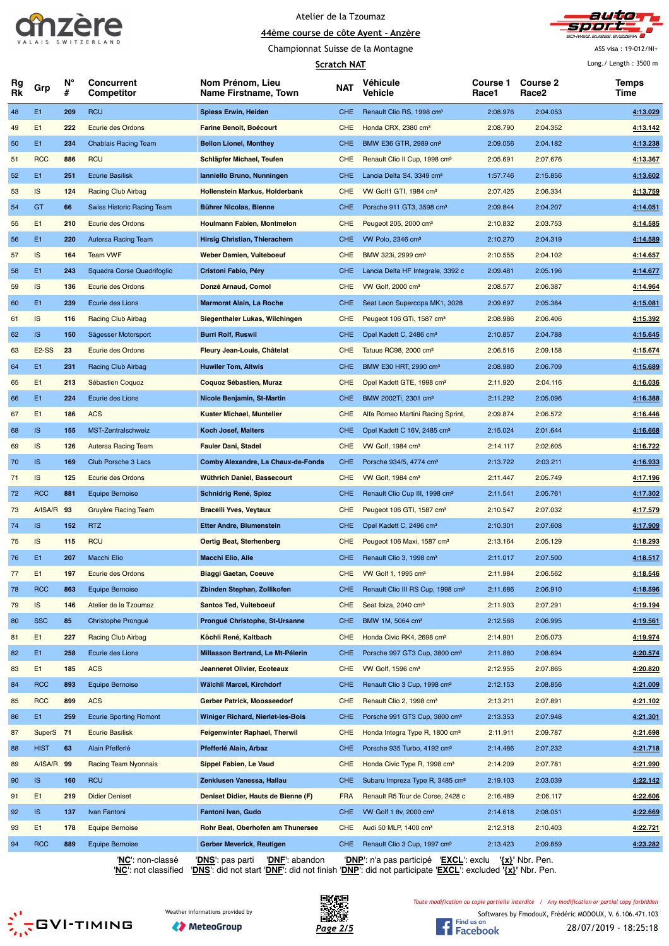



Championnat Suisse de la Montagne

ASS visa : 19-012/NI+  $L$ ong./ Length : 3500 m

| N°<br><b>Course 2</b><br><b>Concurrent</b><br>Nom Prénom, Lieu<br><b>Course 1</b><br>Véhicule<br>Temps<br>Rg<br><b>NAT</b><br>Grp<br>Rk<br>#<br>Competitor<br>Name Firstname, Town<br>Vehicle<br>Race1<br>Race2<br>Time<br>E1<br><b>RCU</b><br>48<br>209<br><b>Spiess Erwin, Heiden</b><br><b>CHE</b><br>Renault Clio RS, 1998 cm <sup>3</sup><br>2:08.976<br>2:04.053<br>4:13.029<br>E1<br>222<br>Ecurie des Ordons<br><b>Farine Benoit, Boécourt</b><br>Honda CRX, 2380 cm <sup>3</sup><br>2:08.790<br>2:04.352<br>4:13.142<br>49<br><b>CHE</b><br>E1<br>234<br>4:13.238<br>50<br><b>Chablais Racing Team</b><br><b>Bellon Lionel, Monthey</b><br><b>CHE</b><br>BMW E36 GTR, 2989 cm <sup>3</sup><br>2:09.056<br>2:04.182<br><b>RCC</b><br><b>RCU</b><br>886<br>Schläpfer Michael, Teufen<br><b>CHE</b><br>Renault Clio II Cup, 1998 cm <sup>3</sup><br>2:05.691<br>2:07.676<br>4:13.367<br>51<br>E1<br>251<br>4:13.602<br>52<br><b>Ecurie Basilisk</b><br>Ianniello Bruno, Nunningen<br><b>CHE</b><br>Lancia Delta S4, 3349 cm <sup>3</sup><br>1:57.746<br>2:15.856<br><b>IS</b><br>124<br><b>Racing Club Airbag</b><br><b>CHE</b><br>2:07.425<br>2:06.334<br>4:13.759<br>53<br>Hollenstein Markus, Holderbank<br>VW Golf1 GTI, 1984 cm <sup>3</sup><br>GT<br>54<br>66<br>Swiss Historic Racing Team<br>Bührer Nicolas, Bienne<br><b>CHE</b><br>Porsche 911 GT3, 3598 cm <sup>3</sup><br>2:09.844<br>2:04.207<br>4:14.051<br>E1<br>210<br>2:10.832<br>4:14.585<br><b>Houlmann Fabien, Montmelon</b><br><b>CHE</b><br>Peugeot 205, 2000 cm <sup>3</sup><br>2:03.753<br>55<br>Ecurie des Ordons<br>56<br>E1<br>220<br>Autersa Racing Team<br>Hirsig Christian, Thierachern<br><b>CHE</b><br>VW Polo, 2346 cm <sup>3</sup><br>2:10.270<br>2:04.319<br>4:14.589<br><b>IS</b><br>4:14.657<br>164<br><b>Team VWF</b><br><b>Weber Damien, Vuiteboeuf</b><br><b>CHE</b><br>BMW 323i, 2999 cm <sup>3</sup><br>2:10.555<br>2:04.102<br>57<br>E1<br>243<br>Squadra Corse Quadrifoglio<br><b>CHE</b><br>Lancia Delta HF Integrale, 3392 c<br>2:09.481<br>2:05.196<br>4:14.677<br>58<br>Cristoni Fabio, Péry<br>IS<br>136<br>Ecurie des Ordons<br>Donzé Arnaud, Cornol<br><b>CHE</b><br>VW Golf, 2000 cm <sup>3</sup><br>2:08.577<br>2:06.387<br>4:14.964<br>59<br>E1<br>60<br>239<br>Ecurie des Lions<br>Marmorat Alain, La Roche<br><b>CHE</b><br>Seat Leon Supercopa MK1, 3028<br>2:09.697<br>2:05.384<br>4:15.081<br><b>IS</b><br>116<br><b>Racing Club Airbag</b><br>Siegenthaler Lukas, Wilchingen<br><b>CHE</b><br>Peugeot 106 GTi, 1587 cm <sup>3</sup><br>2:08.986<br>2:06.406<br>4:15.392<br>61<br><b>IS</b><br>62<br>150<br><b>Burri Rolf, Ruswil</b><br><b>CHE</b><br>2:10.857<br>2:04.788<br>4:15.645<br>Sägesser Motorsport<br>Opel Kadett C, 2486 cm <sup>3</sup><br>E <sub>2</sub> -SS<br>23<br>Ecurie des Ordons<br>Fleury Jean-Louis, Châtelat<br><b>CHE</b><br>Tatuus RC98, 2000 cm <sup>3</sup><br>2:06.516<br>2:09.158<br>4:15.674<br>63<br>E1<br>231<br>CHE<br>4:15.689<br>64<br>Racing Club Airbag<br><b>Huwiler Tom, Altwis</b><br>BMW E30 HRT, 2990 cm <sup>3</sup><br>2:08.980<br>2:06.709<br>E1<br>213<br>Sébastien Coquoz<br>Coquoz Sébastien, Muraz<br><b>CHE</b><br>Opel Kadett GTE, 1998 cm <sup>3</sup><br>2:11.920<br>2:04.116<br>4:16.036<br>65<br>E1<br>224<br>4:16.388<br>66<br><b>CHE</b><br>BMW 2002Ti, 2301 cm <sup>3</sup><br>2:11.292<br>2:05.096<br>Ecurie des Lions<br>Nicole Benjamin, St-Martin<br>E <sub>1</sub><br>186<br><b>ACS</b><br><b>CHE</b><br>2:09.874<br>2:06.572<br>4:16.446<br>67<br><b>Kuster Michael, Muntelier</b><br>Alfa Romeo Martini Racing Sprint,<br><b>IS</b><br>4:16.668<br>68<br>155<br>MST-Zentralschweiz<br>Koch Josef, Malters<br><b>CHE</b><br>Opel Kadett C 16V, 2485 cm <sup>3</sup><br>2:15.024<br>2:01.644<br><b>IS</b><br>126<br><b>Autersa Racing Team</b><br><b>Fauler Dani, Stadel</b><br><b>CHE</b><br>VW Golf, 1984 cm <sup>3</sup><br>2:14.117<br>2:02.605<br>4:16.722<br>69<br><b>IS</b><br>70<br>169<br>Club Porsche 3 Lacs<br>Comby Alexandre, La Chaux-de-Fonds<br><b>CHE</b><br>Porsche 934/5, 4774 cm <sup>3</sup><br>2:13.722<br>2:03.211<br>4:16.933<br><b>IS</b><br>125<br>Wüthrich Daniel, Bassecourt<br><b>CHE</b><br>4:17.196<br>71<br>Ecurie des Ordons<br>VW Golf, 1984 cm <sup>3</sup><br>2:11.447<br>2:05.749<br><b>RCC</b><br>72<br>881<br><b>Equipe Bernoise</b><br>Schnidrig René, Spiez<br><b>CHE</b><br>Renault Clio Cup III, 1998 cm <sup>3</sup><br>2:11.541<br>2:05.761<br>4:17.302<br>A/ISA/R 93<br>4:17.579<br>Gruyère Racing Team<br><b>Bracelli Yves, Veytaux</b><br><b>CHE</b><br>2:10.547<br>2:07.032<br>73<br>Peugeot 106 GTI, 1587 cm <sup>3</sup><br>74<br><b>IS</b><br>152<br><b>RTZ</b><br><b>Etter Andre, Blumenstein</b><br><b>CHE</b><br>Opel Kadett C, 2496 cm <sup>3</sup><br>2:10.301<br>2:07.608<br>4:17.909<br><b>IS</b><br><b>RCU</b><br>115<br><b>CHE</b><br>2:05.129<br>4:18.293<br>75<br>Oertig Beat, Sterhenberg<br>Peugeot 106 Maxi, 1587 cm <sup>3</sup><br>2:13.164<br>E <sub>1</sub><br>4:18.517<br>76<br>207<br>Macchi Elio<br><b>Macchi Elio, Alle</b><br>CHE.<br>Renault Clio 3, 1998 cm <sup>3</sup><br>2:11.017<br>2:07.500<br>E1<br>2:11.984<br>4:18.546<br>77<br>197<br>Ecurie des Ordons<br><b>Biaggi Gaetan, Coeuve</b><br><b>CHE</b><br>VW Golf 1, 1995 cm <sup>3</sup><br>2:06.562<br><b>RCC</b><br>863<br><b>Equipe Bernoise</b><br>Zbinden Stephan, Zollikofen<br><b>CHE</b><br>Renault Clio III RS Cup, 1998 cm <sup>3</sup><br>2:11.686<br>2:06.910<br>4:18.596<br>78<br>IS<br>146<br>Atelier de la Tzoumaz<br><b>Santos Ted, Vuiteboeuf</b><br><b>CHE</b><br>Seat Ibiza, 2040 cm <sup>3</sup><br>2:11.903<br>2:07.291<br>4:19.194<br>79<br><b>SSC</b><br>85<br>80<br>Christophe Prongué<br>Prongué Christophe, St-Ursanne<br><b>CHE</b><br>BMW 1M, 5064 cm <sup>3</sup><br>2:12.566<br>2:06.995<br>4:19.561<br>E1<br>227<br><b>Racing Club Airbag</b><br>Köchli René, Kaltbach<br><b>CHE</b><br>Honda Civic RK4, 2698 cm <sup>3</sup><br>2:14.901<br>2:05.073<br>4:19.974<br>81<br>E1<br>258<br>Ecurie des Lions<br>Millasson Bertrand, Le Mt-Pélerin<br>2:08.694<br>4:20.574<br>82<br><b>CHE</b><br>Porsche 997 GT3 Cup, 3800 cm <sup>3</sup><br>2:11.880<br>E1<br>185<br><b>ACS</b><br><b>Jeanneret Olivier, Ecoteaux</b><br><b>CHE</b><br>VW Golf, 1596 cm <sup>3</sup><br>2:12.955<br>2:07.865<br>4:20.820<br>83<br><b>RCC</b><br>893<br>84<br><b>Equipe Bernoise</b><br>Wälchli Marcel, Kirchdorf<br><b>CHE</b><br>Renault Clio 3 Cup, 1998 cm <sup>3</sup><br>4:21.009<br>2:12.153<br>2:08.856<br><b>RCC</b><br>899<br><b>ACS</b><br>Gerber Patrick, Moosseedorf<br><b>CHE</b><br>Renault Clio 2, 1998 cm <sup>3</sup><br>2:13.211<br>2:07.891<br>4:21.102<br>85<br>E1<br>259<br>4:21.301<br>86<br><b>Ecurie Sporting Romont</b><br><b>Winiger Richard, Nierlet-les-Bois</b><br><b>CHE</b><br>Porsche 991 GT3 Cup, 3800 cm <sup>3</sup><br>2:13.353<br>2:07.948<br>SuperS 71<br><b>Ecurie Basilisk</b><br><b>Feigenwinter Raphael, Therwil</b><br><b>CHE</b><br>Honda Integra Type R, 1800 cm <sup>3</sup><br>2:11.911<br>2:09.787<br>4:21.698<br>87<br><b>HIST</b><br>63<br>88<br>Alain Pfefferlé<br>Pfefferlé Alain, Arbaz<br><b>CHE</b><br>Porsche 935 Turbo, 4192 cm <sup>3</sup><br>2:14.486<br>2:07.232<br>4:21.718<br>A/ISA/R 99<br><b>Racing Team Nyonnais</b><br>Sippel Fabien, Le Vaud<br>Honda Civic Type R, 1998 cm <sup>3</sup><br>4:21.990<br>89<br><b>CHE</b><br>2:14.209<br>2:07.781<br>90<br><b>IS</b><br>160<br><b>RCU</b><br>Zenklusen Vanessa, Hallau<br><b>CHE</b><br>Subaru Impreza Type R, 3485 cm <sup>3</sup><br>2:19.103<br>2:03.039<br>4:22.142<br>E1<br>219<br>4:22.606<br>91<br><b>Didier Deniset</b><br>Deniset Didier, Hauts de Bienne (F)<br><b>FRA</b><br>Renault R5 Tour de Corse, 2428 c<br>2:16.489<br>2:06.117<br><b>IS</b><br>92<br>137<br>Ivan Fantoni<br>Fantoni Ivan, Gudo<br><b>CHE</b><br>VW Golf 1 8v, 2000 cm <sup>3</sup><br>2:14.618<br>2:08.051<br>4:22.669<br>E1<br>178<br><b>Equipe Bernoise</b><br>Rohr Beat, Oberhofen am Thunersee<br>Audi 50 MLP, 1400 cm <sup>3</sup><br>2:12.318<br>2:10.403<br>4:22.721<br>93<br><b>CHE</b><br><b>RCC</b><br>4:23.282<br>94<br>889<br><b>Equipe Bernoise</b><br>Gerber Meverick, Reutigen<br>Renault Clio 3 Cup, 1997 cm <sup>3</sup><br>2:13.423<br>2:09.859<br>CHE. | <b>Scratch NAT</b> |  |  |  |  |  |  | Long./ Length: 3500 m |  |
|---------------------------------------------------------------------------------------------------------------------------------------------------------------------------------------------------------------------------------------------------------------------------------------------------------------------------------------------------------------------------------------------------------------------------------------------------------------------------------------------------------------------------------------------------------------------------------------------------------------------------------------------------------------------------------------------------------------------------------------------------------------------------------------------------------------------------------------------------------------------------------------------------------------------------------------------------------------------------------------------------------------------------------------------------------------------------------------------------------------------------------------------------------------------------------------------------------------------------------------------------------------------------------------------------------------------------------------------------------------------------------------------------------------------------------------------------------------------------------------------------------------------------------------------------------------------------------------------------------------------------------------------------------------------------------------------------------------------------------------------------------------------------------------------------------------------------------------------------------------------------------------------------------------------------------------------------------------------------------------------------------------------------------------------------------------------------------------------------------------------------------------------------------------------------------------------------------------------------------------------------------------------------------------------------------------------------------------------------------------------------------------------------------------------------------------------------------------------------------------------------------------------------------------------------------------------------------------------------------------------------------------------------------------------------------------------------------------------------------------------------------------------------------------------------------------------------------------------------------------------------------------------------------------------------------------------------------------------------------------------------------------------------------------------------------------------------------------------------------------------------------------------------------------------------------------------------------------------------------------------------------------------------------------------------------------------------------------------------------------------------------------------------------------------------------------------------------------------------------------------------------------------------------------------------------------------------------------------------------------------------------------------------------------------------------------------------------------------------------------------------------------------------------------------------------------------------------------------------------------------------------------------------------------------------------------------------------------------------------------------------------------------------------------------------------------------------------------------------------------------------------------------------------------------------------------------------------------------------------------------------------------------------------------------------------------------------------------------------------------------------------------------------------------------------------------------------------------------------------------------------------------------------------------------------------------------------------------------------------------------------------------------------------------------------------------------------------------------------------------------------------------------------------------------------------------------------------------------------------------------------------------------------------------------------------------------------------------------------------------------------------------------------------------------------------------------------------------------------------------------------------------------------------------------------------------------------------------------------------------------------------------------------------------------------------------------------------------------------------------------------------------------------------------------------------------------------------------------------------------------------------------------------------------------------------------------------------------------------------------------------------------------------------------------------------------------------------------------------------------------------------------------------------------------------------------------------------------------------------------------------------------------------------------------------------------------------------------------------------------------------------------------------------------------------------------------------------------------------------------------------------------------------------------------------------------------------------------------------------------------------------------------------------------------------------------------------------------------------------------------------------------------------------------------------------------------------------------------------------------------------------------------------------------------------------------------------------------------------------------------------------------------------------------------------------------------------------------------------------------------------------------------------------------------------------------------------------------------------------------------------------------------------------------------------------------------------------------------------------------------------------------------------------------------------------------------------------------------------------------------------------------------------------------------------------------------------------------------------------------------------------------------------------------------------------------------------------------------------------------------------------------------------------------------------------------------------------------------------------------------------------------------------------------------------------------------------------------------------------------------------------------------------------------------------------------------------------------------------------------------------------------------------------------------------------------------------------------------------------------------------------------------------------------------------------------------------------------------------------------------------------------------------------------------------------------------------------------------------------------------------------------------------------------------------------------------------------------------------------------------------------------------------------------------------------------------|--------------------|--|--|--|--|--|--|-----------------------|--|
|                                                                                                                                                                                                                                                                                                                                                                                                                                                                                                                                                                                                                                                                                                                                                                                                                                                                                                                                                                                                                                                                                                                                                                                                                                                                                                                                                                                                                                                                                                                                                                                                                                                                                                                                                                                                                                                                                                                                                                                                                                                                                                                                                                                                                                                                                                                                                                                                                                                                                                                                                                                                                                                                                                                                                                                                                                                                                                                                                                                                                                                                                                                                                                                                                                                                                                                                                                                                                                                                                                                                                                                                                                                                                                                                                                                                                                                                                                                                                                                                                                                                                                                                                                                                                                                                                                                                                                                                                                                                                                                                                                                                                                                                                                                                                                                                                                                                                                                                                                                                                                                                                                                                                                                                                                                                                                                                                                                                                                                                                                                                                                                                                                                                                                                                                                                                                                                                                                                                                                                                                                                                                                                                                                                                                                                                                                                                                                                                                                                                                                                                                                                                                                                                                                                                                                                                                                                                                                                                                                                                                                                                                                                                                                                                                                                                                                                                                                                                                                                                                                                                                                                                                                                                                                                                                                                                                                                                                                                                                                                                                                                                                                                                                                                                                                                                                                                     |                    |  |  |  |  |  |  |                       |  |
|                                                                                                                                                                                                                                                                                                                                                                                                                                                                                                                                                                                                                                                                                                                                                                                                                                                                                                                                                                                                                                                                                                                                                                                                                                                                                                                                                                                                                                                                                                                                                                                                                                                                                                                                                                                                                                                                                                                                                                                                                                                                                                                                                                                                                                                                                                                                                                                                                                                                                                                                                                                                                                                                                                                                                                                                                                                                                                                                                                                                                                                                                                                                                                                                                                                                                                                                                                                                                                                                                                                                                                                                                                                                                                                                                                                                                                                                                                                                                                                                                                                                                                                                                                                                                                                                                                                                                                                                                                                                                                                                                                                                                                                                                                                                                                                                                                                                                                                                                                                                                                                                                                                                                                                                                                                                                                                                                                                                                                                                                                                                                                                                                                                                                                                                                                                                                                                                                                                                                                                                                                                                                                                                                                                                                                                                                                                                                                                                                                                                                                                                                                                                                                                                                                                                                                                                                                                                                                                                                                                                                                                                                                                                                                                                                                                                                                                                                                                                                                                                                                                                                                                                                                                                                                                                                                                                                                                                                                                                                                                                                                                                                                                                                                                                                                                                                                                     |                    |  |  |  |  |  |  |                       |  |
|                                                                                                                                                                                                                                                                                                                                                                                                                                                                                                                                                                                                                                                                                                                                                                                                                                                                                                                                                                                                                                                                                                                                                                                                                                                                                                                                                                                                                                                                                                                                                                                                                                                                                                                                                                                                                                                                                                                                                                                                                                                                                                                                                                                                                                                                                                                                                                                                                                                                                                                                                                                                                                                                                                                                                                                                                                                                                                                                                                                                                                                                                                                                                                                                                                                                                                                                                                                                                                                                                                                                                                                                                                                                                                                                                                                                                                                                                                                                                                                                                                                                                                                                                                                                                                                                                                                                                                                                                                                                                                                                                                                                                                                                                                                                                                                                                                                                                                                                                                                                                                                                                                                                                                                                                                                                                                                                                                                                                                                                                                                                                                                                                                                                                                                                                                                                                                                                                                                                                                                                                                                                                                                                                                                                                                                                                                                                                                                                                                                                                                                                                                                                                                                                                                                                                                                                                                                                                                                                                                                                                                                                                                                                                                                                                                                                                                                                                                                                                                                                                                                                                                                                                                                                                                                                                                                                                                                                                                                                                                                                                                                                                                                                                                                                                                                                                                                     |                    |  |  |  |  |  |  |                       |  |
|                                                                                                                                                                                                                                                                                                                                                                                                                                                                                                                                                                                                                                                                                                                                                                                                                                                                                                                                                                                                                                                                                                                                                                                                                                                                                                                                                                                                                                                                                                                                                                                                                                                                                                                                                                                                                                                                                                                                                                                                                                                                                                                                                                                                                                                                                                                                                                                                                                                                                                                                                                                                                                                                                                                                                                                                                                                                                                                                                                                                                                                                                                                                                                                                                                                                                                                                                                                                                                                                                                                                                                                                                                                                                                                                                                                                                                                                                                                                                                                                                                                                                                                                                                                                                                                                                                                                                                                                                                                                                                                                                                                                                                                                                                                                                                                                                                                                                                                                                                                                                                                                                                                                                                                                                                                                                                                                                                                                                                                                                                                                                                                                                                                                                                                                                                                                                                                                                                                                                                                                                                                                                                                                                                                                                                                                                                                                                                                                                                                                                                                                                                                                                                                                                                                                                                                                                                                                                                                                                                                                                                                                                                                                                                                                                                                                                                                                                                                                                                                                                                                                                                                                                                                                                                                                                                                                                                                                                                                                                                                                                                                                                                                                                                                                                                                                                                                     |                    |  |  |  |  |  |  |                       |  |
|                                                                                                                                                                                                                                                                                                                                                                                                                                                                                                                                                                                                                                                                                                                                                                                                                                                                                                                                                                                                                                                                                                                                                                                                                                                                                                                                                                                                                                                                                                                                                                                                                                                                                                                                                                                                                                                                                                                                                                                                                                                                                                                                                                                                                                                                                                                                                                                                                                                                                                                                                                                                                                                                                                                                                                                                                                                                                                                                                                                                                                                                                                                                                                                                                                                                                                                                                                                                                                                                                                                                                                                                                                                                                                                                                                                                                                                                                                                                                                                                                                                                                                                                                                                                                                                                                                                                                                                                                                                                                                                                                                                                                                                                                                                                                                                                                                                                                                                                                                                                                                                                                                                                                                                                                                                                                                                                                                                                                                                                                                                                                                                                                                                                                                                                                                                                                                                                                                                                                                                                                                                                                                                                                                                                                                                                                                                                                                                                                                                                                                                                                                                                                                                                                                                                                                                                                                                                                                                                                                                                                                                                                                                                                                                                                                                                                                                                                                                                                                                                                                                                                                                                                                                                                                                                                                                                                                                                                                                                                                                                                                                                                                                                                                                                                                                                                                                     |                    |  |  |  |  |  |  |                       |  |
|                                                                                                                                                                                                                                                                                                                                                                                                                                                                                                                                                                                                                                                                                                                                                                                                                                                                                                                                                                                                                                                                                                                                                                                                                                                                                                                                                                                                                                                                                                                                                                                                                                                                                                                                                                                                                                                                                                                                                                                                                                                                                                                                                                                                                                                                                                                                                                                                                                                                                                                                                                                                                                                                                                                                                                                                                                                                                                                                                                                                                                                                                                                                                                                                                                                                                                                                                                                                                                                                                                                                                                                                                                                                                                                                                                                                                                                                                                                                                                                                                                                                                                                                                                                                                                                                                                                                                                                                                                                                                                                                                                                                                                                                                                                                                                                                                                                                                                                                                                                                                                                                                                                                                                                                                                                                                                                                                                                                                                                                                                                                                                                                                                                                                                                                                                                                                                                                                                                                                                                                                                                                                                                                                                                                                                                                                                                                                                                                                                                                                                                                                                                                                                                                                                                                                                                                                                                                                                                                                                                                                                                                                                                                                                                                                                                                                                                                                                                                                                                                                                                                                                                                                                                                                                                                                                                                                                                                                                                                                                                                                                                                                                                                                                                                                                                                                                                     |                    |  |  |  |  |  |  |                       |  |
|                                                                                                                                                                                                                                                                                                                                                                                                                                                                                                                                                                                                                                                                                                                                                                                                                                                                                                                                                                                                                                                                                                                                                                                                                                                                                                                                                                                                                                                                                                                                                                                                                                                                                                                                                                                                                                                                                                                                                                                                                                                                                                                                                                                                                                                                                                                                                                                                                                                                                                                                                                                                                                                                                                                                                                                                                                                                                                                                                                                                                                                                                                                                                                                                                                                                                                                                                                                                                                                                                                                                                                                                                                                                                                                                                                                                                                                                                                                                                                                                                                                                                                                                                                                                                                                                                                                                                                                                                                                                                                                                                                                                                                                                                                                                                                                                                                                                                                                                                                                                                                                                                                                                                                                                                                                                                                                                                                                                                                                                                                                                                                                                                                                                                                                                                                                                                                                                                                                                                                                                                                                                                                                                                                                                                                                                                                                                                                                                                                                                                                                                                                                                                                                                                                                                                                                                                                                                                                                                                                                                                                                                                                                                                                                                                                                                                                                                                                                                                                                                                                                                                                                                                                                                                                                                                                                                                                                                                                                                                                                                                                                                                                                                                                                                                                                                                                                     |                    |  |  |  |  |  |  |                       |  |
|                                                                                                                                                                                                                                                                                                                                                                                                                                                                                                                                                                                                                                                                                                                                                                                                                                                                                                                                                                                                                                                                                                                                                                                                                                                                                                                                                                                                                                                                                                                                                                                                                                                                                                                                                                                                                                                                                                                                                                                                                                                                                                                                                                                                                                                                                                                                                                                                                                                                                                                                                                                                                                                                                                                                                                                                                                                                                                                                                                                                                                                                                                                                                                                                                                                                                                                                                                                                                                                                                                                                                                                                                                                                                                                                                                                                                                                                                                                                                                                                                                                                                                                                                                                                                                                                                                                                                                                                                                                                                                                                                                                                                                                                                                                                                                                                                                                                                                                                                                                                                                                                                                                                                                                                                                                                                                                                                                                                                                                                                                                                                                                                                                                                                                                                                                                                                                                                                                                                                                                                                                                                                                                                                                                                                                                                                                                                                                                                                                                                                                                                                                                                                                                                                                                                                                                                                                                                                                                                                                                                                                                                                                                                                                                                                                                                                                                                                                                                                                                                                                                                                                                                                                                                                                                                                                                                                                                                                                                                                                                                                                                                                                                                                                                                                                                                                                                     |                    |  |  |  |  |  |  |                       |  |
|                                                                                                                                                                                                                                                                                                                                                                                                                                                                                                                                                                                                                                                                                                                                                                                                                                                                                                                                                                                                                                                                                                                                                                                                                                                                                                                                                                                                                                                                                                                                                                                                                                                                                                                                                                                                                                                                                                                                                                                                                                                                                                                                                                                                                                                                                                                                                                                                                                                                                                                                                                                                                                                                                                                                                                                                                                                                                                                                                                                                                                                                                                                                                                                                                                                                                                                                                                                                                                                                                                                                                                                                                                                                                                                                                                                                                                                                                                                                                                                                                                                                                                                                                                                                                                                                                                                                                                                                                                                                                                                                                                                                                                                                                                                                                                                                                                                                                                                                                                                                                                                                                                                                                                                                                                                                                                                                                                                                                                                                                                                                                                                                                                                                                                                                                                                                                                                                                                                                                                                                                                                                                                                                                                                                                                                                                                                                                                                                                                                                                                                                                                                                                                                                                                                                                                                                                                                                                                                                                                                                                                                                                                                                                                                                                                                                                                                                                                                                                                                                                                                                                                                                                                                                                                                                                                                                                                                                                                                                                                                                                                                                                                                                                                                                                                                                                                                     |                    |  |  |  |  |  |  |                       |  |
|                                                                                                                                                                                                                                                                                                                                                                                                                                                                                                                                                                                                                                                                                                                                                                                                                                                                                                                                                                                                                                                                                                                                                                                                                                                                                                                                                                                                                                                                                                                                                                                                                                                                                                                                                                                                                                                                                                                                                                                                                                                                                                                                                                                                                                                                                                                                                                                                                                                                                                                                                                                                                                                                                                                                                                                                                                                                                                                                                                                                                                                                                                                                                                                                                                                                                                                                                                                                                                                                                                                                                                                                                                                                                                                                                                                                                                                                                                                                                                                                                                                                                                                                                                                                                                                                                                                                                                                                                                                                                                                                                                                                                                                                                                                                                                                                                                                                                                                                                                                                                                                                                                                                                                                                                                                                                                                                                                                                                                                                                                                                                                                                                                                                                                                                                                                                                                                                                                                                                                                                                                                                                                                                                                                                                                                                                                                                                                                                                                                                                                                                                                                                                                                                                                                                                                                                                                                                                                                                                                                                                                                                                                                                                                                                                                                                                                                                                                                                                                                                                                                                                                                                                                                                                                                                                                                                                                                                                                                                                                                                                                                                                                                                                                                                                                                                                                                     |                    |  |  |  |  |  |  |                       |  |
|                                                                                                                                                                                                                                                                                                                                                                                                                                                                                                                                                                                                                                                                                                                                                                                                                                                                                                                                                                                                                                                                                                                                                                                                                                                                                                                                                                                                                                                                                                                                                                                                                                                                                                                                                                                                                                                                                                                                                                                                                                                                                                                                                                                                                                                                                                                                                                                                                                                                                                                                                                                                                                                                                                                                                                                                                                                                                                                                                                                                                                                                                                                                                                                                                                                                                                                                                                                                                                                                                                                                                                                                                                                                                                                                                                                                                                                                                                                                                                                                                                                                                                                                                                                                                                                                                                                                                                                                                                                                                                                                                                                                                                                                                                                                                                                                                                                                                                                                                                                                                                                                                                                                                                                                                                                                                                                                                                                                                                                                                                                                                                                                                                                                                                                                                                                                                                                                                                                                                                                                                                                                                                                                                                                                                                                                                                                                                                                                                                                                                                                                                                                                                                                                                                                                                                                                                                                                                                                                                                                                                                                                                                                                                                                                                                                                                                                                                                                                                                                                                                                                                                                                                                                                                                                                                                                                                                                                                                                                                                                                                                                                                                                                                                                                                                                                                                                     |                    |  |  |  |  |  |  |                       |  |
|                                                                                                                                                                                                                                                                                                                                                                                                                                                                                                                                                                                                                                                                                                                                                                                                                                                                                                                                                                                                                                                                                                                                                                                                                                                                                                                                                                                                                                                                                                                                                                                                                                                                                                                                                                                                                                                                                                                                                                                                                                                                                                                                                                                                                                                                                                                                                                                                                                                                                                                                                                                                                                                                                                                                                                                                                                                                                                                                                                                                                                                                                                                                                                                                                                                                                                                                                                                                                                                                                                                                                                                                                                                                                                                                                                                                                                                                                                                                                                                                                                                                                                                                                                                                                                                                                                                                                                                                                                                                                                                                                                                                                                                                                                                                                                                                                                                                                                                                                                                                                                                                                                                                                                                                                                                                                                                                                                                                                                                                                                                                                                                                                                                                                                                                                                                                                                                                                                                                                                                                                                                                                                                                                                                                                                                                                                                                                                                                                                                                                                                                                                                                                                                                                                                                                                                                                                                                                                                                                                                                                                                                                                                                                                                                                                                                                                                                                                                                                                                                                                                                                                                                                                                                                                                                                                                                                                                                                                                                                                                                                                                                                                                                                                                                                                                                                                                     |                    |  |  |  |  |  |  |                       |  |
|                                                                                                                                                                                                                                                                                                                                                                                                                                                                                                                                                                                                                                                                                                                                                                                                                                                                                                                                                                                                                                                                                                                                                                                                                                                                                                                                                                                                                                                                                                                                                                                                                                                                                                                                                                                                                                                                                                                                                                                                                                                                                                                                                                                                                                                                                                                                                                                                                                                                                                                                                                                                                                                                                                                                                                                                                                                                                                                                                                                                                                                                                                                                                                                                                                                                                                                                                                                                                                                                                                                                                                                                                                                                                                                                                                                                                                                                                                                                                                                                                                                                                                                                                                                                                                                                                                                                                                                                                                                                                                                                                                                                                                                                                                                                                                                                                                                                                                                                                                                                                                                                                                                                                                                                                                                                                                                                                                                                                                                                                                                                                                                                                                                                                                                                                                                                                                                                                                                                                                                                                                                                                                                                                                                                                                                                                                                                                                                                                                                                                                                                                                                                                                                                                                                                                                                                                                                                                                                                                                                                                                                                                                                                                                                                                                                                                                                                                                                                                                                                                                                                                                                                                                                                                                                                                                                                                                                                                                                                                                                                                                                                                                                                                                                                                                                                                                                     |                    |  |  |  |  |  |  |                       |  |
|                                                                                                                                                                                                                                                                                                                                                                                                                                                                                                                                                                                                                                                                                                                                                                                                                                                                                                                                                                                                                                                                                                                                                                                                                                                                                                                                                                                                                                                                                                                                                                                                                                                                                                                                                                                                                                                                                                                                                                                                                                                                                                                                                                                                                                                                                                                                                                                                                                                                                                                                                                                                                                                                                                                                                                                                                                                                                                                                                                                                                                                                                                                                                                                                                                                                                                                                                                                                                                                                                                                                                                                                                                                                                                                                                                                                                                                                                                                                                                                                                                                                                                                                                                                                                                                                                                                                                                                                                                                                                                                                                                                                                                                                                                                                                                                                                                                                                                                                                                                                                                                                                                                                                                                                                                                                                                                                                                                                                                                                                                                                                                                                                                                                                                                                                                                                                                                                                                                                                                                                                                                                                                                                                                                                                                                                                                                                                                                                                                                                                                                                                                                                                                                                                                                                                                                                                                                                                                                                                                                                                                                                                                                                                                                                                                                                                                                                                                                                                                                                                                                                                                                                                                                                                                                                                                                                                                                                                                                                                                                                                                                                                                                                                                                                                                                                                                                     |                    |  |  |  |  |  |  |                       |  |
|                                                                                                                                                                                                                                                                                                                                                                                                                                                                                                                                                                                                                                                                                                                                                                                                                                                                                                                                                                                                                                                                                                                                                                                                                                                                                                                                                                                                                                                                                                                                                                                                                                                                                                                                                                                                                                                                                                                                                                                                                                                                                                                                                                                                                                                                                                                                                                                                                                                                                                                                                                                                                                                                                                                                                                                                                                                                                                                                                                                                                                                                                                                                                                                                                                                                                                                                                                                                                                                                                                                                                                                                                                                                                                                                                                                                                                                                                                                                                                                                                                                                                                                                                                                                                                                                                                                                                                                                                                                                                                                                                                                                                                                                                                                                                                                                                                                                                                                                                                                                                                                                                                                                                                                                                                                                                                                                                                                                                                                                                                                                                                                                                                                                                                                                                                                                                                                                                                                                                                                                                                                                                                                                                                                                                                                                                                                                                                                                                                                                                                                                                                                                                                                                                                                                                                                                                                                                                                                                                                                                                                                                                                                                                                                                                                                                                                                                                                                                                                                                                                                                                                                                                                                                                                                                                                                                                                                                                                                                                                                                                                                                                                                                                                                                                                                                                                                     |                    |  |  |  |  |  |  |                       |  |
|                                                                                                                                                                                                                                                                                                                                                                                                                                                                                                                                                                                                                                                                                                                                                                                                                                                                                                                                                                                                                                                                                                                                                                                                                                                                                                                                                                                                                                                                                                                                                                                                                                                                                                                                                                                                                                                                                                                                                                                                                                                                                                                                                                                                                                                                                                                                                                                                                                                                                                                                                                                                                                                                                                                                                                                                                                                                                                                                                                                                                                                                                                                                                                                                                                                                                                                                                                                                                                                                                                                                                                                                                                                                                                                                                                                                                                                                                                                                                                                                                                                                                                                                                                                                                                                                                                                                                                                                                                                                                                                                                                                                                                                                                                                                                                                                                                                                                                                                                                                                                                                                                                                                                                                                                                                                                                                                                                                                                                                                                                                                                                                                                                                                                                                                                                                                                                                                                                                                                                                                                                                                                                                                                                                                                                                                                                                                                                                                                                                                                                                                                                                                                                                                                                                                                                                                                                                                                                                                                                                                                                                                                                                                                                                                                                                                                                                                                                                                                                                                                                                                                                                                                                                                                                                                                                                                                                                                                                                                                                                                                                                                                                                                                                                                                                                                                                                     |                    |  |  |  |  |  |  |                       |  |
|                                                                                                                                                                                                                                                                                                                                                                                                                                                                                                                                                                                                                                                                                                                                                                                                                                                                                                                                                                                                                                                                                                                                                                                                                                                                                                                                                                                                                                                                                                                                                                                                                                                                                                                                                                                                                                                                                                                                                                                                                                                                                                                                                                                                                                                                                                                                                                                                                                                                                                                                                                                                                                                                                                                                                                                                                                                                                                                                                                                                                                                                                                                                                                                                                                                                                                                                                                                                                                                                                                                                                                                                                                                                                                                                                                                                                                                                                                                                                                                                                                                                                                                                                                                                                                                                                                                                                                                                                                                                                                                                                                                                                                                                                                                                                                                                                                                                                                                                                                                                                                                                                                                                                                                                                                                                                                                                                                                                                                                                                                                                                                                                                                                                                                                                                                                                                                                                                                                                                                                                                                                                                                                                                                                                                                                                                                                                                                                                                                                                                                                                                                                                                                                                                                                                                                                                                                                                                                                                                                                                                                                                                                                                                                                                                                                                                                                                                                                                                                                                                                                                                                                                                                                                                                                                                                                                                                                                                                                                                                                                                                                                                                                                                                                                                                                                                                                     |                    |  |  |  |  |  |  |                       |  |
|                                                                                                                                                                                                                                                                                                                                                                                                                                                                                                                                                                                                                                                                                                                                                                                                                                                                                                                                                                                                                                                                                                                                                                                                                                                                                                                                                                                                                                                                                                                                                                                                                                                                                                                                                                                                                                                                                                                                                                                                                                                                                                                                                                                                                                                                                                                                                                                                                                                                                                                                                                                                                                                                                                                                                                                                                                                                                                                                                                                                                                                                                                                                                                                                                                                                                                                                                                                                                                                                                                                                                                                                                                                                                                                                                                                                                                                                                                                                                                                                                                                                                                                                                                                                                                                                                                                                                                                                                                                                                                                                                                                                                                                                                                                                                                                                                                                                                                                                                                                                                                                                                                                                                                                                                                                                                                                                                                                                                                                                                                                                                                                                                                                                                                                                                                                                                                                                                                                                                                                                                                                                                                                                                                                                                                                                                                                                                                                                                                                                                                                                                                                                                                                                                                                                                                                                                                                                                                                                                                                                                                                                                                                                                                                                                                                                                                                                                                                                                                                                                                                                                                                                                                                                                                                                                                                                                                                                                                                                                                                                                                                                                                                                                                                                                                                                                                                     |                    |  |  |  |  |  |  |                       |  |
|                                                                                                                                                                                                                                                                                                                                                                                                                                                                                                                                                                                                                                                                                                                                                                                                                                                                                                                                                                                                                                                                                                                                                                                                                                                                                                                                                                                                                                                                                                                                                                                                                                                                                                                                                                                                                                                                                                                                                                                                                                                                                                                                                                                                                                                                                                                                                                                                                                                                                                                                                                                                                                                                                                                                                                                                                                                                                                                                                                                                                                                                                                                                                                                                                                                                                                                                                                                                                                                                                                                                                                                                                                                                                                                                                                                                                                                                                                                                                                                                                                                                                                                                                                                                                                                                                                                                                                                                                                                                                                                                                                                                                                                                                                                                                                                                                                                                                                                                                                                                                                                                                                                                                                                                                                                                                                                                                                                                                                                                                                                                                                                                                                                                                                                                                                                                                                                                                                                                                                                                                                                                                                                                                                                                                                                                                                                                                                                                                                                                                                                                                                                                                                                                                                                                                                                                                                                                                                                                                                                                                                                                                                                                                                                                                                                                                                                                                                                                                                                                                                                                                                                                                                                                                                                                                                                                                                                                                                                                                                                                                                                                                                                                                                                                                                                                                                                     |                    |  |  |  |  |  |  |                       |  |
|                                                                                                                                                                                                                                                                                                                                                                                                                                                                                                                                                                                                                                                                                                                                                                                                                                                                                                                                                                                                                                                                                                                                                                                                                                                                                                                                                                                                                                                                                                                                                                                                                                                                                                                                                                                                                                                                                                                                                                                                                                                                                                                                                                                                                                                                                                                                                                                                                                                                                                                                                                                                                                                                                                                                                                                                                                                                                                                                                                                                                                                                                                                                                                                                                                                                                                                                                                                                                                                                                                                                                                                                                                                                                                                                                                                                                                                                                                                                                                                                                                                                                                                                                                                                                                                                                                                                                                                                                                                                                                                                                                                                                                                                                                                                                                                                                                                                                                                                                                                                                                                                                                                                                                                                                                                                                                                                                                                                                                                                                                                                                                                                                                                                                                                                                                                                                                                                                                                                                                                                                                                                                                                                                                                                                                                                                                                                                                                                                                                                                                                                                                                                                                                                                                                                                                                                                                                                                                                                                                                                                                                                                                                                                                                                                                                                                                                                                                                                                                                                                                                                                                                                                                                                                                                                                                                                                                                                                                                                                                                                                                                                                                                                                                                                                                                                                                                     |                    |  |  |  |  |  |  |                       |  |
|                                                                                                                                                                                                                                                                                                                                                                                                                                                                                                                                                                                                                                                                                                                                                                                                                                                                                                                                                                                                                                                                                                                                                                                                                                                                                                                                                                                                                                                                                                                                                                                                                                                                                                                                                                                                                                                                                                                                                                                                                                                                                                                                                                                                                                                                                                                                                                                                                                                                                                                                                                                                                                                                                                                                                                                                                                                                                                                                                                                                                                                                                                                                                                                                                                                                                                                                                                                                                                                                                                                                                                                                                                                                                                                                                                                                                                                                                                                                                                                                                                                                                                                                                                                                                                                                                                                                                                                                                                                                                                                                                                                                                                                                                                                                                                                                                                                                                                                                                                                                                                                                                                                                                                                                                                                                                                                                                                                                                                                                                                                                                                                                                                                                                                                                                                                                                                                                                                                                                                                                                                                                                                                                                                                                                                                                                                                                                                                                                                                                                                                                                                                                                                                                                                                                                                                                                                                                                                                                                                                                                                                                                                                                                                                                                                                                                                                                                                                                                                                                                                                                                                                                                                                                                                                                                                                                                                                                                                                                                                                                                                                                                                                                                                                                                                                                                                                     |                    |  |  |  |  |  |  |                       |  |
|                                                                                                                                                                                                                                                                                                                                                                                                                                                                                                                                                                                                                                                                                                                                                                                                                                                                                                                                                                                                                                                                                                                                                                                                                                                                                                                                                                                                                                                                                                                                                                                                                                                                                                                                                                                                                                                                                                                                                                                                                                                                                                                                                                                                                                                                                                                                                                                                                                                                                                                                                                                                                                                                                                                                                                                                                                                                                                                                                                                                                                                                                                                                                                                                                                                                                                                                                                                                                                                                                                                                                                                                                                                                                                                                                                                                                                                                                                                                                                                                                                                                                                                                                                                                                                                                                                                                                                                                                                                                                                                                                                                                                                                                                                                                                                                                                                                                                                                                                                                                                                                                                                                                                                                                                                                                                                                                                                                                                                                                                                                                                                                                                                                                                                                                                                                                                                                                                                                                                                                                                                                                                                                                                                                                                                                                                                                                                                                                                                                                                                                                                                                                                                                                                                                                                                                                                                                                                                                                                                                                                                                                                                                                                                                                                                                                                                                                                                                                                                                                                                                                                                                                                                                                                                                                                                                                                                                                                                                                                                                                                                                                                                                                                                                                                                                                                                                     |                    |  |  |  |  |  |  |                       |  |
|                                                                                                                                                                                                                                                                                                                                                                                                                                                                                                                                                                                                                                                                                                                                                                                                                                                                                                                                                                                                                                                                                                                                                                                                                                                                                                                                                                                                                                                                                                                                                                                                                                                                                                                                                                                                                                                                                                                                                                                                                                                                                                                                                                                                                                                                                                                                                                                                                                                                                                                                                                                                                                                                                                                                                                                                                                                                                                                                                                                                                                                                                                                                                                                                                                                                                                                                                                                                                                                                                                                                                                                                                                                                                                                                                                                                                                                                                                                                                                                                                                                                                                                                                                                                                                                                                                                                                                                                                                                                                                                                                                                                                                                                                                                                                                                                                                                                                                                                                                                                                                                                                                                                                                                                                                                                                                                                                                                                                                                                                                                                                                                                                                                                                                                                                                                                                                                                                                                                                                                                                                                                                                                                                                                                                                                                                                                                                                                                                                                                                                                                                                                                                                                                                                                                                                                                                                                                                                                                                                                                                                                                                                                                                                                                                                                                                                                                                                                                                                                                                                                                                                                                                                                                                                                                                                                                                                                                                                                                                                                                                                                                                                                                                                                                                                                                                                                     |                    |  |  |  |  |  |  |                       |  |
|                                                                                                                                                                                                                                                                                                                                                                                                                                                                                                                                                                                                                                                                                                                                                                                                                                                                                                                                                                                                                                                                                                                                                                                                                                                                                                                                                                                                                                                                                                                                                                                                                                                                                                                                                                                                                                                                                                                                                                                                                                                                                                                                                                                                                                                                                                                                                                                                                                                                                                                                                                                                                                                                                                                                                                                                                                                                                                                                                                                                                                                                                                                                                                                                                                                                                                                                                                                                                                                                                                                                                                                                                                                                                                                                                                                                                                                                                                                                                                                                                                                                                                                                                                                                                                                                                                                                                                                                                                                                                                                                                                                                                                                                                                                                                                                                                                                                                                                                                                                                                                                                                                                                                                                                                                                                                                                                                                                                                                                                                                                                                                                                                                                                                                                                                                                                                                                                                                                                                                                                                                                                                                                                                                                                                                                                                                                                                                                                                                                                                                                                                                                                                                                                                                                                                                                                                                                                                                                                                                                                                                                                                                                                                                                                                                                                                                                                                                                                                                                                                                                                                                                                                                                                                                                                                                                                                                                                                                                                                                                                                                                                                                                                                                                                                                                                                                                     |                    |  |  |  |  |  |  |                       |  |
|                                                                                                                                                                                                                                                                                                                                                                                                                                                                                                                                                                                                                                                                                                                                                                                                                                                                                                                                                                                                                                                                                                                                                                                                                                                                                                                                                                                                                                                                                                                                                                                                                                                                                                                                                                                                                                                                                                                                                                                                                                                                                                                                                                                                                                                                                                                                                                                                                                                                                                                                                                                                                                                                                                                                                                                                                                                                                                                                                                                                                                                                                                                                                                                                                                                                                                                                                                                                                                                                                                                                                                                                                                                                                                                                                                                                                                                                                                                                                                                                                                                                                                                                                                                                                                                                                                                                                                                                                                                                                                                                                                                                                                                                                                                                                                                                                                                                                                                                                                                                                                                                                                                                                                                                                                                                                                                                                                                                                                                                                                                                                                                                                                                                                                                                                                                                                                                                                                                                                                                                                                                                                                                                                                                                                                                                                                                                                                                                                                                                                                                                                                                                                                                                                                                                                                                                                                                                                                                                                                                                                                                                                                                                                                                                                                                                                                                                                                                                                                                                                                                                                                                                                                                                                                                                                                                                                                                                                                                                                                                                                                                                                                                                                                                                                                                                                                                     |                    |  |  |  |  |  |  |                       |  |
|                                                                                                                                                                                                                                                                                                                                                                                                                                                                                                                                                                                                                                                                                                                                                                                                                                                                                                                                                                                                                                                                                                                                                                                                                                                                                                                                                                                                                                                                                                                                                                                                                                                                                                                                                                                                                                                                                                                                                                                                                                                                                                                                                                                                                                                                                                                                                                                                                                                                                                                                                                                                                                                                                                                                                                                                                                                                                                                                                                                                                                                                                                                                                                                                                                                                                                                                                                                                                                                                                                                                                                                                                                                                                                                                                                                                                                                                                                                                                                                                                                                                                                                                                                                                                                                                                                                                                                                                                                                                                                                                                                                                                                                                                                                                                                                                                                                                                                                                                                                                                                                                                                                                                                                                                                                                                                                                                                                                                                                                                                                                                                                                                                                                                                                                                                                                                                                                                                                                                                                                                                                                                                                                                                                                                                                                                                                                                                                                                                                                                                                                                                                                                                                                                                                                                                                                                                                                                                                                                                                                                                                                                                                                                                                                                                                                                                                                                                                                                                                                                                                                                                                                                                                                                                                                                                                                                                                                                                                                                                                                                                                                                                                                                                                                                                                                                                                     |                    |  |  |  |  |  |  |                       |  |
|                                                                                                                                                                                                                                                                                                                                                                                                                                                                                                                                                                                                                                                                                                                                                                                                                                                                                                                                                                                                                                                                                                                                                                                                                                                                                                                                                                                                                                                                                                                                                                                                                                                                                                                                                                                                                                                                                                                                                                                                                                                                                                                                                                                                                                                                                                                                                                                                                                                                                                                                                                                                                                                                                                                                                                                                                                                                                                                                                                                                                                                                                                                                                                                                                                                                                                                                                                                                                                                                                                                                                                                                                                                                                                                                                                                                                                                                                                                                                                                                                                                                                                                                                                                                                                                                                                                                                                                                                                                                                                                                                                                                                                                                                                                                                                                                                                                                                                                                                                                                                                                                                                                                                                                                                                                                                                                                                                                                                                                                                                                                                                                                                                                                                                                                                                                                                                                                                                                                                                                                                                                                                                                                                                                                                                                                                                                                                                                                                                                                                                                                                                                                                                                                                                                                                                                                                                                                                                                                                                                                                                                                                                                                                                                                                                                                                                                                                                                                                                                                                                                                                                                                                                                                                                                                                                                                                                                                                                                                                                                                                                                                                                                                                                                                                                                                                                                     |                    |  |  |  |  |  |  |                       |  |
|                                                                                                                                                                                                                                                                                                                                                                                                                                                                                                                                                                                                                                                                                                                                                                                                                                                                                                                                                                                                                                                                                                                                                                                                                                                                                                                                                                                                                                                                                                                                                                                                                                                                                                                                                                                                                                                                                                                                                                                                                                                                                                                                                                                                                                                                                                                                                                                                                                                                                                                                                                                                                                                                                                                                                                                                                                                                                                                                                                                                                                                                                                                                                                                                                                                                                                                                                                                                                                                                                                                                                                                                                                                                                                                                                                                                                                                                                                                                                                                                                                                                                                                                                                                                                                                                                                                                                                                                                                                                                                                                                                                                                                                                                                                                                                                                                                                                                                                                                                                                                                                                                                                                                                                                                                                                                                                                                                                                                                                                                                                                                                                                                                                                                                                                                                                                                                                                                                                                                                                                                                                                                                                                                                                                                                                                                                                                                                                                                                                                                                                                                                                                                                                                                                                                                                                                                                                                                                                                                                                                                                                                                                                                                                                                                                                                                                                                                                                                                                                                                                                                                                                                                                                                                                                                                                                                                                                                                                                                                                                                                                                                                                                                                                                                                                                                                                                     |                    |  |  |  |  |  |  |                       |  |
|                                                                                                                                                                                                                                                                                                                                                                                                                                                                                                                                                                                                                                                                                                                                                                                                                                                                                                                                                                                                                                                                                                                                                                                                                                                                                                                                                                                                                                                                                                                                                                                                                                                                                                                                                                                                                                                                                                                                                                                                                                                                                                                                                                                                                                                                                                                                                                                                                                                                                                                                                                                                                                                                                                                                                                                                                                                                                                                                                                                                                                                                                                                                                                                                                                                                                                                                                                                                                                                                                                                                                                                                                                                                                                                                                                                                                                                                                                                                                                                                                                                                                                                                                                                                                                                                                                                                                                                                                                                                                                                                                                                                                                                                                                                                                                                                                                                                                                                                                                                                                                                                                                                                                                                                                                                                                                                                                                                                                                                                                                                                                                                                                                                                                                                                                                                                                                                                                                                                                                                                                                                                                                                                                                                                                                                                                                                                                                                                                                                                                                                                                                                                                                                                                                                                                                                                                                                                                                                                                                                                                                                                                                                                                                                                                                                                                                                                                                                                                                                                                                                                                                                                                                                                                                                                                                                                                                                                                                                                                                                                                                                                                                                                                                                                                                                                                                                     |                    |  |  |  |  |  |  |                       |  |
|                                                                                                                                                                                                                                                                                                                                                                                                                                                                                                                                                                                                                                                                                                                                                                                                                                                                                                                                                                                                                                                                                                                                                                                                                                                                                                                                                                                                                                                                                                                                                                                                                                                                                                                                                                                                                                                                                                                                                                                                                                                                                                                                                                                                                                                                                                                                                                                                                                                                                                                                                                                                                                                                                                                                                                                                                                                                                                                                                                                                                                                                                                                                                                                                                                                                                                                                                                                                                                                                                                                                                                                                                                                                                                                                                                                                                                                                                                                                                                                                                                                                                                                                                                                                                                                                                                                                                                                                                                                                                                                                                                                                                                                                                                                                                                                                                                                                                                                                                                                                                                                                                                                                                                                                                                                                                                                                                                                                                                                                                                                                                                                                                                                                                                                                                                                                                                                                                                                                                                                                                                                                                                                                                                                                                                                                                                                                                                                                                                                                                                                                                                                                                                                                                                                                                                                                                                                                                                                                                                                                                                                                                                                                                                                                                                                                                                                                                                                                                                                                                                                                                                                                                                                                                                                                                                                                                                                                                                                                                                                                                                                                                                                                                                                                                                                                                                                     |                    |  |  |  |  |  |  |                       |  |
|                                                                                                                                                                                                                                                                                                                                                                                                                                                                                                                                                                                                                                                                                                                                                                                                                                                                                                                                                                                                                                                                                                                                                                                                                                                                                                                                                                                                                                                                                                                                                                                                                                                                                                                                                                                                                                                                                                                                                                                                                                                                                                                                                                                                                                                                                                                                                                                                                                                                                                                                                                                                                                                                                                                                                                                                                                                                                                                                                                                                                                                                                                                                                                                                                                                                                                                                                                                                                                                                                                                                                                                                                                                                                                                                                                                                                                                                                                                                                                                                                                                                                                                                                                                                                                                                                                                                                                                                                                                                                                                                                                                                                                                                                                                                                                                                                                                                                                                                                                                                                                                                                                                                                                                                                                                                                                                                                                                                                                                                                                                                                                                                                                                                                                                                                                                                                                                                                                                                                                                                                                                                                                                                                                                                                                                                                                                                                                                                                                                                                                                                                                                                                                                                                                                                                                                                                                                                                                                                                                                                                                                                                                                                                                                                                                                                                                                                                                                                                                                                                                                                                                                                                                                                                                                                                                                                                                                                                                                                                                                                                                                                                                                                                                                                                                                                                                                     |                    |  |  |  |  |  |  |                       |  |
|                                                                                                                                                                                                                                                                                                                                                                                                                                                                                                                                                                                                                                                                                                                                                                                                                                                                                                                                                                                                                                                                                                                                                                                                                                                                                                                                                                                                                                                                                                                                                                                                                                                                                                                                                                                                                                                                                                                                                                                                                                                                                                                                                                                                                                                                                                                                                                                                                                                                                                                                                                                                                                                                                                                                                                                                                                                                                                                                                                                                                                                                                                                                                                                                                                                                                                                                                                                                                                                                                                                                                                                                                                                                                                                                                                                                                                                                                                                                                                                                                                                                                                                                                                                                                                                                                                                                                                                                                                                                                                                                                                                                                                                                                                                                                                                                                                                                                                                                                                                                                                                                                                                                                                                                                                                                                                                                                                                                                                                                                                                                                                                                                                                                                                                                                                                                                                                                                                                                                                                                                                                                                                                                                                                                                                                                                                                                                                                                                                                                                                                                                                                                                                                                                                                                                                                                                                                                                                                                                                                                                                                                                                                                                                                                                                                                                                                                                                                                                                                                                                                                                                                                                                                                                                                                                                                                                                                                                                                                                                                                                                                                                                                                                                                                                                                                                                                     |                    |  |  |  |  |  |  |                       |  |
|                                                                                                                                                                                                                                                                                                                                                                                                                                                                                                                                                                                                                                                                                                                                                                                                                                                                                                                                                                                                                                                                                                                                                                                                                                                                                                                                                                                                                                                                                                                                                                                                                                                                                                                                                                                                                                                                                                                                                                                                                                                                                                                                                                                                                                                                                                                                                                                                                                                                                                                                                                                                                                                                                                                                                                                                                                                                                                                                                                                                                                                                                                                                                                                                                                                                                                                                                                                                                                                                                                                                                                                                                                                                                                                                                                                                                                                                                                                                                                                                                                                                                                                                                                                                                                                                                                                                                                                                                                                                                                                                                                                                                                                                                                                                                                                                                                                                                                                                                                                                                                                                                                                                                                                                                                                                                                                                                                                                                                                                                                                                                                                                                                                                                                                                                                                                                                                                                                                                                                                                                                                                                                                                                                                                                                                                                                                                                                                                                                                                                                                                                                                                                                                                                                                                                                                                                                                                                                                                                                                                                                                                                                                                                                                                                                                                                                                                                                                                                                                                                                                                                                                                                                                                                                                                                                                                                                                                                                                                                                                                                                                                                                                                                                                                                                                                                                                     |                    |  |  |  |  |  |  |                       |  |
|                                                                                                                                                                                                                                                                                                                                                                                                                                                                                                                                                                                                                                                                                                                                                                                                                                                                                                                                                                                                                                                                                                                                                                                                                                                                                                                                                                                                                                                                                                                                                                                                                                                                                                                                                                                                                                                                                                                                                                                                                                                                                                                                                                                                                                                                                                                                                                                                                                                                                                                                                                                                                                                                                                                                                                                                                                                                                                                                                                                                                                                                                                                                                                                                                                                                                                                                                                                                                                                                                                                                                                                                                                                                                                                                                                                                                                                                                                                                                                                                                                                                                                                                                                                                                                                                                                                                                                                                                                                                                                                                                                                                                                                                                                                                                                                                                                                                                                                                                                                                                                                                                                                                                                                                                                                                                                                                                                                                                                                                                                                                                                                                                                                                                                                                                                                                                                                                                                                                                                                                                                                                                                                                                                                                                                                                                                                                                                                                                                                                                                                                                                                                                                                                                                                                                                                                                                                                                                                                                                                                                                                                                                                                                                                                                                                                                                                                                                                                                                                                                                                                                                                                                                                                                                                                                                                                                                                                                                                                                                                                                                                                                                                                                                                                                                                                                                                     |                    |  |  |  |  |  |  |                       |  |
|                                                                                                                                                                                                                                                                                                                                                                                                                                                                                                                                                                                                                                                                                                                                                                                                                                                                                                                                                                                                                                                                                                                                                                                                                                                                                                                                                                                                                                                                                                                                                                                                                                                                                                                                                                                                                                                                                                                                                                                                                                                                                                                                                                                                                                                                                                                                                                                                                                                                                                                                                                                                                                                                                                                                                                                                                                                                                                                                                                                                                                                                                                                                                                                                                                                                                                                                                                                                                                                                                                                                                                                                                                                                                                                                                                                                                                                                                                                                                                                                                                                                                                                                                                                                                                                                                                                                                                                                                                                                                                                                                                                                                                                                                                                                                                                                                                                                                                                                                                                                                                                                                                                                                                                                                                                                                                                                                                                                                                                                                                                                                                                                                                                                                                                                                                                                                                                                                                                                                                                                                                                                                                                                                                                                                                                                                                                                                                                                                                                                                                                                                                                                                                                                                                                                                                                                                                                                                                                                                                                                                                                                                                                                                                                                                                                                                                                                                                                                                                                                                                                                                                                                                                                                                                                                                                                                                                                                                                                                                                                                                                                                                                                                                                                                                                                                                                                     |                    |  |  |  |  |  |  |                       |  |
|                                                                                                                                                                                                                                                                                                                                                                                                                                                                                                                                                                                                                                                                                                                                                                                                                                                                                                                                                                                                                                                                                                                                                                                                                                                                                                                                                                                                                                                                                                                                                                                                                                                                                                                                                                                                                                                                                                                                                                                                                                                                                                                                                                                                                                                                                                                                                                                                                                                                                                                                                                                                                                                                                                                                                                                                                                                                                                                                                                                                                                                                                                                                                                                                                                                                                                                                                                                                                                                                                                                                                                                                                                                                                                                                                                                                                                                                                                                                                                                                                                                                                                                                                                                                                                                                                                                                                                                                                                                                                                                                                                                                                                                                                                                                                                                                                                                                                                                                                                                                                                                                                                                                                                                                                                                                                                                                                                                                                                                                                                                                                                                                                                                                                                                                                                                                                                                                                                                                                                                                                                                                                                                                                                                                                                                                                                                                                                                                                                                                                                                                                                                                                                                                                                                                                                                                                                                                                                                                                                                                                                                                                                                                                                                                                                                                                                                                                                                                                                                                                                                                                                                                                                                                                                                                                                                                                                                                                                                                                                                                                                                                                                                                                                                                                                                                                                                     |                    |  |  |  |  |  |  |                       |  |
|                                                                                                                                                                                                                                                                                                                                                                                                                                                                                                                                                                                                                                                                                                                                                                                                                                                                                                                                                                                                                                                                                                                                                                                                                                                                                                                                                                                                                                                                                                                                                                                                                                                                                                                                                                                                                                                                                                                                                                                                                                                                                                                                                                                                                                                                                                                                                                                                                                                                                                                                                                                                                                                                                                                                                                                                                                                                                                                                                                                                                                                                                                                                                                                                                                                                                                                                                                                                                                                                                                                                                                                                                                                                                                                                                                                                                                                                                                                                                                                                                                                                                                                                                                                                                                                                                                                                                                                                                                                                                                                                                                                                                                                                                                                                                                                                                                                                                                                                                                                                                                                                                                                                                                                                                                                                                                                                                                                                                                                                                                                                                                                                                                                                                                                                                                                                                                                                                                                                                                                                                                                                                                                                                                                                                                                                                                                                                                                                                                                                                                                                                                                                                                                                                                                                                                                                                                                                                                                                                                                                                                                                                                                                                                                                                                                                                                                                                                                                                                                                                                                                                                                                                                                                                                                                                                                                                                                                                                                                                                                                                                                                                                                                                                                                                                                                                                                     |                    |  |  |  |  |  |  |                       |  |
|                                                                                                                                                                                                                                                                                                                                                                                                                                                                                                                                                                                                                                                                                                                                                                                                                                                                                                                                                                                                                                                                                                                                                                                                                                                                                                                                                                                                                                                                                                                                                                                                                                                                                                                                                                                                                                                                                                                                                                                                                                                                                                                                                                                                                                                                                                                                                                                                                                                                                                                                                                                                                                                                                                                                                                                                                                                                                                                                                                                                                                                                                                                                                                                                                                                                                                                                                                                                                                                                                                                                                                                                                                                                                                                                                                                                                                                                                                                                                                                                                                                                                                                                                                                                                                                                                                                                                                                                                                                                                                                                                                                                                                                                                                                                                                                                                                                                                                                                                                                                                                                                                                                                                                                                                                                                                                                                                                                                                                                                                                                                                                                                                                                                                                                                                                                                                                                                                                                                                                                                                                                                                                                                                                                                                                                                                                                                                                                                                                                                                                                                                                                                                                                                                                                                                                                                                                                                                                                                                                                                                                                                                                                                                                                                                                                                                                                                                                                                                                                                                                                                                                                                                                                                                                                                                                                                                                                                                                                                                                                                                                                                                                                                                                                                                                                                                                                     |                    |  |  |  |  |  |  |                       |  |
|                                                                                                                                                                                                                                                                                                                                                                                                                                                                                                                                                                                                                                                                                                                                                                                                                                                                                                                                                                                                                                                                                                                                                                                                                                                                                                                                                                                                                                                                                                                                                                                                                                                                                                                                                                                                                                                                                                                                                                                                                                                                                                                                                                                                                                                                                                                                                                                                                                                                                                                                                                                                                                                                                                                                                                                                                                                                                                                                                                                                                                                                                                                                                                                                                                                                                                                                                                                                                                                                                                                                                                                                                                                                                                                                                                                                                                                                                                                                                                                                                                                                                                                                                                                                                                                                                                                                                                                                                                                                                                                                                                                                                                                                                                                                                                                                                                                                                                                                                                                                                                                                                                                                                                                                                                                                                                                                                                                                                                                                                                                                                                                                                                                                                                                                                                                                                                                                                                                                                                                                                                                                                                                                                                                                                                                                                                                                                                                                                                                                                                                                                                                                                                                                                                                                                                                                                                                                                                                                                                                                                                                                                                                                                                                                                                                                                                                                                                                                                                                                                                                                                                                                                                                                                                                                                                                                                                                                                                                                                                                                                                                                                                                                                                                                                                                                                                                     |                    |  |  |  |  |  |  |                       |  |
|                                                                                                                                                                                                                                                                                                                                                                                                                                                                                                                                                                                                                                                                                                                                                                                                                                                                                                                                                                                                                                                                                                                                                                                                                                                                                                                                                                                                                                                                                                                                                                                                                                                                                                                                                                                                                                                                                                                                                                                                                                                                                                                                                                                                                                                                                                                                                                                                                                                                                                                                                                                                                                                                                                                                                                                                                                                                                                                                                                                                                                                                                                                                                                                                                                                                                                                                                                                                                                                                                                                                                                                                                                                                                                                                                                                                                                                                                                                                                                                                                                                                                                                                                                                                                                                                                                                                                                                                                                                                                                                                                                                                                                                                                                                                                                                                                                                                                                                                                                                                                                                                                                                                                                                                                                                                                                                                                                                                                                                                                                                                                                                                                                                                                                                                                                                                                                                                                                                                                                                                                                                                                                                                                                                                                                                                                                                                                                                                                                                                                                                                                                                                                                                                                                                                                                                                                                                                                                                                                                                                                                                                                                                                                                                                                                                                                                                                                                                                                                                                                                                                                                                                                                                                                                                                                                                                                                                                                                                                                                                                                                                                                                                                                                                                                                                                                                                     |                    |  |  |  |  |  |  |                       |  |
|                                                                                                                                                                                                                                                                                                                                                                                                                                                                                                                                                                                                                                                                                                                                                                                                                                                                                                                                                                                                                                                                                                                                                                                                                                                                                                                                                                                                                                                                                                                                                                                                                                                                                                                                                                                                                                                                                                                                                                                                                                                                                                                                                                                                                                                                                                                                                                                                                                                                                                                                                                                                                                                                                                                                                                                                                                                                                                                                                                                                                                                                                                                                                                                                                                                                                                                                                                                                                                                                                                                                                                                                                                                                                                                                                                                                                                                                                                                                                                                                                                                                                                                                                                                                                                                                                                                                                                                                                                                                                                                                                                                                                                                                                                                                                                                                                                                                                                                                                                                                                                                                                                                                                                                                                                                                                                                                                                                                                                                                                                                                                                                                                                                                                                                                                                                                                                                                                                                                                                                                                                                                                                                                                                                                                                                                                                                                                                                                                                                                                                                                                                                                                                                                                                                                                                                                                                                                                                                                                                                                                                                                                                                                                                                                                                                                                                                                                                                                                                                                                                                                                                                                                                                                                                                                                                                                                                                                                                                                                                                                                                                                                                                                                                                                                                                                                                                     |                    |  |  |  |  |  |  |                       |  |
|                                                                                                                                                                                                                                                                                                                                                                                                                                                                                                                                                                                                                                                                                                                                                                                                                                                                                                                                                                                                                                                                                                                                                                                                                                                                                                                                                                                                                                                                                                                                                                                                                                                                                                                                                                                                                                                                                                                                                                                                                                                                                                                                                                                                                                                                                                                                                                                                                                                                                                                                                                                                                                                                                                                                                                                                                                                                                                                                                                                                                                                                                                                                                                                                                                                                                                                                                                                                                                                                                                                                                                                                                                                                                                                                                                                                                                                                                                                                                                                                                                                                                                                                                                                                                                                                                                                                                                                                                                                                                                                                                                                                                                                                                                                                                                                                                                                                                                                                                                                                                                                                                                                                                                                                                                                                                                                                                                                                                                                                                                                                                                                                                                                                                                                                                                                                                                                                                                                                                                                                                                                                                                                                                                                                                                                                                                                                                                                                                                                                                                                                                                                                                                                                                                                                                                                                                                                                                                                                                                                                                                                                                                                                                                                                                                                                                                                                                                                                                                                                                                                                                                                                                                                                                                                                                                                                                                                                                                                                                                                                                                                                                                                                                                                                                                                                                                                     |                    |  |  |  |  |  |  |                       |  |
|                                                                                                                                                                                                                                                                                                                                                                                                                                                                                                                                                                                                                                                                                                                                                                                                                                                                                                                                                                                                                                                                                                                                                                                                                                                                                                                                                                                                                                                                                                                                                                                                                                                                                                                                                                                                                                                                                                                                                                                                                                                                                                                                                                                                                                                                                                                                                                                                                                                                                                                                                                                                                                                                                                                                                                                                                                                                                                                                                                                                                                                                                                                                                                                                                                                                                                                                                                                                                                                                                                                                                                                                                                                                                                                                                                                                                                                                                                                                                                                                                                                                                                                                                                                                                                                                                                                                                                                                                                                                                                                                                                                                                                                                                                                                                                                                                                                                                                                                                                                                                                                                                                                                                                                                                                                                                                                                                                                                                                                                                                                                                                                                                                                                                                                                                                                                                                                                                                                                                                                                                                                                                                                                                                                                                                                                                                                                                                                                                                                                                                                                                                                                                                                                                                                                                                                                                                                                                                                                                                                                                                                                                                                                                                                                                                                                                                                                                                                                                                                                                                                                                                                                                                                                                                                                                                                                                                                                                                                                                                                                                                                                                                                                                                                                                                                                                                                     |                    |  |  |  |  |  |  |                       |  |
|                                                                                                                                                                                                                                                                                                                                                                                                                                                                                                                                                                                                                                                                                                                                                                                                                                                                                                                                                                                                                                                                                                                                                                                                                                                                                                                                                                                                                                                                                                                                                                                                                                                                                                                                                                                                                                                                                                                                                                                                                                                                                                                                                                                                                                                                                                                                                                                                                                                                                                                                                                                                                                                                                                                                                                                                                                                                                                                                                                                                                                                                                                                                                                                                                                                                                                                                                                                                                                                                                                                                                                                                                                                                                                                                                                                                                                                                                                                                                                                                                                                                                                                                                                                                                                                                                                                                                                                                                                                                                                                                                                                                                                                                                                                                                                                                                                                                                                                                                                                                                                                                                                                                                                                                                                                                                                                                                                                                                                                                                                                                                                                                                                                                                                                                                                                                                                                                                                                                                                                                                                                                                                                                                                                                                                                                                                                                                                                                                                                                                                                                                                                                                                                                                                                                                                                                                                                                                                                                                                                                                                                                                                                                                                                                                                                                                                                                                                                                                                                                                                                                                                                                                                                                                                                                                                                                                                                                                                                                                                                                                                                                                                                                                                                                                                                                                                                     |                    |  |  |  |  |  |  |                       |  |
|                                                                                                                                                                                                                                                                                                                                                                                                                                                                                                                                                                                                                                                                                                                                                                                                                                                                                                                                                                                                                                                                                                                                                                                                                                                                                                                                                                                                                                                                                                                                                                                                                                                                                                                                                                                                                                                                                                                                                                                                                                                                                                                                                                                                                                                                                                                                                                                                                                                                                                                                                                                                                                                                                                                                                                                                                                                                                                                                                                                                                                                                                                                                                                                                                                                                                                                                                                                                                                                                                                                                                                                                                                                                                                                                                                                                                                                                                                                                                                                                                                                                                                                                                                                                                                                                                                                                                                                                                                                                                                                                                                                                                                                                                                                                                                                                                                                                                                                                                                                                                                                                                                                                                                                                                                                                                                                                                                                                                                                                                                                                                                                                                                                                                                                                                                                                                                                                                                                                                                                                                                                                                                                                                                                                                                                                                                                                                                                                                                                                                                                                                                                                                                                                                                                                                                                                                                                                                                                                                                                                                                                                                                                                                                                                                                                                                                                                                                                                                                                                                                                                                                                                                                                                                                                                                                                                                                                                                                                                                                                                                                                                                                                                                                                                                                                                                                                     |                    |  |  |  |  |  |  |                       |  |
|                                                                                                                                                                                                                                                                                                                                                                                                                                                                                                                                                                                                                                                                                                                                                                                                                                                                                                                                                                                                                                                                                                                                                                                                                                                                                                                                                                                                                                                                                                                                                                                                                                                                                                                                                                                                                                                                                                                                                                                                                                                                                                                                                                                                                                                                                                                                                                                                                                                                                                                                                                                                                                                                                                                                                                                                                                                                                                                                                                                                                                                                                                                                                                                                                                                                                                                                                                                                                                                                                                                                                                                                                                                                                                                                                                                                                                                                                                                                                                                                                                                                                                                                                                                                                                                                                                                                                                                                                                                                                                                                                                                                                                                                                                                                                                                                                                                                                                                                                                                                                                                                                                                                                                                                                                                                                                                                                                                                                                                                                                                                                                                                                                                                                                                                                                                                                                                                                                                                                                                                                                                                                                                                                                                                                                                                                                                                                                                                                                                                                                                                                                                                                                                                                                                                                                                                                                                                                                                                                                                                                                                                                                                                                                                                                                                                                                                                                                                                                                                                                                                                                                                                                                                                                                                                                                                                                                                                                                                                                                                                                                                                                                                                                                                                                                                                                                                     |                    |  |  |  |  |  |  |                       |  |
|                                                                                                                                                                                                                                                                                                                                                                                                                                                                                                                                                                                                                                                                                                                                                                                                                                                                                                                                                                                                                                                                                                                                                                                                                                                                                                                                                                                                                                                                                                                                                                                                                                                                                                                                                                                                                                                                                                                                                                                                                                                                                                                                                                                                                                                                                                                                                                                                                                                                                                                                                                                                                                                                                                                                                                                                                                                                                                                                                                                                                                                                                                                                                                                                                                                                                                                                                                                                                                                                                                                                                                                                                                                                                                                                                                                                                                                                                                                                                                                                                                                                                                                                                                                                                                                                                                                                                                                                                                                                                                                                                                                                                                                                                                                                                                                                                                                                                                                                                                                                                                                                                                                                                                                                                                                                                                                                                                                                                                                                                                                                                                                                                                                                                                                                                                                                                                                                                                                                                                                                                                                                                                                                                                                                                                                                                                                                                                                                                                                                                                                                                                                                                                                                                                                                                                                                                                                                                                                                                                                                                                                                                                                                                                                                                                                                                                                                                                                                                                                                                                                                                                                                                                                                                                                                                                                                                                                                                                                                                                                                                                                                                                                                                                                                                                                                                                                     |                    |  |  |  |  |  |  |                       |  |
|                                                                                                                                                                                                                                                                                                                                                                                                                                                                                                                                                                                                                                                                                                                                                                                                                                                                                                                                                                                                                                                                                                                                                                                                                                                                                                                                                                                                                                                                                                                                                                                                                                                                                                                                                                                                                                                                                                                                                                                                                                                                                                                                                                                                                                                                                                                                                                                                                                                                                                                                                                                                                                                                                                                                                                                                                                                                                                                                                                                                                                                                                                                                                                                                                                                                                                                                                                                                                                                                                                                                                                                                                                                                                                                                                                                                                                                                                                                                                                                                                                                                                                                                                                                                                                                                                                                                                                                                                                                                                                                                                                                                                                                                                                                                                                                                                                                                                                                                                                                                                                                                                                                                                                                                                                                                                                                                                                                                                                                                                                                                                                                                                                                                                                                                                                                                                                                                                                                                                                                                                                                                                                                                                                                                                                                                                                                                                                                                                                                                                                                                                                                                                                                                                                                                                                                                                                                                                                                                                                                                                                                                                                                                                                                                                                                                                                                                                                                                                                                                                                                                                                                                                                                                                                                                                                                                                                                                                                                                                                                                                                                                                                                                                                                                                                                                                                                     |                    |  |  |  |  |  |  |                       |  |

'**NC**': not classified '**DNS**': did not start '**DNF**': did not finish '**DNP**': did not participate '**EXCL**': excluded **'{x}'** Nbr. Pen.

'**NC**': non-classé '**DNS**': pas parti '**DNF**': abandon '**DNP**': n'a pas participé '**EXCL**': exclu **'{x}'** Nbr. Pen.

्र''<br>',, GVI-TIMING



Softwares by FmodouX, Frédéric MODOUX, V. 6.106.471.103 *Toute modification ou copie partielle interdite / Any modification or partial copy forbidden*

28/07/2019 - 18:25:18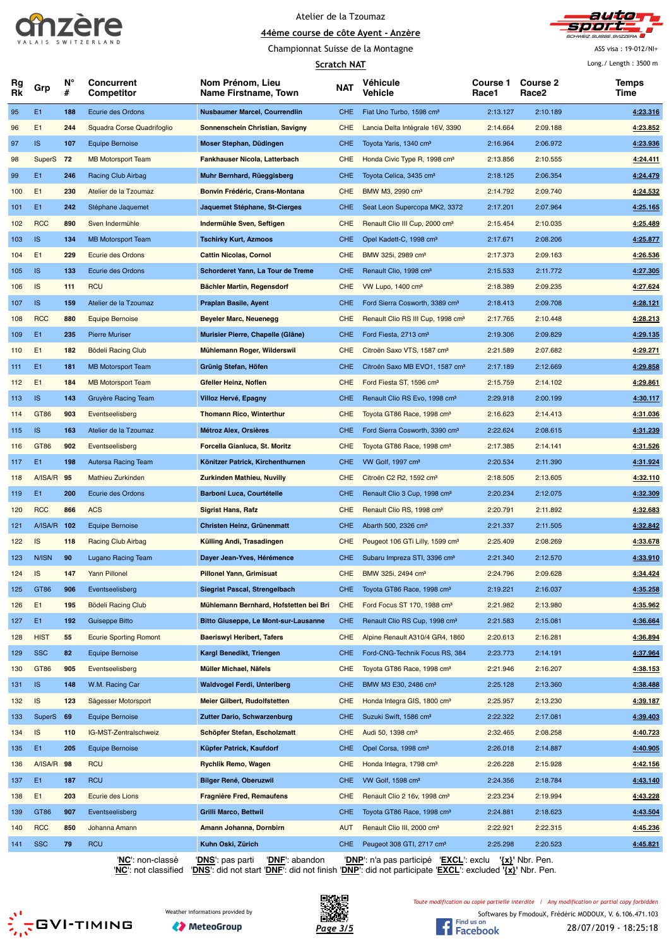



Championnat Suisse de la Montagne

**Scratch NAT**

ASS visa : 19-012/NI+ Long./ Length : 3500 m

|          |                |         |                                 |                                             | SCI ALCII NAT |                                               |                   |                                      | Lung./Lungur.JJUU in |
|----------|----------------|---------|---------------------------------|---------------------------------------------|---------------|-----------------------------------------------|-------------------|--------------------------------------|----------------------|
| Rg<br>Rk | Grp            | N°<br># | <b>Concurrent</b><br>Competitor | Nom Prénom, Lieu<br>Name Firstname, Town    | NAT           | Véhicule<br>Vehicle                           | Course 1<br>Race1 | <b>Course 2</b><br>Race <sub>2</sub> | Temps<br>Time        |
| 95       | E <sub>1</sub> | 188     | Ecurie des Ordons               | <b>Nusbaumer Marcel, Courrendlin</b>        | <b>CHE</b>    | Fiat Uno Turbo, 1598 cm <sup>3</sup>          | 2:13.127          | 2:10.189                             | 4:23.316             |
| 96       | E1             | 244     | Squadra Corse Quadrifoglio      | Sonnenschein Christian, Savigny             | <b>CHE</b>    | Lancia Delta Intégrale 16V, 3390              | 2:14.664          | 2:09.188                             | 4:23.852             |
| 97       | <b>IS</b>      | 107     | <b>Equipe Bernoise</b>          | Moser Stephan, Düdingen                     | <b>CHE</b>    | Toyota Yaris, 1340 cm <sup>3</sup>            | 2:16.964          | 2:06.972                             | 4.23.936             |
| 98       | SuperS         | 72      | <b>MB Motorsport Team</b>       | Fankhauser Nicola, Latterbach               | <b>CHE</b>    | Honda Civic Type R, 1998 cm <sup>3</sup>      | 2:13.856          | 2:10.555                             | 4:24.411             |
| 99       | E <sub>1</sub> | 246     | Racing Club Airbag              | Muhr Bernhard, Rüeggisberg                  | <b>CHE</b>    | Toyota Celica, 3435 cm <sup>3</sup>           | 2:18.125          | 2:06.354                             | 4:24.479             |
| 100      | E1             | 230     | Atelier de la Tzoumaz           | Bonvin Frédéric, Crans-Montana              | <b>CHE</b>    | BMW M3, 2990 cm <sup>3</sup>                  | 2:14.792          | 2:09.740                             | 4:24.532             |
| 101      | E1             | 242     | Stéphane Jaquemet               | Jaquemet Stéphane, St-Cierges               | <b>CHE</b>    | Seat Leon Supercopa MK2, 3372                 | 2:17.201          | 2:07.964                             | 4:25.165             |
| 102      | <b>RCC</b>     | 890     | Sven Indermühle                 | Indermühle Sven, Seftigen                   | <b>CHE</b>    | Renault Clio III Cup, 2000 cm <sup>3</sup>    | 2:15.454          | 2:10.035                             | 4:25.489             |
| 103      | IS             | 134     | <b>MB Motorsport Team</b>       | <b>Tschirky Kurt, Azmoos</b>                | <b>CHE</b>    | Opel Kadett-C, 1998 cm <sup>3</sup>           | 2:17.671          | 2:08.206                             | 4:25.877             |
| 104      | E <sub>1</sub> | 229     | Ecurie des Ordons               | <b>Cattin Nicolas, Cornol</b>               | <b>CHE</b>    | BMW 325i, 2989 cm <sup>3</sup>                | 2:17.373          | 2:09.163                             | 4:26.536             |
| 105      | <b>IS</b>      | 133     | Ecurie des Ordons               | Schorderet Yann, La Tour de Treme           | <b>CHE</b>    | Renault Clio, 1998 cm <sup>3</sup>            | 2:15.533          | 2:11.772                             | 4:27.305             |
| 106      | IS             | 111     | <b>RCU</b>                      | Bächler Martin, Regensdorf                  | <b>CHE</b>    | VW Lupo, 1400 cm <sup>3</sup>                 | 2:18.389          | 2:09.235                             | 4:27.624             |
| 107      | <b>IS</b>      | 159     | Atelier de la Tzoumaz           | Praplan Basile, Ayent                       | <b>CHE</b>    | Ford Sierra Cosworth, 3389 cm <sup>3</sup>    | 2:18.413          | 2:09.708                             | 4:28.121             |
| 108      | <b>RCC</b>     | 880     | <b>Equipe Bernoise</b>          | Beyeler Marc, Neuenegg                      | <b>CHE</b>    | Renault Clio RS III Cup, 1998 cm <sup>3</sup> | 2:17.765          | 2:10.448                             | 4:28.213             |
| 109      | E1             | 235     | <b>Pierre Muriser</b>           | Murisier Pierre, Chapelle (Glâne)           | <b>CHE</b>    | Ford Fiesta, 2713 cm <sup>3</sup>             | 2:19.306          | 2:09.829                             | 4:29.135             |
| 110      | E1             | 182     | Bödeli Racing Club              | Mühlemann Roger, Wilderswil                 | <b>CHE</b>    | Citroën Saxo VTS, 1587 cm <sup>3</sup>        | 2:21.589          | 2:07.682                             | 4:29.271             |
| 111      | E1             | 181     | <b>MB Motorsport Team</b>       | Grünig Stefan, Höfen                        | <b>CHE</b>    | Citroën Saxo MB EVO1, 1587 cm <sup>3</sup>    | 2:17.189          | 2:12.669                             | 4:29.858             |
| 112      | E <sub>1</sub> | 184     | <b>MB Motorsport Team</b>       | Gfeller Heinz, Noflen                       | <b>CHE</b>    | Ford Fiesta ST, 1596 cm <sup>3</sup>          | 2:15.759          | 2:14.102                             | 4:29.861             |
| 113      | <b>IS</b>      | 143     | Gruyère Racing Team             | Villoz Hervé, Epagny                        | <b>CHE</b>    | Renault Clio RS Evo, 1998 cm <sup>3</sup>     | 2:29.918          | 2:00.199                             | 4:30.117             |
| 114      | GT86           | 903     | Eventseelisberg                 | <b>Thomann Rico, Winterthur</b>             | <b>CHE</b>    | Toyota GT86 Race, 1998 cm <sup>3</sup>        | 2:16.623          | 2:14.413                             | 4:31.036             |
| 115      | IS.            | 163     | Atelier de la Tzoumaz           | Métroz Alex, Orsières                       | <b>CHE</b>    | Ford Sierra Cosworth, 3390 cm <sup>3</sup>    | 2:22.624          | 2:08.615                             | 4:31.239             |
| 116      | GT86           | 902     | Eventseelisberg                 | Forcella Gianluca, St. Moritz               | <b>CHE</b>    | Toyota GT86 Race, 1998 cm <sup>3</sup>        | 2:17.385          | 2:14.141                             | 4:31.526             |
| 117      | E1             | 198     | Autersa Racing Team             | Könitzer Patrick, Kirchenthurnen            | <b>CHE</b>    | VW Golf, 1997 cm <sup>3</sup>                 | 2:20.534          | 2:11.390                             | 4:31.924             |
| 118      | A/ISA/R 95     |         | Mathieu Zurkinden               | <b>Zurkinden Mathieu, Nuvilly</b>           | <b>CHE</b>    | Citroën C2 R2, 1592 cm <sup>3</sup>           | 2:18.505          | 2:13.605                             | 4:32.110             |
| 119      | E <sub>1</sub> | 200     | Ecurie des Ordons               | <b>Barboni Luca, Courtételle</b>            | <b>CHE</b>    | Renault Clio 3 Cup, 1998 cm <sup>3</sup>      | 2:20.234          | 2:12.075                             | 4:32.309             |
| 120      | <b>RCC</b>     | 866     | <b>ACS</b>                      | <b>Sigrist Hans, Rafz</b>                   | <b>CHE</b>    | Renault Clio RS, 1998 cm <sup>3</sup>         | 2:20.791          | 2:11.892                             | 4:32.683             |
| 121      | A/ISA/R        | 102     | <b>Equipe Bernoise</b>          | Christen Heinz, Grünenmatt                  | <b>CHE</b>    | Abarth 500, 2326 cm <sup>3</sup>              | 2:21.337          | 2:11.505                             | 4:32.842             |
| 122      | IS             | 118     | <b>Racing Club Airbag</b>       | Külling Andi, Trasadingen                   | <b>CHE</b>    | Peugeot 106 GTi Lilly, 1599 cm <sup>3</sup>   | 2:25.409          | 2:08.269                             | 4:33.678             |
| 123      | N/ISN          | 90      | Lugano Racing Team              | Dayer Jean-Yves, Hérémence                  | <b>CHE</b>    | Subaru Impreza STI, 3396 cm <sup>3</sup>      | 2:21.340          | 2:12.570                             | 4:33.910             |
| 124      | IS             | 147     | <b>Yann Pillonel</b>            | <b>Pillonel Yann, Grimisuat</b>             | <b>CHE</b>    | BMW 325i, 2494 cm <sup>3</sup>                | 2:24.796          | 2:09.628                             | 4:34.424             |
| 125      | GT86           | 906     | Eventseelisberg                 | Siegrist Pascal, Strengelbach               | <b>CHE</b>    | Toyota GT86 Race, 1998 cm <sup>3</sup>        | 2:19.221          | 2:16.037                             | 4:35.258             |
| 126      | E1             | 195     | Bödeli Racing Club              | Mühlemann Bernhard, Hofstetten bei Bri      | CHE           | Ford Focus ST 170, 1988 cm <sup>3</sup>       | 2:21.982          | 2:13.980                             | 4:35.962             |
| 127      | E <sub>1</sub> | 192     | Guiseppe Bitto                  | <b>Bitto Giuseppe, Le Mont-sur-Lausanne</b> | <b>CHE</b>    | Renault Clio RS Cup, 1998 cm <sup>3</sup>     | 2:21.583          | 2:15.081                             | 4:36.664             |
| 128      | <b>HIST</b>    | 55      | <b>Ecurie Sporting Romont</b>   | <b>Baeriswyl Heribert, Tafers</b>           | <b>CHE</b>    | Alpine Renault A310/4 GR4, 1860               | 2:20.613          | 2:16.281                             | 4:36.894             |
| 129      | <b>SSC</b>     | 82      | <b>Equipe Bernoise</b>          | Kargl Benedikt, Triengen                    | <b>CHE</b>    | Ford-CNG-Technik Focus RS, 384                | 2:23.773          | 2:14.191                             | 4:37.964             |
|          | GT86           | 905     | Eventseelisberg                 | Müller Michael, Näfels                      | CHE           | Toyota GT86 Race, 1998 cm <sup>3</sup>        | 2:21.946          | 2:16.207                             | 4:38.153             |
| 130      | <b>IS</b>      |         |                                 |                                             |               |                                               |                   | 2:13.360                             |                      |
| 131      |                | 148     | W.M. Racing Car                 | <b>Waldvogel Ferdi, Unteriberg</b>          | <b>CHE</b>    | BMW M3 E30, 2486 cm <sup>3</sup>              | 2:25.128          |                                      | 4:38.488             |
| 132      | IS             | 123     | Sägesser Motorsport             | Meier Gilbert, Rudolfstetten                | <b>CHE</b>    | Honda Integra GIS, 1800 cm <sup>3</sup>       | 2:25.957          | 2:13.230                             | 4:39.187             |
| 133      | <b>SuperS</b>  | 69      | <b>Equipe Bernoise</b>          | Zutter Dario, Schwarzenburg                 | <b>CHE</b>    | Suzuki Swift, 1586 cm <sup>3</sup>            | 2:22.322          | 2:17.081                             | 4:39.403             |
| 134      | IS             | 110     | IG-MST-Zentralschweiz           | Schöpfer Stefan, Escholzmatt                | <b>CHE</b>    | Audi 50, 1398 cm <sup>3</sup>                 | 2:32.465          | 2:08.258                             | 4:40.723             |
| 135      | E <sub>1</sub> | 205     | <b>Equipe Bernoise</b>          | Küpfer Patrick, Kaufdorf                    | <b>CHE</b>    | Opel Corsa, 1998 cm <sup>3</sup>              | 2:26.018          | 2:14.887                             | 4:40.905             |
| 136      | A/ISA/R        | 98      | <b>RCU</b>                      | <b>Rychlik Remo, Wagen</b>                  | <b>CHE</b>    | Honda Integra, 1798 cm <sup>3</sup>           | 2:26.228          | 2:15.928                             | 4:42.156             |
| 137      | E1             | 187     | <b>RCU</b>                      | <b>Bilger René, Oberuzwil</b>               | <b>CHE</b>    | VW Golf, 1598 cm <sup>3</sup>                 | 2:24.356          | 2:18.784                             | 4:43.140             |
| 138      | E1             | 203     | Ecurie des Lions                | <b>Fragnière Fred, Remaufens</b>            | <b>CHE</b>    | Renault Clio 2 16v, 1998 cm <sup>3</sup>      | 2:23.234          | 2:19.994                             | 4:43.228             |
| 139      | GT86           | 907     | Eventseelisberg                 | <b>Grilli Marco, Bettwil</b>                | <b>CHE</b>    | Toyota GT86 Race, 1998 cm <sup>3</sup>        | 2:24.881          | 2:18.623                             | 4:43.504             |
| 140      | <b>RCC</b>     | 850     | Johanna Amann                   | Amann Johanna, Dornbirn                     | <b>AUT</b>    | Renault Clio III, 2000 cm <sup>3</sup>        | 2:22.921          | 2:22.315                             | 4:45.236             |
| 141      | <b>SSC</b>     | 79      | <b>RCU</b>                      | Kuhn Oski, Zürich                           | <b>CHE</b>    | Peugeot 308 GTI, 2717 cm <sup>3</sup>         | 2:25.298          | 2:20.523                             | 4:45.821             |

'**NC**': non-classé '**DNS**': pas parti '**DNF**': abandon '**DNP**': n'a pas participé '**EXCL**': exclu **'{x}'** Nbr. Pen. '**NC**': not classified '**DNS**': did not start '**DNF**': did not finish '**DNP**': did not participate '**EXCL**': excluded **'{x}'** Nbr. Pen.

**SES** GVI-TIMING







*Toute modification ou copie partielle interdite / Any modification or partial copy forbidden*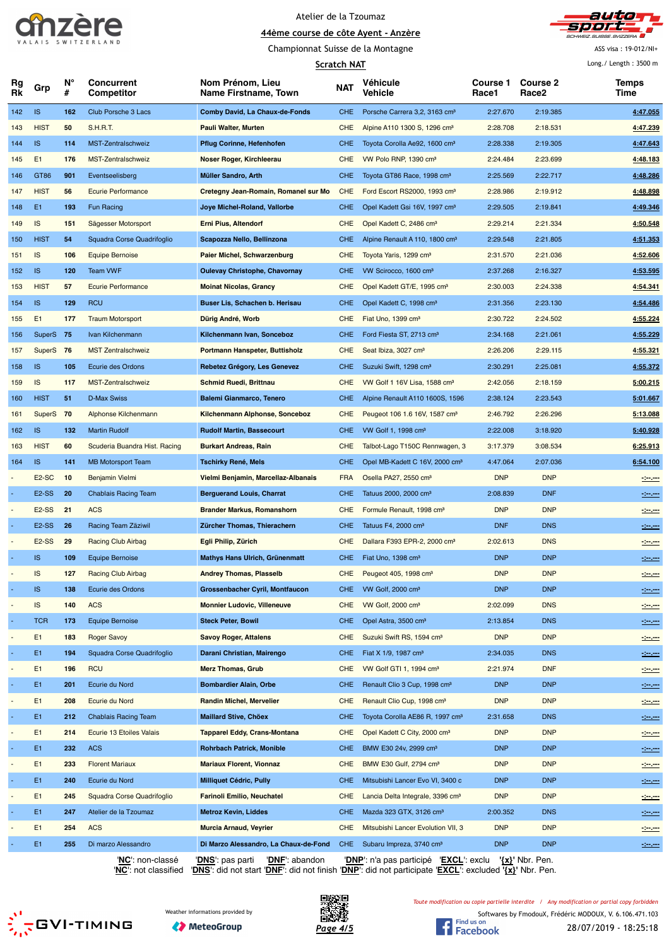

Championnat Suisse de la Montagne



ASS visa : 19-012/NI+

Long./ Length : 3500 m

|                          |                    |         | <b>Scratch NAT</b>                           |                                          |            |                                              |                          | Long./ Length: 3500 m    |                                                                                                                                    |
|--------------------------|--------------------|---------|----------------------------------------------|------------------------------------------|------------|----------------------------------------------|--------------------------|--------------------------|------------------------------------------------------------------------------------------------------------------------------------|
| Rg<br>Rk                 | Grp                | N°<br># | <b>Concurrent</b><br>Competitor              | Nom Prénom, Lieu<br>Name Firstname, Town | <b>NAT</b> | <b>Véhicule</b><br>Vehicle                   | <b>Course 1</b><br>Race1 | <b>Course 2</b><br>Race2 | Temps<br>Time                                                                                                                      |
| 142                      | <b>IS</b>          | 162     | Club Porsche 3 Lacs                          | <b>Comby David, La Chaux-de-Fonds</b>    | <b>CHE</b> | Porsche Carrera 3,2, 3163 cm <sup>3</sup>    | 2:27.670                 | 2:19.385                 | 4:47.055                                                                                                                           |
| 143                      | <b>HIST</b>        | 50      | <b>S.H.R.T.</b>                              | <b>Pauli Walter, Murten</b>              | <b>CHE</b> | Alpine A110 1300 S, 1296 cm <sup>3</sup>     | 2:28.708                 | 2:18.531                 | 4:47.239                                                                                                                           |
| 144                      | <b>IS</b>          | 114     | MST-Zentralschweiz                           | Pflug Corinne, Hefenhofen                | <b>CHE</b> | Toyota Corolla Ae92, 1600 cm <sup>3</sup>    | 2:28.338                 | 2:19.305                 | 4:47.643                                                                                                                           |
| 145                      | E <sub>1</sub>     | 176     | MST-Zentralschweiz                           | Noser Roger, Kirchleerau                 | <b>CHE</b> | VW Polo RNP, 1390 cm <sup>3</sup>            | 2:24.484                 | 2:23.699                 | 4:48.183                                                                                                                           |
| 146                      | GT86               | 901     | Eventseelisberg                              | Müller Sandro, Arth                      | <b>CHE</b> | Toyota GT86 Race, 1998 cm <sup>3</sup>       | 2:25.569                 | 2:22.717                 | 4:48.286                                                                                                                           |
| 147                      | <b>HIST</b>        | 56      | <b>Ecurie Performance</b>                    | Cretegny Jean-Romain, Romanel sur Mo     | <b>CHE</b> | Ford Escort RS2000, 1993 cm <sup>3</sup>     | 2:28.986                 | 2:19.912                 | 4:48.898                                                                                                                           |
| 148                      | E1                 | 193     | Fun Racing                                   | Joye Michel-Roland, Vallorbe             | <b>CHE</b> | Opel Kadett Gsi 16V, 1997 cm <sup>3</sup>    | 2:29.505                 | 2:19.841                 | 4:49.346                                                                                                                           |
| 149                      | IS                 | 151     | Sägesser Motorsport                          | <b>Erni Pius, Altendorf</b>              | <b>CHE</b> | Opel Kadett C, 2486 cm <sup>3</sup>          | 2:29.214                 | 2:21.334                 | 4:50.548                                                                                                                           |
| 150                      | <b>HIST</b>        | 54      | Squadra Corse Quadrifoglio                   | Scapozza Nello, Bellinzona               | <b>CHE</b> | Alpine Renault A 110, 1800 cm <sup>3</sup>   | 2:29.548                 | 2:21.805                 | 4:51.353                                                                                                                           |
| 151                      | IS                 | 106     | <b>Equipe Bernoise</b>                       | <b>Paier Michel, Schwarzenburg</b>       | <b>CHE</b> | Toyota Yaris, 1299 cm <sup>3</sup>           | 2:31.570                 | 2:21.036                 | 4:52.606                                                                                                                           |
| 152                      | <b>IS</b>          | 120     | <b>Team VWF</b>                              | <b>Oulevay Christophe, Chavornay</b>     | <b>CHE</b> | VW Scirocco, 1600 cm <sup>3</sup>            | 2:37.268                 | 2:16.327                 | 4:53.595                                                                                                                           |
| 153                      | <b>HIST</b>        | 57      | <b>Ecurie Performance</b>                    | <b>Moinat Nicolas, Grancy</b>            | <b>CHE</b> | Opel Kadett GT/E, 1995 cm <sup>3</sup>       | 2:30.003                 | 2:24.338                 | 4:54.341                                                                                                                           |
| 154                      | <b>IS</b>          | 129     | <b>RCU</b>                                   | Buser Lis, Schachen b. Herisau           | <b>CHE</b> | Opel Kadett C, 1998 cm <sup>3</sup>          | 2:31.356                 | 2:23.130                 | 4:54.486                                                                                                                           |
| 155                      | E1                 | 177     | <b>Traum Motorsport</b>                      | CHE<br>Dürig André, Worb                 |            | Fiat Uno, 1399 cm <sup>3</sup>               | 2:30.722                 | 2:24.502                 | 4:55.224                                                                                                                           |
| 156                      | SuperS 75          |         | Ivan Kilchenmann                             | Kilchenmann Ivan, Sonceboz               | <b>CHE</b> | Ford Fiesta ST, 2713 cm <sup>3</sup>         | 2:34.168                 | 2:21.061                 | 4:55.229                                                                                                                           |
| 157                      | SuperS 76          |         | <b>MST Zentralschweiz</b>                    | Portmann Hanspeter, Buttisholz           | <b>CHE</b> | Seat Ibiza, 3027 cm <sup>3</sup>             | 2:26.206                 | 2:29.115                 | 4:55.321                                                                                                                           |
| 158                      | <b>IS</b>          | 105     | Ecurie des Ordons                            | Rebetez Grégory, Les Genevez             | <b>CHE</b> | Suzuki Swift, 1298 cm <sup>3</sup>           | 2:30.291                 | 2:25.081                 | 4:55.372                                                                                                                           |
| 159                      | IS                 | 117     | MST-Zentralschweiz                           | <b>Schmid Ruedi, Brittnau</b>            | <b>CHE</b> | VW Golf 1 16V Lisa, 1588 cm <sup>3</sup>     | 2:42.056                 | 2:18.159                 | 5:00.215                                                                                                                           |
| 160                      | <b>HIST</b>        | 51      | <b>D-Max Swiss</b>                           | <b>Balemi Gianmarco, Tenero</b>          | <b>CHE</b> | Alpine Renault A110 1600S, 1596              | 2:38.124                 | 2:23.543                 | 5:01.667                                                                                                                           |
| 161                      | SuperS 70          |         | Alphonse Kilchenmann                         | Kilchenmann Alphonse, Sonceboz           | <b>CHE</b> | Peugeot 106 1.6 16V, 1587 cm <sup>3</sup>    | 2:46.792                 | 2:26.296                 | 5:13.088                                                                                                                           |
| 162                      | <b>IS</b>          | 132     | <b>Martin Rudolf</b>                         | <b>Rudolf Martin, Bassecourt</b>         | <b>CHE</b> | VW Golf 1, 1998 cm <sup>3</sup>              | 2:22.008                 | 3:18.920                 | 5:40.928                                                                                                                           |
| 163                      | <b>HIST</b>        | 60      | Scuderia Buandra Hist. Racing                | <b>Burkart Andreas, Rain</b>             | <b>CHE</b> | Talbot-Lago T150C Rennwagen, 3               | 3:17.379                 | 3:08.534                 | 6:25.913                                                                                                                           |
| 164                      | <b>IS</b>          | 141     | <b>MB Motorsport Team</b>                    | <b>Tschirky René, Mels</b>               | <b>CHE</b> | Opel MB-Kadett C 16V, 2000 cm <sup>3</sup>   | 4:47.064                 | 2:07.036                 | 6:54.100                                                                                                                           |
|                          | E <sub>2</sub> -SC | 10      | Benjamin Vielmi                              | Vielmi Benjamin, Marcellaz-Albanais      | <b>FRA</b> | Osella PA27, 2550 cm <sup>3</sup>            | <b>DNP</b>               | <b>DNP</b>               | $-200$                                                                                                                             |
|                          | E <sub>2</sub> -SS | 20      | <b>Chablais Racing Team</b>                  | <b>Berguerand Louis, Charrat</b>         | <b>CHE</b> | Tatuus 2000, 2000 cm <sup>3</sup>            | 2:08.839                 | <b>DNF</b>               | $-200$                                                                                                                             |
|                          | E <sub>2</sub> -SS | 21      | <b>ACS</b>                                   | <b>Brander Markus, Romanshorn</b>        | <b>CHE</b> | Formule Renault, 1998 cm <sup>3</sup>        | <b>DNP</b>               | <b>DNP</b>               | مسرمين                                                                                                                             |
|                          | E <sub>2</sub> -SS | 26      | Racing Team Zäziwil                          | Zürcher Thomas, Thierachern              | <b>CHE</b> | Tatuus F4, 2000 cm <sup>3</sup>              | <b>DNF</b>               | <b>DNS</b>               |                                                                                                                                    |
|                          | E <sub>2</sub> -SS | 29      | <b>Racing Club Airbag</b>                    | Egli Philip, Zürich                      | <b>CHE</b> | Dallara F393 EPR-2, 2000 cm <sup>3</sup>     | 2:02.613                 | <b>DNS</b>               | 120,000                                                                                                                            |
|                          | <b>IS</b>          | 109     |                                              | Mathys Hans Ulrich, Grünenmatt           | <b>CHE</b> | Fiat Uno, 1398 cm <sup>3</sup>               | <b>DNP</b>               | <b>DNP</b>               | $\frac{1}{2} \left( \frac{1}{2} \frac{1}{2} \right) \left( \frac{1}{2} \frac{1}{2} \right) \left( \frac{1}{2} \frac{1}{2} \right)$ |
|                          | IS                 | 127     | Equipe Bernoise<br><b>Racing Club Airbag</b> | <b>Andrey Thomas, Plasselb</b>           | <b>CHE</b> | Peugeot 405, 1998 cm <sup>3</sup>            | <b>DNP</b>               | <b>DNP</b>               | $-20.000$                                                                                                                          |
|                          |                    |         | Ecurie des Ordons                            |                                          |            | VW Golf, 2000 cm <sup>3</sup>                |                          |                          | $\frac{1}{2} \left( \frac{1}{2} \right) \left( \frac{1}{2} \right) \left( \frac{1}{2} \right) \left( \frac{1}{2} \right)$          |
|                          | <b>IS</b>          | 138     |                                              | Grossenbacher Cyril, Montfaucon          | <b>CHE</b> |                                              | <b>DNP</b>               | <b>DNP</b>               | $-200$                                                                                                                             |
| $\overline{\phantom{a}}$ | IS                 | 140     | <b>ACS</b>                                   | <b>Monnier Ludovic, Villeneuve</b>       | <b>CHE</b> | VW Golf, 2000 cm <sup>3</sup>                | 2:02.099                 | <b>DNS</b>               | $-20.000$                                                                                                                          |
| $\blacksquare$           | <b>TCR</b>         | 173     | Equipe Bernoise                              | <b>Steck Peter, Bowil</b>                | <b>CHE</b> | Opel Astra, 3500 cm <sup>3</sup>             | 2:13.854                 | <b>DNS</b>               | $-200 - 200$                                                                                                                       |
|                          | E1                 | 183     | <b>Roger Savoy</b>                           | <b>Savoy Roger, Attalens</b>             | <b>CHE</b> | Suzuki Swift RS, 1594 cm <sup>3</sup>        | <b>DNP</b>               | <b>DNP</b>               | $-200 - 100$                                                                                                                       |
| $\blacksquare$           | E1                 | 194     | Squadra Corse Quadrifoglio                   | Darani Christian, Mairengo               | <b>CHE</b> | Fiat X 1/9, 1987 cm <sup>3</sup>             | 2:34.035                 | <b>DNS</b>               | $-200$                                                                                                                             |
|                          | E1                 | 196     | <b>RCU</b>                                   | <b>Merz Thomas, Grub</b>                 | <b>CHE</b> | VW Golf GTI 1, 1994 cm <sup>3</sup>          | 2:21.974                 | <b>DNF</b>               | 120,000                                                                                                                            |
|                          | E1                 | 201     | Ecurie du Nord                               | <b>Bombardier Alain, Orbe</b>            | <b>CHE</b> | Renault Clio 3 Cup, 1998 cm <sup>3</sup>     | <b>DNP</b>               | <b>DNP</b>               | $\frac{1}{2}$ and $\frac{1}{2}$                                                                                                    |
|                          | E1                 | 208     | Ecurie du Nord                               | <b>Randin Michel, Mervelier</b>          | CHE        | Renault Clio Cup, 1998 cm <sup>3</sup>       | <b>DNP</b>               | <b>DNP</b>               | $-100 - 100$                                                                                                                       |
|                          | E1                 | 212     | <b>Chablais Racing Team</b>                  | <b>Maillard Stive, Chöex</b>             | <b>CHE</b> | Toyota Corolla AE86 R, 1997 cm <sup>3</sup>  | 2:31.658                 | <b>DNS</b>               | $-200$                                                                                                                             |
| $\overline{\phantom{a}}$ | E1                 | 214     | Ecurie 13 Etoiles Valais                     | <b>Tapparel Eddy, Crans-Montana</b>      | <b>CHE</b> | Opel Kadett C City, 2000 cm <sup>3</sup>     | <b>DNP</b>               | <b>DNP</b>               | $\frac{1}{2} \left( \frac{1}{2} \frac{1}{2} \right) \left( \frac{1}{2} \frac{1}{2} \right) \left( \frac{1}{2} \frac{1}{2} \right)$ |
|                          | E1                 | 232     | <b>ACS</b>                                   | Rohrbach Patrick, Monible                | <b>CHE</b> | BMW E30 24v, 2999 cm <sup>3</sup>            | <b>DNP</b>               | <b>DNP</b>               | $  -$                                                                                                                              |
|                          | E1                 | 233     | <b>Florent Mariaux</b>                       | <b>Mariaux Florent, Vionnaz</b>          | <b>CHE</b> | BMW E30 Gulf, 2794 cm <sup>3</sup>           | <b>DNP</b>               | <b>DNP</b>               | $-200 - 100$                                                                                                                       |
|                          | E1                 | 240     | Ecurie du Nord                               | Milliquet Cédric, Pully                  | <b>CHE</b> | Mitsubishi Lancer Evo VI, 3400 c             | <b>DNP</b>               | <b>DNP</b>               | $-200$                                                                                                                             |
|                          | E1                 | 245     | Squadra Corse Quadrifoglio                   | <b>Farinoli Emilio, Neuchatel</b>        | <b>CHE</b> | Lancia Delta Integrale, 3396 cm <sup>3</sup> | <b>DNP</b>               | <b>DNP</b>               | $-100$                                                                                                                             |
|                          | E1                 | 247     | Atelier de la Tzoumaz                        | <b>Metroz Kevin, Liddes</b>              | <b>CHE</b> | Mazda 323 GTX, 3126 cm <sup>3</sup>          | 2:00.352                 | <b>DNS</b>               | $-200 - 200$                                                                                                                       |
|                          | E <sub>1</sub>     | 254     | <b>ACS</b>                                   | Murcia Arnaud, Veyrier                   | <b>CHE</b> | Mitsubishi Lancer Evolution VII, 3           | <b>DNP</b>               | <b>DNP</b>               | $-200$                                                                                                                             |
|                          | E1                 | 255     | Di marzo Alessandro                          | Di Marzo Alessandro, La Chaux-de-Fond    | <b>CHE</b> | Subaru Impreza, 3740 cm <sup>3</sup>         | <b>DNP</b>               | <b>DNP</b>               | $ -$                                                                                                                               |

'**NC**': non-classé '**DNS**': pas parti '**DNF**': abandon '**DNP**': n'a pas participé '**EXCL**': exclu **'{x}'** Nbr. Pen.





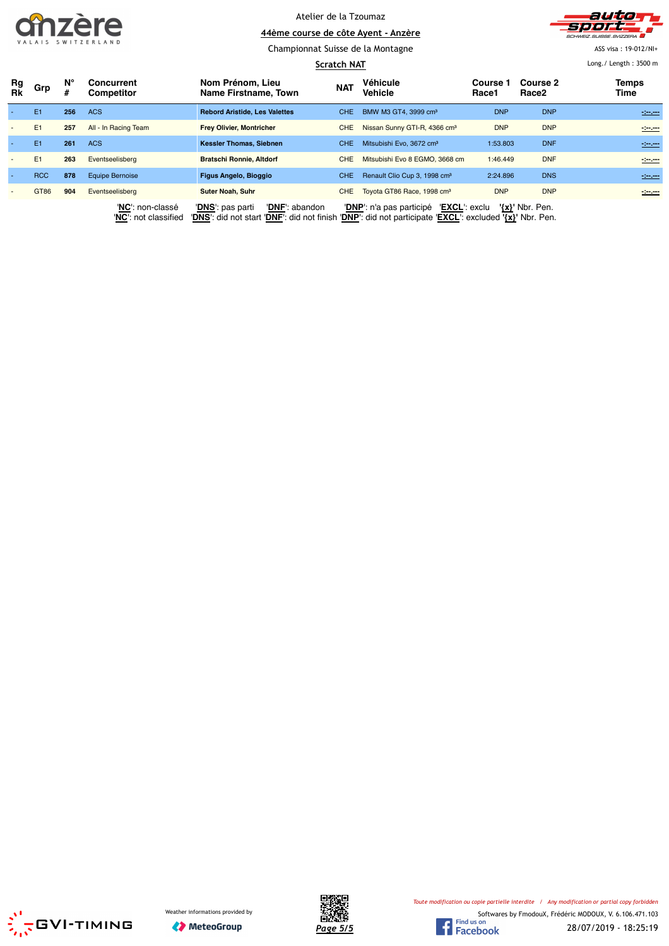



Championnat Suisse de la Montagne

ASS visa : 19-012/NI+ Long./ Length : 3500 m

|                          |                |         |                                 | Scratch NAT                              | Long. / Length: $3500$ m |                                           |                          |                               |               |
|--------------------------|----------------|---------|---------------------------------|------------------------------------------|--------------------------|-------------------------------------------|--------------------------|-------------------------------|---------------|
| Rg<br><b>Rk</b>          | Grp            | N°<br># | Concurrent<br><b>Competitor</b> | Nom Prénom, Lieu<br>Name Firstname, Town | <b>NAT</b>               | Véhicule<br>Vehicle                       | <b>Course 1</b><br>Race1 | Course 2<br>Race <sub>2</sub> | Temps<br>Time |
|                          | E1             | 256     | <b>ACS</b>                      | <b>Rebord Aristide, Les Valettes</b>     | CHE.                     | BMW M3 GT4, 3999 cm <sup>3</sup>          | <b>DNP</b>               | <b>DNP</b>                    | $-200$        |
| $\overline{\phantom{a}}$ | E1             | 257     | All - In Racing Team            | <b>Frey Olivier, Montricher</b>          |                          | Nissan Sunny GTI-R, 4366 cm <sup>3</sup>  | <b>DNP</b>               | <b>DNP</b>                    | $-200$        |
|                          | E <sub>1</sub> | 261     | <b>ACS</b>                      | <b>Kessler Thomas, Siebnen</b>           | <b>CHE</b>               | Mitsubishi Evo, 3672 cm <sup>3</sup>      | 1:53.803                 | <b>DNF</b>                    | $-1 - 1 - 1$  |
| $\overline{\phantom{a}}$ | E1             | 263     | Eventseelisberg                 | <b>Bratschi Ronnie, Altdorf</b>          | <b>CHE</b>               | Mitsubishi Evo 8 EGMO, 3668 cm            | 1:46.449                 | <b>DNF</b>                    | 120,000       |
|                          | <b>RCC</b>     | 878     | <b>Equipe Bernoise</b>          | Figus Angelo, Bioggio                    | <b>CHE</b>               | Renault Clio Cup 3, 1998 cm <sup>3</sup>  | 2:24.896                 | <b>DNS</b>                    | $-200$        |
| $\overline{\phantom{a}}$ | GT86           | 904     | Eventseelisberg                 | <b>Suter Noah, Suhr</b>                  | CHE.                     | Toyota GT86 Race, 1998 cm <sup>3</sup>    | <b>DNP</b>               | <b>DNP</b>                    | $-200$        |
|                          |                |         | 'NC': non-classé                | 'DNF': abandon<br>'DNS': pas parti       |                          | 'EXCL': exclu<br>'DNP': n'a pas participé |                          | $\{x\}$ ' Nbr. Pen.           |               |





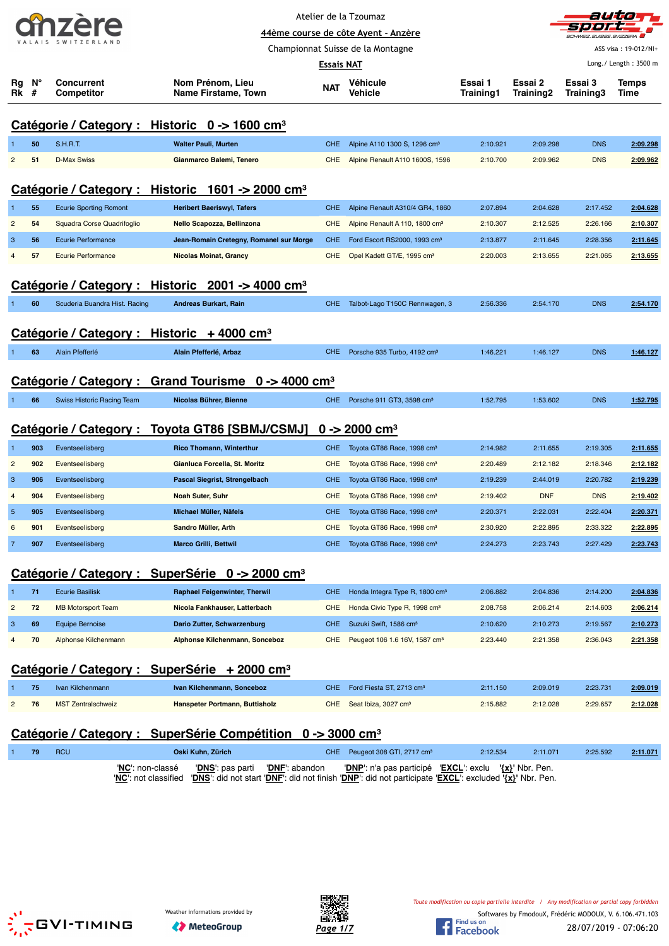| Atelier de la Tzoumaz<br>stetet.<br>44ème course de côte Ayent - Anzère |                                                                                                                                                                         |                               |                                                                    |            |                                            |                      |                      |                      | autio<br>SCHWEIZ. SUISSE. SVIZZERA |  |  |
|-------------------------------------------------------------------------|-------------------------------------------------------------------------------------------------------------------------------------------------------------------------|-------------------------------|--------------------------------------------------------------------|------------|--------------------------------------------|----------------------|----------------------|----------------------|------------------------------------|--|--|
|                                                                         |                                                                                                                                                                         |                               |                                                                    |            | Championnat Suisse de la Montagne          |                      |                      |                      | ASS visa: 19-012/NI+               |  |  |
|                                                                         |                                                                                                                                                                         |                               |                                                                    | Essais NAT |                                            |                      |                      |                      | Long./ Length: 3500 m              |  |  |
| Rg                                                                      | N°<br>Rk #                                                                                                                                                              | Concurrent<br>Competitor      | Nom Prénom, Lieu<br>Name Firstame, Town                            | <b>NAT</b> | Véhicule<br>Vehicle                        | Essai 1<br>Training1 | Essai 2<br>Training2 | Essai 3<br>Training3 | <b>Temps</b><br>Time               |  |  |
|                                                                         |                                                                                                                                                                         |                               |                                                                    |            |                                            |                      |                      |                      |                                    |  |  |
|                                                                         |                                                                                                                                                                         |                               | <u>Catégorie / Category : Historic 0 -&gt; 1600 cm<sup>3</sup></u> |            |                                            |                      |                      |                      |                                    |  |  |
|                                                                         | 50                                                                                                                                                                      | <b>S.H.R.T.</b>               | <b>Walter Pauli, Murten</b>                                        | <b>CHE</b> | Alpine A110 1300 S, 1296 cm <sup>3</sup>   | 2:10.921             | 2:09.298             | <b>DNS</b>           | 2:09.298                           |  |  |
| $\overline{c}$                                                          | 51                                                                                                                                                                      | <b>D-Max Swiss</b>            | Gianmarco Balemi, Tenero                                           | <b>CHE</b> | Alpine Renault A110 1600S, 1596            | 2:10.700             | 2:09.962             | <b>DNS</b>           | 2:09.962                           |  |  |
|                                                                         | Catégorie / Category : Historic 1601 -> 2000 cm <sup>3</sup>                                                                                                            |                               |                                                                    |            |                                            |                      |                      |                      |                                    |  |  |
| 1                                                                       | 55                                                                                                                                                                      | <b>Ecurie Sporting Romont</b> | <b>Heribert Baeriswyl, Tafers</b>                                  | <b>CHE</b> | Alpine Renault A310/4 GR4, 1860            | 2:07.894             | 2:04.628             | 2:17.452             | 2:04.628                           |  |  |
| $\overline{2}$                                                          | 54                                                                                                                                                                      | Squadra Corse Quadrifoglio    | Nello Scapozza, Bellinzona                                         | <b>CHE</b> | Alpine Renault A 110, 1800 cm <sup>3</sup> | 2:10.307             | 2:12.525             | 2:26.166             | 2:10.307                           |  |  |
| 3                                                                       | 56                                                                                                                                                                      | <b>Ecurie Performance</b>     | Jean-Romain Cretegny, Romanel sur Morge                            | <b>CHE</b> | Ford Escort RS2000, 1993 cm <sup>3</sup>   | 2:13.877             | 2:11.645             | 2:28.356             | 2:11.645                           |  |  |
| $\overline{4}$                                                          | 57                                                                                                                                                                      | <b>Ecurie Performance</b>     | <b>Nicolas Moinat, Grancy</b>                                      | <b>CHE</b> | Opel Kadett GT/E, 1995 cm <sup>3</sup>     | 2:20.003             | 2:13.655             | 2:21.065             | 2:13.655                           |  |  |
|                                                                         |                                                                                                                                                                         |                               | Catégorie / Category : Historic 2001 -> 4000 cm <sup>3</sup>       |            |                                            |                      |                      |                      |                                    |  |  |
|                                                                         |                                                                                                                                                                         |                               |                                                                    |            |                                            |                      | 2:54.170             |                      |                                    |  |  |
|                                                                         | 60                                                                                                                                                                      | Scuderia Buandra Hist. Racing | Andreas Burkart, Rain                                              | <b>CHE</b> | Talbot-Lago T150C Rennwagen, 3             | 2:56.336             |                      | <b>DNS</b>           | 2:54.170                           |  |  |
|                                                                         |                                                                                                                                                                         |                               | Catégorie / Category : Historic + 4000 cm <sup>3</sup>             |            |                                            |                      |                      |                      |                                    |  |  |
| 1                                                                       | 63                                                                                                                                                                      | Alain Pfefferlé               | Alain Pfefferlé, Arbaz                                             | <b>CHE</b> | Porsche 935 Turbo, 4192 cm <sup>3</sup>    | 1:46.221             | 1:46.127             | <b>DNS</b>           | 1:46.127                           |  |  |
|                                                                         |                                                                                                                                                                         |                               | Catégorie / Category : Grand Tourisme 0 -> 4000 cm <sup>3</sup>    |            |                                            |                      |                      |                      |                                    |  |  |
| 1                                                                       | 66                                                                                                                                                                      | Swiss Historic Racing Team    | Nicolas Bührer, Bienne                                             | CHE.       | Porsche 911 GT3, 3598 cm <sup>3</sup>      | 1:52.795             | 1:53.602             | <b>DNS</b>           | 1:52.795                           |  |  |
|                                                                         |                                                                                                                                                                         |                               |                                                                    |            |                                            |                      |                      |                      |                                    |  |  |
|                                                                         |                                                                                                                                                                         | Catégorie / Category :        | Toyota GT86 [SBMJ/CSMJ]                                            |            | $0 \rightarrow 2000 \text{ cm}^3$          |                      |                      |                      |                                    |  |  |
| $\overline{1}$                                                          | 903                                                                                                                                                                     | Eventseelisberg               | <b>Rico Thomann, Winterthur</b>                                    | <b>CHE</b> | Toyota GT86 Race, 1998 cm <sup>3</sup>     | 2:14.982             | 2:11.655             | 2:19.305             | 2:11.655                           |  |  |
| $\overline{c}$                                                          | 902                                                                                                                                                                     | Eventseelisberg               | Gianluca Forcella, St. Moritz                                      | <b>CHE</b> | Toyota GT86 Race, 1998 cm <sup>3</sup>     | 2:20.489             | 2:12.182             | 2:18.346             | 2:12.182                           |  |  |
| 3                                                                       | 906                                                                                                                                                                     | Eventseelisberg               | Pascal Siegrist, Strengelbach                                      | <b>CHE</b> | Toyota GT86 Race, 1998 cm <sup>3</sup>     | 2:19.239             | 2:44.019             | 2:20.782             | 2:19.239                           |  |  |
| $\overline{4}$                                                          | 904                                                                                                                                                                     | Eventseelisberg               | Noah Suter, Suhr                                                   | <b>CHE</b> | Toyota GT86 Race, 1998 cm <sup>3</sup>     | 2:19.402             | <b>DNF</b>           | <b>DNS</b>           | 2:19.402                           |  |  |
| $\overline{5}$                                                          | 905                                                                                                                                                                     | Eventseelisberg               | Michael Müller, Näfels                                             | <b>CHE</b> | Toyota GT86 Race, 1998 cm <sup>3</sup>     | 2:20.371             | 2:22.031             | 2:22.404             | 2:20.371                           |  |  |
| 6                                                                       | 901                                                                                                                                                                     | Eventseelisberg               | Sandro Müller, Arth                                                | <b>CHE</b> | Toyota GT86 Race, 1998 cm <sup>3</sup>     | 2:30.920             | 2:22.895             | 2:33.322             | 2:22.895                           |  |  |
| $\overline{7}$                                                          | 907                                                                                                                                                                     | Eventseelisberg               | <b>Marco Grilli, Bettwil</b>                                       | CHE.       | Toyota GT86 Race, 1998 cm <sup>3</sup>     | 2:24.273             | 2:23.743             | 2:27.429             | 2:23.743                           |  |  |
|                                                                         |                                                                                                                                                                         |                               | Catégorie / Category : SuperSérie 0 -> 2000 cm <sup>3</sup>        |            |                                            |                      |                      |                      |                                    |  |  |
| 1                                                                       | 71                                                                                                                                                                      | <b>Ecurie Basilisk</b>        | <b>Raphael Feigenwinter, Therwil</b>                               | <b>CHE</b> | Honda Integra Type R, 1800 cm <sup>3</sup> | 2:06.882             | 2:04.836             | 2:14.200             | 2:04.836                           |  |  |
| $\overline{c}$                                                          | 72                                                                                                                                                                      | <b>MB Motorsport Team</b>     | Nicola Fankhauser, Latterbach                                      | <b>CHE</b> | Honda Civic Type R, 1998 cm <sup>3</sup>   | 2:08.758             | 2:06.214             | 2:14.603             | 2:06.214                           |  |  |
| 3                                                                       | 69                                                                                                                                                                      | <b>Equipe Bernoise</b>        | Dario Zutter, Schwarzenburg                                        | <b>CHE</b> | Suzuki Swift, 1586 cm <sup>3</sup>         | 2:10.620             | 2:10.273             | 2:19.567             | 2:10.273                           |  |  |
| $\overline{4}$                                                          | 70<br>Alphonse Kilchenmann<br>Alphonse Kilchenmann, Sonceboz<br>Peugeot 106 1.6 16V, 1587 cm <sup>3</sup><br><b>CHE</b><br>2:23.440<br>2:21.358<br>2:36.043<br>2:21.358 |                               |                                                                    |            |                                            |                      |                      |                      |                                    |  |  |
|                                                                         |                                                                                                                                                                         |                               | Catégorie / Category : SuperSérie + 2000 cm <sup>3</sup>           |            |                                            |                      |                      |                      |                                    |  |  |
|                                                                         | 75                                                                                                                                                                      | Ivan Kilchenmann              | Ivan Kilchenmann, Sonceboz                                         | <b>CHE</b> | Ford Fiesta ST, 2713 cm <sup>3</sup>       | 2:11.150             | 2:09.019             | 2:23.731             | 2:09.019                           |  |  |
| 2                                                                       | 76                                                                                                                                                                      | <b>MST Zentralschweiz</b>     | Hanspeter Portmann, Buttisholz                                     | <b>CHE</b> | Seat Ibiza, 3027 cm <sup>3</sup>           | 2:15.882             | 2:12.028             | 2:29.657             | 2:12.028                           |  |  |

# **Catégorie / Category : SuperSérie Compétition 0 -> 3000 cm³**

| 79 | RCU | Oski Kuhn. Zürich                                                                                                           |  | CHE Peugeot 308 GTI, 2717 cm <sup>3</sup>                                                                 | 2:12.534 | 2:11.071 | 2:25.592 | 2:11.071 |
|----|-----|-----------------------------------------------------------------------------------------------------------------------------|--|-----------------------------------------------------------------------------------------------------------|----------|----------|----------|----------|
|    |     | "NC": not classified "DNS": did not start "DNF": did not finish "DNP": did not participate "EXCL": excluded '{x}' Nbr. Pen. |  | 'NC': non-classé  'DNS': pas parti 'DNF': abandon  'DNP': n'a pas participé 'EXCL': exclu '{x}' Nbr. Pen. |          |          |          |          |





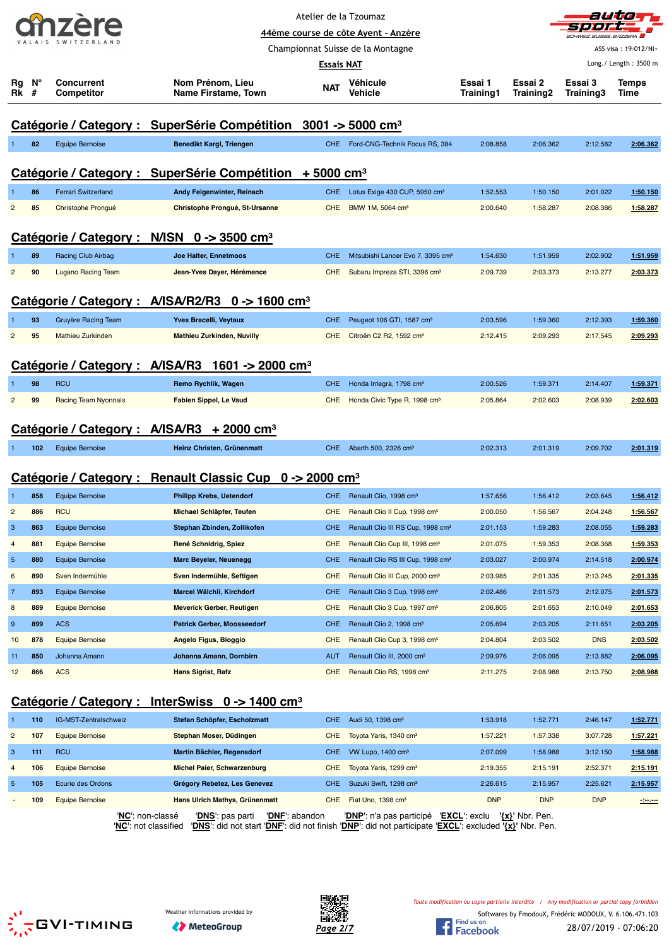| 107                |  |  |  |  |  |  |
|--------------------|--|--|--|--|--|--|
| VALAIS SWITZERLAND |  |  |  |  |  |  |



Championnat Suisse de la Montagne

ASS visa : 19-012/NI+

|                |                                                                                                                                                                                                  |                                             |                                                                                         | <b>Essais NAT</b>        |                                                                                                                                                  |                        |                          |                        | Long./ Length: 3500 m |  |  |  |  |
|----------------|--------------------------------------------------------------------------------------------------------------------------------------------------------------------------------------------------|---------------------------------------------|-----------------------------------------------------------------------------------------|--------------------------|--------------------------------------------------------------------------------------------------------------------------------------------------|------------------------|--------------------------|------------------------|-----------------------|--|--|--|--|
| Rg<br>Rk       | N°<br>#                                                                                                                                                                                          | <b>Concurrent</b><br><b>Competitor</b>      | Nom Prénom, Lieu<br>Name Firstame, Town                                                 | <b>NAT</b>               | Véhicule<br>Vehicle                                                                                                                              | Essai 1<br>Training1   | Essai 2<br>Training2     | Essai 3<br>Training3   | Temps<br>Time         |  |  |  |  |
|                |                                                                                                                                                                                                  |                                             | Catégorie / Category : SuperSérie Compétition 3001 -> 5000 cm <sup>3</sup>              |                          |                                                                                                                                                  |                        |                          |                        |                       |  |  |  |  |
|                | 82                                                                                                                                                                                               | <b>Equipe Bernoise</b>                      | <b>Benedikt Kargl, Triengen</b>                                                         | <b>CHE</b>               | Ford-CNG-Technik Focus RS, 384                                                                                                                   | 2:08.858               | 2:06.362                 | 2:12.582               | 2:06.362              |  |  |  |  |
|                | Catégorie / Category : SuperSérie Compétition + 5000 cm <sup>3</sup>                                                                                                                             |                                             |                                                                                         |                          |                                                                                                                                                  |                        |                          |                        |                       |  |  |  |  |
|                | 86                                                                                                                                                                                               | Ferrari Switzerland                         | Andy Feigenwinter, Reinach                                                              | <b>CHE</b>               | Lotus Exige 430 CUP, 5950 cm <sup>3</sup>                                                                                                        | 1:52.553               | 1:50.150                 | 2:01.022               | 1:50.150              |  |  |  |  |
| $\overline{2}$ | 85                                                                                                                                                                                               | Christophe Prongué                          | Christophe Prongué, St-Ursanne                                                          | <b>CHE</b>               | BMW 1M, 5064 cm <sup>3</sup>                                                                                                                     | 2:00.640               | 1:58.287                 | 2:08.386               | 1:58.287              |  |  |  |  |
|                |                                                                                                                                                                                                  |                                             | Catégorie / Category : N/ISN 0 -> 3500 cm <sup>3</sup>                                  |                          |                                                                                                                                                  |                        |                          |                        |                       |  |  |  |  |
|                | 89                                                                                                                                                                                               | Racing Club Airbag                          | Joe Halter, Ennetmoos                                                                   | <b>CHE</b>               | Mitsubishi Lancer Evo 7, 3395 cm <sup>3</sup>                                                                                                    | 1:54.630               | 1:51.959                 | 2:02.902               | 1:51.959              |  |  |  |  |
| $\overline{c}$ | 90                                                                                                                                                                                               | <b>Lugano Racing Team</b>                   | Jean-Yves Dayer, Hérémence                                                              | <b>CHE</b>               | Subaru Impreza STI, 3396 cm <sup>3</sup>                                                                                                         | 2:09.739               | 2:03.373                 | 2:13.277               | 2:03.373              |  |  |  |  |
|                |                                                                                                                                                                                                  |                                             | Catégorie / Category : A/ISA/R2/R3 0 -> 1600 cm <sup>3</sup>                            |                          |                                                                                                                                                  |                        |                          |                        |                       |  |  |  |  |
|                | 93                                                                                                                                                                                               | <b>Gruyère Racing Team</b>                  | Yves Bracelli, Veytaux                                                                  | <b>CHE</b>               | Peugeot 106 GTI, 1587 cm <sup>3</sup>                                                                                                            | 2:03.596               | 1:59.360                 | 2:12.393               | 1:59.360              |  |  |  |  |
| $\overline{2}$ | 95                                                                                                                                                                                               | Mathieu Zurkinden                           | <b>Mathieu Zurkinden, Nuvilly</b>                                                       | <b>CHE</b>               | Citroën C2 R2, 1592 cm <sup>3</sup>                                                                                                              | 2:12.415               | 2:09.293                 | 2:17.545               | 2:09.293              |  |  |  |  |
|                |                                                                                                                                                                                                  | Catégorie / Category : A/ISA/R3             | 1601 -> 2000 cm $^3$                                                                    |                          |                                                                                                                                                  |                        |                          |                        |                       |  |  |  |  |
|                | 98                                                                                                                                                                                               | <b>RCU</b>                                  | Remo Rychlik, Wagen                                                                     | <b>CHE</b>               | Honda Integra, 1798 cm <sup>3</sup>                                                                                                              | 2:00.526               | 1:59.371                 | 2:14.407               | 1:59.371              |  |  |  |  |
| $\overline{2}$ | 99                                                                                                                                                                                               | Racing Team Nyonnais                        | <b>Fabien Sippel, Le Vaud</b>                                                           | <b>CHE</b>               | Honda Civic Type R, 1998 cm <sup>3</sup>                                                                                                         | 2:05.864               | 2:02.603                 | 2:08.939               | 2:02.603              |  |  |  |  |
|                |                                                                                                                                                                                                  |                                             | $+2000$ cm <sup>3</sup>                                                                 |                          |                                                                                                                                                  |                        |                          |                        |                       |  |  |  |  |
|                | Catégorie / Category : A/ISA/R3<br>Heinz Christen, Grünenmatt<br>Abarth 500, 2326 cm <sup>3</sup><br>2:02.313<br>2:01.319<br>2:09.702<br>2:01.319<br>102<br><b>Equipe Bernoise</b><br><b>CHE</b> |                                             |                                                                                         |                          |                                                                                                                                                  |                        |                          |                        |                       |  |  |  |  |
|                |                                                                                                                                                                                                  |                                             |                                                                                         |                          |                                                                                                                                                  |                        |                          |                        |                       |  |  |  |  |
|                |                                                                                                                                                                                                  |                                             | Catégorie / Category : Renault Classic Cup 0 -> 2000 cm <sup>3</sup>                    |                          |                                                                                                                                                  |                        |                          |                        |                       |  |  |  |  |
| п              | 858                                                                                                                                                                                              | <b>Equipe Bernoise</b>                      | <b>Philipp Krebs, Uetendorf</b>                                                         | <b>CHE</b>               | Renault Clio, 1998 cm <sup>3</sup>                                                                                                               | 1:57.656               | 1:56.412                 | 2:03.645               | 1:56.412              |  |  |  |  |
| $\overline{2}$ | 886                                                                                                                                                                                              | <b>RCU</b>                                  | Michael Schläpfer, Teufen                                                               | <b>CHE</b>               | Renault Clio II Cup, 1998 cm <sup>3</sup>                                                                                                        | 2:00.050               | 1:56.567                 | 2:04.248               | 1:56.567              |  |  |  |  |
| 3              | 863                                                                                                                                                                                              | <b>Equipe Bernoise</b>                      | Stephan Zbinden, Zollikofen                                                             | <b>CHE</b>               | Renault Clio III RS Cup, 1998 cm <sup>3</sup>                                                                                                    | 2:01.153               | 1:59.283                 | 2:08.055               | 1:59.283              |  |  |  |  |
| 4              | 881                                                                                                                                                                                              | <b>Equipe Bernoise</b>                      | René Schnidrig, Spiez                                                                   | <b>CHE</b>               | Renault Clio Cup III, 1998 cm <sup>3</sup>                                                                                                       | 2:01.075               | 1:59.353                 | 2:08.368               | 1:59.353              |  |  |  |  |
| 5              | 880                                                                                                                                                                                              | Equipe Bernoise                             | <b>Marc Beyeler, Neuenegg</b>                                                           | <b>CHE</b>               | Renault Clio RS III Cup, 1998 cm <sup>3</sup>                                                                                                    | 2:03.027               | 2:00.974                 | 2:14.518               | 2:00.974              |  |  |  |  |
| 6              | 890                                                                                                                                                                                              | Sven Indermühle                             | Sven Indermühle, Seftigen                                                               | <b>CHE</b>               | Renault Clio III Cup, 2000 cm <sup>3</sup>                                                                                                       | 2:03.985               | 2:01.335                 | 2:13.245               | 2:01.335              |  |  |  |  |
| 7              | 893                                                                                                                                                                                              | <b>Equipe Bernoise</b>                      | Marcel Wälchli, Kirchdorf                                                               | <b>CHE</b>               | Renault Clio 3 Cup, 1998 cm <sup>3</sup>                                                                                                         | 2:02.486               | 2:01.573                 | 2:12.075               | <u>2:01.573</u>       |  |  |  |  |
| 8              | 889                                                                                                                                                                                              | <b>Equipe Bernoise</b>                      | <b>Meverick Gerber, Reutigen</b>                                                        | <b>CHE</b>               | Renault Clio 3 Cup, 1997 cm <sup>3</sup>                                                                                                         | 2:06.805               | 2:01.653                 | 2:10.049               | 2:01.653              |  |  |  |  |
| 9              | 899                                                                                                                                                                                              | <b>ACS</b>                                  | <b>Patrick Gerber, Moosseedorf</b>                                                      | <b>CHE</b>               | Renault Clio 2, 1998 cm <sup>3</sup>                                                                                                             | 2:05.694               | 2:03.205                 | 2:11.651               | 2:03.205              |  |  |  |  |
| 10             | 878                                                                                                                                                                                              | <b>Equipe Bernoise</b>                      | Angelo Figus, Bioggio                                                                   | <b>CHE</b>               | Renault Clio Cup 3, 1998 cm <sup>3</sup>                                                                                                         | 2:04.804               | 2:03.502                 | <b>DNS</b>             | 2:03.502              |  |  |  |  |
| 11<br>12       | 850<br>866                                                                                                                                                                                       | Johanna Amann<br><b>ACS</b>                 | Johanna Amann, Dornbirn<br><b>Hans Sigrist, Rafz</b>                                    | AUT<br><b>CHE</b>        | Renault Clio III, 2000 cm <sup>3</sup><br>Renault Clio RS, 1998 cm <sup>3</sup>                                                                  | 2:09.976<br>2:11.275   | 2:06.095<br>2:08.988     | 2:13.882<br>2:13.750   | 2:06.095<br>2:08.988  |  |  |  |  |
|                |                                                                                                                                                                                                  |                                             |                                                                                         |                          |                                                                                                                                                  |                        |                          |                        |                       |  |  |  |  |
|                |                                                                                                                                                                                                  |                                             | Catégorie / Category : InterSwiss 0 -> 1400 cm <sup>3</sup>                             |                          |                                                                                                                                                  |                        |                          |                        |                       |  |  |  |  |
|                | 110                                                                                                                                                                                              | IG-MST-Zentralschweiz                       | Stefan Schöpfer, Escholzmatt                                                            | <b>CHE</b>               | Audi 50, 1398 cm <sup>3</sup>                                                                                                                    | 1:53.918               | 1:52.771                 | 2:46.147               | 1:52.771              |  |  |  |  |
| $\overline{c}$ | 107                                                                                                                                                                                              | <b>Equipe Bernoise</b>                      | Stephan Moser, Düdingen                                                                 | <b>CHE</b>               | Toyota Yaris, 1340 cm <sup>3</sup>                                                                                                               | 1:57.221               | 1:57.338                 | 3:07.728               | 1:57.221              |  |  |  |  |
| 3              | 111                                                                                                                                                                                              | <b>RCU</b>                                  | Martin Bächler, Regensdorf                                                              | <b>CHE</b>               | VW Lupo, 1400 cm <sup>3</sup>                                                                                                                    | 2:07.099               | 1:58.988                 | 3:12.150               | 1:58.988              |  |  |  |  |
| 4              | 106                                                                                                                                                                                              | <b>Equipe Bernoise</b>                      | Michel Paier, Schwarzenburg                                                             | <b>CHE</b>               | Toyota Yaris, 1299 cm <sup>3</sup>                                                                                                               | 2:19.355               | 2:15.191                 | 2:52.371               | <u>2:15.191</u>       |  |  |  |  |
| 5              | 105<br>109                                                                                                                                                                                       | Ecurie des Ordons<br><b>Equipe Bernoise</b> | Grégory Rebetez, Les Genevez<br><b>Hans Ulrich Mathys, Grünenmatt</b>                   | <b>CHE</b><br><b>CHE</b> | Suzuki Swift, 1298 cm <sup>3</sup><br>Fiat Uno, 1398 cm <sup>3</sup>                                                                             | 2:26.615<br><b>DNP</b> | 2:15.957<br><b>DNP</b>   | 2:25.621<br><b>DNP</b> | 2:15.957              |  |  |  |  |
|                |                                                                                                                                                                                                  |                                             | 'NC': non-classé<br>' <b>DNS</b> ': pas parti<br>'DNF': abandon<br>'NC': not classified |                          | 'DNP': n'a pas participé 'EXCL': exclu<br>'DNS': did not start 'DNF': did not finish 'DNP': did not participate 'EXCL': excluded '{x}' Nbr. Pen. |                        | ' <u>{x}</u> ' Nbr. Pen. |                        | $-2$                  |  |  |  |  |
|                |                                                                                                                                                                                                  |                                             |                                                                                         |                          |                                                                                                                                                  |                        |                          |                        |                       |  |  |  |  |





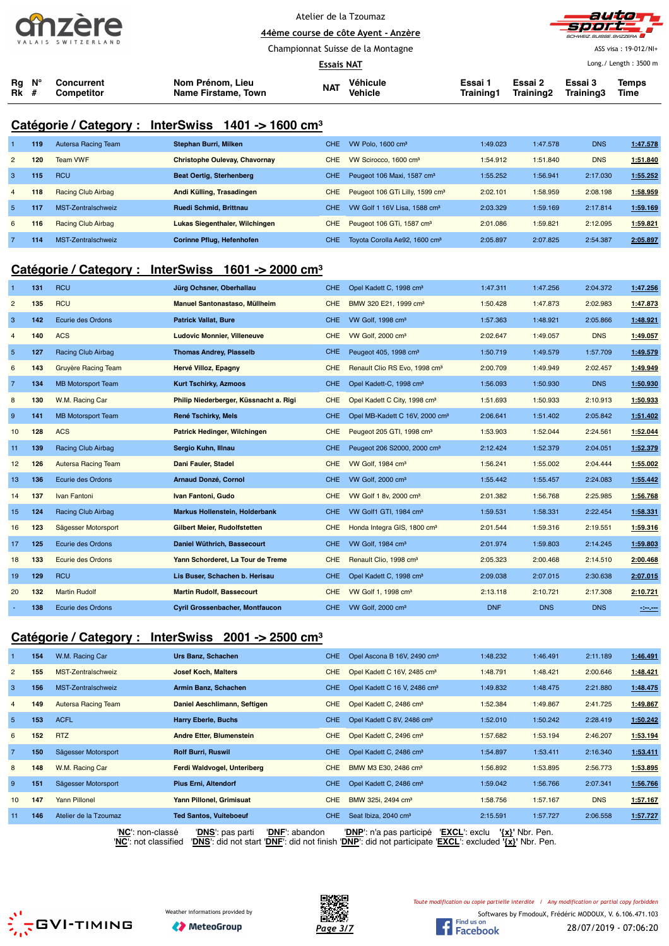



ASS visa : 19-012/NI+ Long./ Length : 3500 m

**44ème course de côte Ayent - Anzère** Championnat Suisse de la Montagne

**Essais NAT**

|                             |                          |                                         | -------- --- |                     |                      |                                     |         |       |
|-----------------------------|--------------------------|-----------------------------------------|--------------|---------------------|----------------------|-------------------------------------|---------|-------|
| $Ra$ $N^{\circ}$<br>$Rk \#$ | Concurrent<br>Competitor | Nom Prénom. Lieu<br>Name Firstame, Town | <b>NAT</b>   | Véhicule<br>Vehicle | Essai 1<br>Training1 | Essai 2<br>Training2 Training3 Time | Essai 3 | Temps |

## **Catégorie / Category : InterSwiss 1401 -> 1600 cm³**

|                | 119 | Autersa Racing Team | Stephan Burri, Milken                | CHE.       | VW Polo, $1600 \text{ cm}^3$                | 1:49.023 | 1:47.578 | <b>DNS</b> | 1:47.578 |
|----------------|-----|---------------------|--------------------------------------|------------|---------------------------------------------|----------|----------|------------|----------|
| $\overline{2}$ | 120 | <b>Team VWF</b>     | <b>Christophe Oulevay, Chavornay</b> | <b>CHE</b> | VW Scirocco, 1600 cm <sup>3</sup>           | 1:54.912 | 1:51.840 | <b>DNS</b> | 1:51.840 |
| 3              | 115 | <b>RCU</b>          | <b>Beat Oertig, Sterhenberg</b>      | CHE.       | Peugeot 106 Maxi, 1587 cm <sup>3</sup>      | 1:55.252 | 1:56.941 | 2:17.030   | 1:55.252 |
| $\overline{4}$ | 118 | Racing Club Airbag  | Andi Külling, Trasadingen            | <b>CHE</b> | Peugeot 106 GTi Lilly, 1599 cm <sup>3</sup> | 2:02.101 | 1:58.959 | 2:08.198   | 1:58.959 |
| $\overline{5}$ | 117 | MST-Zentralschweiz  | <b>Ruedi Schmid, Brittnau</b>        | CHE.       | VW Golf 1 16V Lisa, 1588 cm <sup>3</sup>    | 2:03.329 | 1:59.169 | 2:17.814   | 1:59.169 |
| 6              | 116 | Racing Club Airbag  | Lukas Siegenthaler, Wilchingen       | <b>CHE</b> | Peugeot 106 GTi, 1587 cm <sup>3</sup>       | 2:01.086 | 1:59.821 | 2:12.095   | 1:59.821 |
|                | 114 | MST-Zentralschweiz  | Corinne Pflug, Hefenhofen            | CHE.       | Toyota Corolla Ae92, 1600 cm <sup>3</sup>   | 2:05.897 | 2:07.825 | 2:54.387   | 2:05.897 |

### **Catégorie / Category : InterSwiss 1601 -> 2000 cm³**

|                | 131 | <b>RCU</b>                | Jürg Ochsner, Oberhallau               | <b>CHE</b> | Opel Kadett C, 1998 cm <sup>3</sup>        | 1:47.311   | 1:47.256   | 2:04.372   | 1:47.256 |
|----------------|-----|---------------------------|----------------------------------------|------------|--------------------------------------------|------------|------------|------------|----------|
| $\overline{c}$ | 135 | <b>RCU</b>                | Manuel Santonastaso, Müllheim          | <b>CHE</b> | BMW 320 E21, 1999 cm <sup>3</sup>          | 1:50.428   | 1:47.873   | 2:02.983   | 1:47.873 |
| $\mathbf{3}$   | 142 | Ecurie des Ordons         | <b>Patrick Vallat, Bure</b>            | <b>CHE</b> | VW Golf, 1998 cm <sup>3</sup>              | 1:57.363   | 1:48.921   | 2:05.866   | 1:48.921 |
| 4              | 140 | <b>ACS</b>                | <b>Ludovic Monnier, Villeneuve</b>     | <b>CHE</b> | VW Golf, 2000 cm <sup>3</sup>              | 2:02.647   | 1:49.057   | <b>DNS</b> | 1:49.057 |
| $\overline{5}$ | 127 | Racing Club Airbag        | <b>Thomas Andrey, Plasselb</b>         | <b>CHE</b> | Peugeot 405, 1998 cm <sup>3</sup>          | 1:50.719   | 1:49.579   | 1:57.709   | 1:49.579 |
| 6              | 143 | Gruyère Racing Team       | Hervé Villoz, Epagny                   | <b>CHE</b> | Renault Clio RS Evo, 1998 cm <sup>3</sup>  | 2:00.709   | 1:49.949   | 2:02.457   | 1:49.949 |
| $\overline{7}$ | 134 | <b>MB Motorsport Team</b> | <b>Kurt Tschirky, Azmoos</b>           | <b>CHE</b> | Opel Kadett-C, 1998 cm <sup>3</sup>        | 1:56.093   | 1:50.930   | <b>DNS</b> | 1:50.930 |
| 8              | 130 | W.M. Racing Car           | Philip Niederberger, Küssnacht a. Rigi | <b>CHE</b> | Opel Kadett C City, 1998 cm <sup>3</sup>   | 1:51.693   | 1:50.933   | 2:10.913   | 1:50.933 |
| 9              | 141 | <b>MB Motorsport Team</b> | René Tschirky, Mels                    | <b>CHE</b> | Opel MB-Kadett C 16V, 2000 cm <sup>3</sup> | 2:06.641   | 1:51.402   | 2:05.842   | 1:51.402 |
| 10             | 128 | <b>ACS</b>                | Patrick Hedinger, Wilchingen           | <b>CHE</b> | Peugeot 205 GTI, 1998 cm <sup>3</sup>      | 1:53.903   | 1:52.044   | 2:24.561   | 1:52.044 |
| 11             | 139 | <b>Racing Club Airbag</b> | Sergio Kuhn, Illnau                    | <b>CHE</b> | Peugeot 206 S2000, 2000 cm <sup>3</sup>    | 2:12.424   | 1:52.379   | 2:04.051   | 1:52.379 |
| 12             | 126 | Autersa Racing Team       | Dani Fauler, Stadel                    | <b>CHE</b> | VW Golf, 1984 cm <sup>3</sup>              | 1:56.241   | 1:55.002   | 2:04.444   | 1:55.002 |
| 13             | 136 | Ecurie des Ordons         | <b>Arnaud Donzé, Cornol</b>            | <b>CHE</b> | VW Golf, 2000 cm <sup>3</sup>              | 1:55.442   | 1:55.457   | 2:24.083   | 1:55.442 |
| 14             | 137 | Ivan Fantoni              | Ivan Fantoni, Gudo                     | <b>CHE</b> | VW Golf 1 8v, 2000 cm <sup>3</sup>         | 2:01.382   | 1:56.768   | 2:25.985   | 1:56.768 |
| 15             | 124 | Racing Club Airbag        | Markus Hollenstein, Holderbank         | <b>CHE</b> | VW Golf1 GTI, 1984 cm <sup>3</sup>         | 1:59.531   | 1:58.331   | 2:22.454   | 1:58.331 |
| 16             | 123 | Sägesser Motorsport       | <b>Gilbert Meier, Rudolfstetten</b>    | <b>CHE</b> | Honda Integra GIS, 1800 cm <sup>3</sup>    | 2:01.544   | 1:59.316   | 2:19.551   | 1:59.316 |
| 17             | 125 | Ecurie des Ordons         | Daniel Wüthrich, Bassecourt            | <b>CHE</b> | VW Golf, 1984 cm <sup>3</sup>              | 2:01.974   | 1:59.803   | 2:14.245   | 1:59.803 |
| 18             | 133 | Ecurie des Ordons         | Yann Schorderet, La Tour de Treme      | <b>CHE</b> | Renault Clio, 1998 cm <sup>3</sup>         | 2:05.323   | 2:00.468   | 2:14.510   | 2:00.468 |
| 19             | 129 | <b>RCU</b>                | Lis Buser, Schachen b. Herisau         | <b>CHE</b> | Opel Kadett C, 1998 cm <sup>3</sup>        | 2:09.038   | 2:07.015   | 2:30.638   | 2:07.015 |
| 20             | 132 | <b>Martin Rudolf</b>      | <b>Martin Rudolf, Bassecourt</b>       | <b>CHE</b> | VW Golf 1, 1998 cm <sup>3</sup>            | 2:13.118   | 2:10.721   | 2:17.308   | 2:10.721 |
|                | 138 | Ecurie des Ordons         | <b>Cyril Grossenbacher, Montfaucon</b> | <b>CHE</b> | VW Golf, 2000 cm <sup>3</sup>              | <b>DNF</b> | <b>DNS</b> | <b>DNS</b> | ----     |

## **Catégorie / Category : InterSwiss 2001 -> 2500 cm³**

|                 | 154 | W.M. Racing Car       | Urs Banz, Schachen                 | <b>CHE</b> | Opel Ascona B 16V, 2490 cm <sup>3</sup>   | 1:48.232            | 1:46.491 | 2:11.189   | 1:46.491 |
|-----------------|-----|-----------------------|------------------------------------|------------|-------------------------------------------|---------------------|----------|------------|----------|
| $\overline{2}$  | 155 | MST-Zentralschweiz    | <b>Josef Koch, Malters</b>         | <b>CHE</b> | Opel Kadett C 16V, 2485 cm <sup>3</sup>   | 1:48.791            | 1:48.421 | 2:00.646   | 1:48.421 |
| 3               | 156 | MST-Zentralschweiz    | Armin Banz, Schachen               | CHE.       | Opel Kadett C 16 V, 2486 cm <sup>3</sup>  | 1:49.832            | 1:48.475 | 2:21.880   | 1:48.475 |
| $\overline{4}$  | 149 | Autersa Racing Team   | Daniel Aeschlimann, Seftigen       | <b>CHE</b> | Opel Kadett C, 2486 cm <sup>3</sup>       | 1:52.384            | 1:49.867 | 2:41.725   | 1:49.867 |
| $5\phantom{.0}$ | 153 | <b>ACFL</b>           | <b>Harry Eberle, Buchs</b>         | CHE.       | Opel Kadett C 8V, 2486 cm <sup>3</sup>    | 1:52.010            | 1:50.242 | 2:28.419   | 1:50.242 |
| 6               | 152 | <b>RTZ</b>            | <b>Andre Etter, Blumenstein</b>    | <b>CHE</b> | Opel Kadett C, 2496 cm <sup>3</sup>       | 1:57.682            | 1:53.194 | 2:46.207   | 1:53.194 |
| $\overline{7}$  | 150 | Sägesser Motorsport   | <b>Rolf Burri, Ruswil</b>          | <b>CHE</b> | Opel Kadett C, 2486 cm <sup>3</sup>       | 1:54.897            | 1:53.411 | 2:16.340   | 1:53.411 |
| 8               | 148 | W.M. Racing Car       | Ferdi Waldvogel, Unteriberg        | <b>CHE</b> | BMW M3 E30, 2486 cm <sup>3</sup>          | 1:56.892            | 1:53.895 | 2:56.773   | 1:53.895 |
| 9               | 151 | Sägesser Motorsport   | <b>Pius Erni, Altendorf</b>        | <b>CHE</b> | Opel Kadett C, 2486 cm <sup>3</sup>       | 1:59.042            | 1:56.766 | 2:07.341   | 1:56.766 |
| 10              | 147 | <b>Yann Pillonel</b>  | Yann Pillonel, Grimisuat           | <b>CHE</b> | BMW 325i, 2494 cm <sup>3</sup>            | 1:58.756            | 1:57.167 | <b>DNS</b> | 1:57.167 |
| 11              | 146 | Atelier de la Tzoumaz | <b>Ted Santos, Vuiteboeuf</b>      | CHE.       | Seat Ibiza, 2040 cm <sup>3</sup>          | 2:15.591            | 1:57.727 | 2:06.558   | 1:57.727 |
|                 |     | 'NC': non-classé      | 'DNF': abandon<br>'DNS': pas parti |            | 'EXCL': exclu<br>'DNP': n'a pas participé | $\{x\}$ ' Nbr. Pen. |          |            |          |

'**NC**': not classified '**DNS**': did not start '**DNF**': did not finish '**DNP**': did not participate '**EXCL**': excluded **'{x}'** Nbr. Pen.





*Toute modification ou copie partielle interdite / Any modification or partial copy forbidden*

Softwares by FmodouX, Frédéric MODOUX, V. 6.106.471.103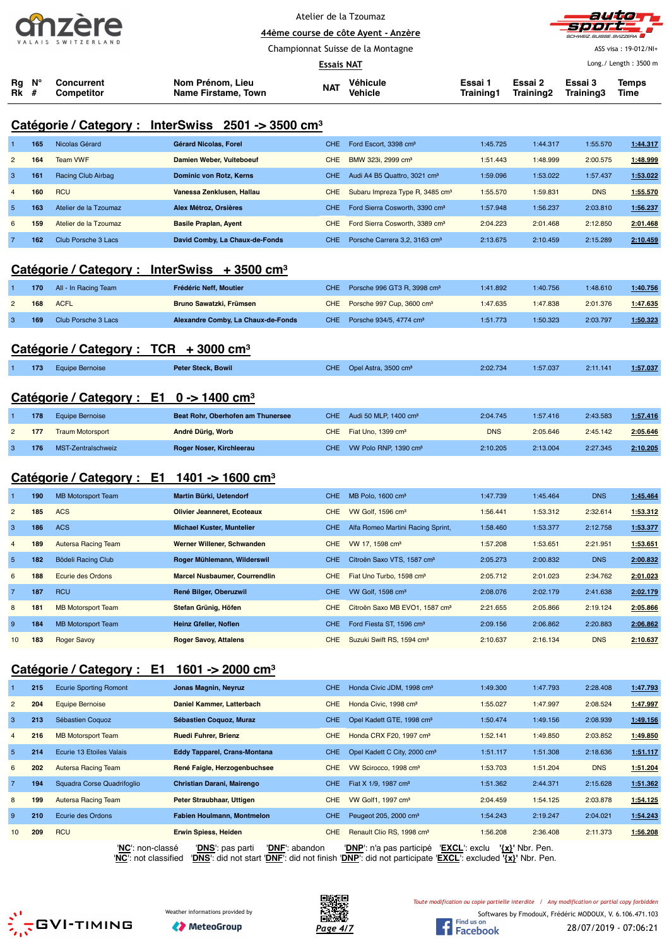|                    | <b>2INZ</b> |  |  |  |  |  |  |
|--------------------|-------------|--|--|--|--|--|--|
| VALAIS SWITZERLAND |             |  |  |  |  |  |  |

 $\overline{a}$ 

Atelier de la Tzoumaz **44ème course de côte Ayent - Anzère**



ASS visa : 19-012/NI+

Championnat Suisse de la Montagne

|                           |            |                                                          |                                                                                                                                                                                  | Essais NAT               |                                                                            |                                                                                              |                      |                      | Long./ Length: 3500 m |
|---------------------------|------------|----------------------------------------------------------|----------------------------------------------------------------------------------------------------------------------------------------------------------------------------------|--------------------------|----------------------------------------------------------------------------|----------------------------------------------------------------------------------------------|----------------------|----------------------|-----------------------|
| Rg N°<br><b>Rk</b> #      |            | <b>Concurrent</b><br><b>Competitor</b>                   | Nom Prénom, Lieu<br>Name Firstame, Town                                                                                                                                          | <b>NAT</b>               | Véhicule<br>Vehicle                                                        | Essai 1<br>Training1                                                                         | Essai 2<br>Training2 | Essai 3<br>Training3 | Temps<br>Time         |
|                           |            |                                                          | Catégorie / Category : InterSwiss 2501 -> 3500 cm <sup>3</sup>                                                                                                                   |                          |                                                                            |                                                                                              |                      |                      |                       |
| 1                         | 165        | Nicolas Gérard                                           | Gérard Nicolas, Forel                                                                                                                                                            | <b>CHE</b>               | Ford Escort, 3398 cm <sup>3</sup>                                          | 1:45.725                                                                                     | 1:44.317             | 1:55.570             | 1:44.317              |
| $\overline{c}$            | 164        | <b>Team VWF</b>                                          | Damien Weber, Vuiteboeuf                                                                                                                                                         | <b>CHE</b>               | BMW 323i, 2999 cm <sup>3</sup>                                             | 1:51.443                                                                                     | 1:48.999             | 2:00.575             | 1:48.999              |
| 3                         | 161        | Racing Club Airbag                                       | Dominic von Rotz, Kerns                                                                                                                                                          | CHE.                     | Audi A4 B5 Quattro, 3021 cm <sup>3</sup>                                   | 1:59.096                                                                                     | 1:53.022             | 1:57.437             | 1:53.022              |
| $\overline{4}$            | 160        | <b>RCU</b>                                               | Vanessa Zenklusen, Hallau                                                                                                                                                        | <b>CHE</b>               | Subaru Impreza Type R, 3485 cm <sup>3</sup>                                | 1:55.570                                                                                     | 1:59.831             | <b>DNS</b>           | 1:55.570              |
| $\overline{5}$            | 163        | Atelier de la Tzoumaz                                    | Alex Métroz, Orsières                                                                                                                                                            | <b>CHE</b>               | Ford Sierra Cosworth, 3390 cm <sup>3</sup>                                 | 1:57.948                                                                                     | 1:56.237             | 2:03.810             | 1:56.237              |
| 6                         | 159        | Atelier de la Tzoumaz                                    | <b>Basile Praplan, Ayent</b>                                                                                                                                                     | <b>CHE</b>               | Ford Sierra Cosworth, 3389 cm <sup>3</sup>                                 | 2:04.223                                                                                     | 2:01.468             | 2:12.850             | 2:01.468              |
| $\overline{7}$            | 162        | Club Porsche 3 Lacs                                      | David Comby, La Chaux-de-Fonds                                                                                                                                                   | <b>CHE</b>               | Porsche Carrera 3,2, 3163 cm <sup>3</sup>                                  | 2:13.675                                                                                     | 2:10.459             | 2:15.289             | 2:10.459              |
|                           |            |                                                          | Catégorie / Category : InterSwiss + 3500 cm <sup>3</sup>                                                                                                                         |                          |                                                                            |                                                                                              |                      |                      |                       |
| 1                         | 170        | All - In Racing Team                                     | Frédéric Neff, Moutier                                                                                                                                                           | <b>CHE</b>               | Porsche 996 GT3 R, 3998 cm <sup>3</sup>                                    | 1:41.892                                                                                     | 1:40.756             | 1:48.610             | 1:40.756              |
| $\overline{c}$            | 168        | <b>ACFL</b>                                              | Bruno Sawatzki, Frümsen                                                                                                                                                          | <b>CHE</b>               | Porsche 997 Cup, 3600 cm <sup>3</sup>                                      | 1:47.635                                                                                     | 1:47.838             | 2:01.376             | 1:47.635              |
| $\ensuremath{\mathsf{3}}$ | 169        | Club Porsche 3 Lacs                                      | Alexandre Comby, La Chaux-de-Fonds                                                                                                                                               | <b>CHE</b>               | Porsche 934/5, 4774 cm <sup>3</sup>                                        | 1:51.773                                                                                     | 1:50.323             | 2:03.797             | 1:50.323              |
|                           |            | Catégorie / Category : $TCR + 3000$ cm <sup>3</sup>      |                                                                                                                                                                                  |                          |                                                                            |                                                                                              |                      |                      |                       |
|                           |            |                                                          |                                                                                                                                                                                  |                          |                                                                            |                                                                                              |                      |                      |                       |
|                           | 173        | <b>Equipe Bernoise</b>                                   | Peter Steck, Bowil                                                                                                                                                               | CHE.                     | Opel Astra, 3500 cm <sup>3</sup>                                           | 2:02.734                                                                                     | 1:57.037             | 2:11.141             | 1:57.037              |
|                           |            | Catégorie / Category : E1 0 -> 1400 cm <sup>3</sup>      |                                                                                                                                                                                  |                          |                                                                            |                                                                                              |                      |                      |                       |
| 1                         | 178        | <b>Equipe Bernoise</b>                                   | Beat Rohr, Oberhofen am Thunersee                                                                                                                                                | <b>CHE</b>               | Audi 50 MLP, 1400 cm <sup>3</sup>                                          | 2:04.745                                                                                     | 1:57.416             | 2:43.583             | 1:57.416              |
| $\overline{c}$            | 177        | <b>Traum Motorsport</b>                                  | André Dürig, Worb                                                                                                                                                                | <b>CHE</b>               | Fiat Uno, 1399 cm <sup>3</sup>                                             | <b>DNS</b>                                                                                   | 2:05.646             | 2:45.142             | 2:05.646              |
| 3                         | 176        | MST-Zentralschweiz                                       | Roger Noser, Kirchleerau                                                                                                                                                         | <b>CHE</b>               | VW Polo RNP, 1390 cm <sup>3</sup>                                          | 2:10.205                                                                                     | 2:13.004             | 2:27.345             | 2:10.205              |
|                           |            |                                                          |                                                                                                                                                                                  |                          |                                                                            |                                                                                              |                      |                      |                       |
|                           |            | Catégorie / Category : $E1 \t1401 \t- 1600 \text{ cm}^3$ |                                                                                                                                                                                  |                          |                                                                            |                                                                                              |                      |                      |                       |
| 1                         | 190        | <b>MB Motorsport Team</b>                                | Martin Bürki, Uetendorf                                                                                                                                                          | <b>CHE</b>               | MB Polo, 1600 cm <sup>3</sup>                                              | 1:47.739                                                                                     | 1:45.464             | <b>DNS</b>           | 1:45.464              |
| $\overline{2}$            | 185        | <b>ACS</b>                                               | <b>Olivier Jeanneret, Ecoteaux</b>                                                                                                                                               | <b>CHE</b>               | VW Golf, 1596 cm <sup>3</sup>                                              | 1:56.441                                                                                     | 1:53.312             | 2:32.614             | 1:53.312              |
| 3                         | 186        | <b>ACS</b>                                               | <b>Michael Kuster, Muntelier</b>                                                                                                                                                 | <b>CHE</b>               | Alfa Romeo Martini Racing Sprint,                                          | 1:58.460                                                                                     | 1:53.377             | 2:12.758             | 1:53.377              |
| 4                         | 189        | <b>Autersa Racing Team</b>                               | Werner Willener, Schwanden                                                                                                                                                       | <b>CHE</b>               | VW 17, 1598 cm <sup>3</sup>                                                | 1:57.208                                                                                     | 1:53.651             | 2:21.951             | 1:53.651              |
| $\sqrt{5}$                | 182        | Bödeli Racing Club                                       | Roger Mühlemann, Wilderswil                                                                                                                                                      | CHE.                     | Citroën Saxo VTS, 1587 cm <sup>3</sup>                                     | 2:05.273                                                                                     | 2:00.832             | <b>DNS</b>           | 2:00.832              |
| 6                         | 188        | Ecurie des Ordons                                        | <b>Marcel Nusbaumer, Courrendlin</b>                                                                                                                                             | <b>CHE</b>               | Fiat Uno Turbo, 1598 cm <sup>3</sup>                                       | 2:05.712                                                                                     | 2:01.023             | 2:34.762             | 2:01.023              |
| 7                         | 187        | <b>RCU</b>                                               | René Bilger, Oberuzwil                                                                                                                                                           | <b>CHE</b>               | VW Golf, 1598 cm <sup>3</sup>                                              | 2:08.076                                                                                     | 2:02.179             | 2:41.638             | 2:02.179              |
| 8                         | 181        | <b>MB Motorsport Team</b>                                | Stefan Grünig, Höfen                                                                                                                                                             | <b>CHE</b>               | Citroën Saxo MB EVO1, 1587 cm <sup>3</sup>                                 | 2:21.655                                                                                     | 2:05.866             | 2:19.124             | 2:05.866              |
| 9                         | 184        | <b>MB Motorsport Team</b>                                | Heinz Gfeller, Noflen                                                                                                                                                            | <b>CHE</b>               | Ford Fiesta ST, 1596 cm <sup>3</sup>                                       | 2:09.156                                                                                     | 2:06.862             | 2:20.883             | 2:06.862              |
| 10                        | 183        | <b>Roger Savoy</b>                                       | <b>Roger Savoy, Attalens</b>                                                                                                                                                     | <b>CHE</b>               | Suzuki Swift RS, 1594 cm <sup>3</sup>                                      | 2:10.637                                                                                     | 2:16.134             | <b>DNS</b>           | 2:10.637              |
|                           |            | Catégorie / Category : E1                                | 1601 -> 2000 cm <sup>3</sup>                                                                                                                                                     |                          |                                                                            |                                                                                              |                      |                      |                       |
|                           |            |                                                          |                                                                                                                                                                                  |                          |                                                                            |                                                                                              |                      |                      |                       |
|                           | 215<br>204 | <b>Ecurie Sporting Romont</b><br><b>Equipe Bernoise</b>  | Jonas Magnin, Neyruz<br>Daniel Kammer, Latterbach                                                                                                                                | <b>CHE</b><br><b>CHE</b> | Honda Civic JDM, 1998 cm <sup>3</sup><br>Honda Civic, 1998 cm <sup>3</sup> | 1:49.300                                                                                     | 1:47.793<br>1:47.997 | 2:28.408<br>2:08.524 | 1:47.793              |
| $\overline{c}$            |            |                                                          |                                                                                                                                                                                  |                          |                                                                            | 1:55.027                                                                                     |                      |                      | 1.47.997              |
| 3                         | 213        | Sébastien Coquoz                                         | Sébastien Coquoz, Muraz                                                                                                                                                          | <b>CHE</b>               | Opel Kadett GTE, 1998 cm <sup>3</sup>                                      | 1:50.474                                                                                     | 1:49.156             | 2:08.939             | 1:49.156              |
| $\overline{4}$            | 216        | <b>MB Motorsport Team</b>                                | Ruedi Fuhrer, Brienz                                                                                                                                                             | <b>CHE</b>               | Honda CRX F20, 1997 cm <sup>3</sup>                                        | 1:52.141                                                                                     | 1:49.850             | 2:03.852             | 1:49.850              |
| 5                         | 214        | Ecurie 13 Etoiles Valais                                 | <b>Eddy Tapparel, Crans-Montana</b>                                                                                                                                              | <b>CHE</b>               | Opel Kadett C City, 2000 cm <sup>3</sup>                                   | 1:51.117                                                                                     | 1:51.308             | 2:18.636             | 1:51.117              |
| 6                         | 202        | <b>Autersa Racing Team</b>                               | René Faigle, Herzogenbuchsee                                                                                                                                                     | <b>CHE</b>               | VW Scirocco, 1998 cm <sup>3</sup>                                          | 1:53.703                                                                                     | 1:51.204             | <b>DNS</b>           | 1:51.204              |
| $\overline{7}$            | 194        | Squadra Corse Quadrifoglio                               | Christian Darani, Mairengo                                                                                                                                                       | <b>CHE</b>               | Fiat X 1/9, 1987 cm <sup>3</sup>                                           | 1:51.362                                                                                     | 2:44.371             | 2:15.628             | 1:51.362              |
| 8                         | 199        | <b>Autersa Racing Team</b>                               | Peter Straubhaar, Uttigen                                                                                                                                                        | <b>CHE</b>               | VW Golf1, 1997 cm <sup>3</sup>                                             | 2:04.459                                                                                     | 1:54.125             | 2:03.878             | 1:54.125              |
| 9                         | 210        | Ecurie des Ordons                                        | Fabien Houlmann, Montmelon                                                                                                                                                       | <b>CHE</b>               | Peugeot 205, 2000 cm <sup>3</sup>                                          | 1:54.243                                                                                     | 2:19.247             | 2:04.021             | 1:54.243              |
| 10                        | 209        | <b>RCU</b>                                               | <b>Erwin Spiess, Heiden</b>                                                                                                                                                      | <b>CHE</b>               | Renault Clio RS, 1998 cm <sup>3</sup>                                      | 1:56.208                                                                                     | 2:36.408             | 2:11.373             | 1:56.208              |
|                           |            | 'NC': non-classé                                         | 'DNF': abandon<br>' <mark>DNS</mark> ': pas parti<br>'NC': not classified 'DNS': did not start 'DNF': did not finish 'DNP': did not participate 'EXCL': excluded '{x}' Nbr. Pen. |                          | ' <b>DNP</b> ': n'a pas participé                                          | 'EXCL': exclu                                                                                | $\{x\}$ ' Nbr. Pen.  |                      |                       |
|                           |            |                                                          |                                                                                                                                                                                  | 具染银                      |                                                                            | Toute modification ou copie partielle interdite / Any modification or partial copy forbidden |                      |                      |                       |





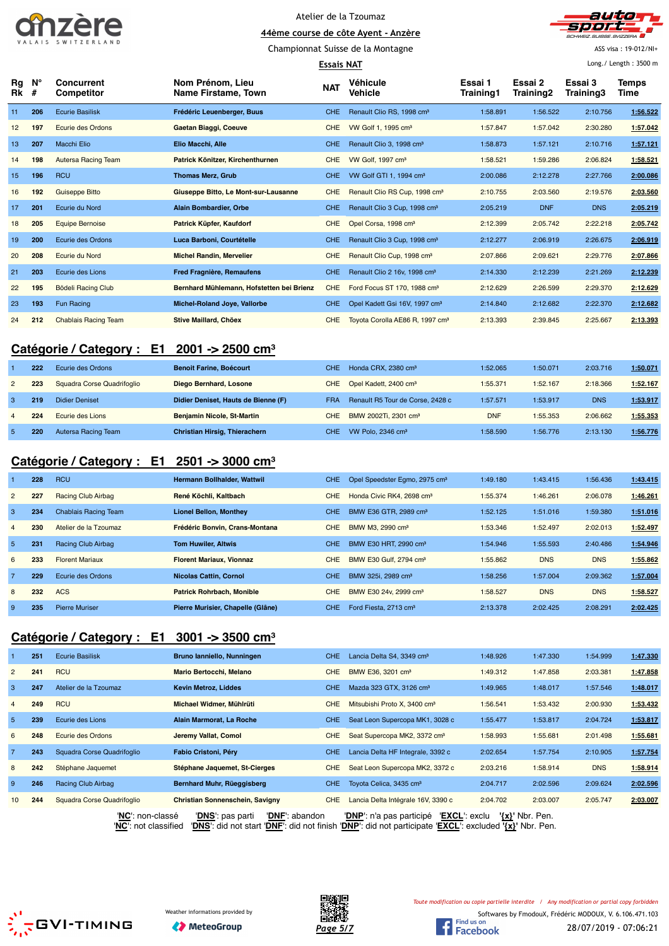



**44ème course de côte Ayent - Anzère** Championnat Suisse de la Montagne

ASS visa : 19-012/NI+ Long./ Length : 3500 m

|          | <b>Essais NAT</b> |                                        |                                           |            |                                             |                      | Long./ Length: 3500 m |                      |               |
|----------|-------------------|----------------------------------------|-------------------------------------------|------------|---------------------------------------------|----------------------|-----------------------|----------------------|---------------|
| Rg<br>Rk | $N^{\circ}$<br>#  | <b>Concurrent</b><br><b>Competitor</b> | Nom Prénom, Lieu<br>Name Firstame, Town   | <b>NAT</b> | Véhicule<br>Vehicle                         | Essai 1<br>Training1 | Essai 2<br>Training2  | Essai 3<br>Training3 | Temps<br>Time |
| 11       | 206               | <b>Ecurie Basilisk</b>                 | Frédéric Leuenberger, Buus                | <b>CHE</b> | Renault Clio RS, 1998 cm <sup>3</sup>       | 1:58.891             | 1:56.522              | 2:10.756             | 1:56.522      |
| 12       | 197               | Ecurie des Ordons                      | Gaetan Biaggi, Coeuve                     | <b>CHE</b> | VW Golf 1, 1995 cm <sup>3</sup>             | 1:57.847             | 1:57.042              | 2:30.280             | 1:57.042      |
| 13       | 207               | <b>Macchi Elio</b>                     | Elio Macchi, Alle                         | <b>CHE</b> | Renault Clio 3, 1998 cm <sup>3</sup>        | 1:58.873             | 1:57.121              | 2:10.716             | 1:57.121      |
| 14       | 198               | Autersa Racing Team                    | Patrick Könitzer, Kirchenthurnen          | <b>CHE</b> | VW Golf. 1997 cm <sup>3</sup>               | 1:58.521             | 1:59.286              | 2:06.824             | 1:58.521      |
| 15       | 196               | <b>RCU</b>                             | <b>Thomas Merz, Grub</b>                  | <b>CHE</b> | VW Golf GTI 1, 1994 cm <sup>3</sup>         | 2:00.086             | 2:12.278              | 2:27.766             | 2:00.086      |
| 16       | 192               | <b>Guiseppe Bitto</b>                  | Giuseppe Bitto, Le Mont-sur-Lausanne      | <b>CHE</b> | Renault Clio RS Cup, 1998 cm <sup>3</sup>   | 2:10.755             | 2:03.560              | 2:19.576             | 2:03.560      |
| 17       | 201               | Ecurie du Nord                         | Alain Bombardier, Orbe                    | <b>CHE</b> | Renault Clio 3 Cup, 1998 cm <sup>3</sup>    | 2:05.219             | <b>DNF</b>            | <b>DNS</b>           | 2:05.219      |
| 18       | 205               | <b>Equipe Bernoise</b>                 | Patrick Küpfer, Kaufdorf                  | <b>CHE</b> | Opel Corsa, 1998 cm <sup>3</sup>            | 2:12.399             | 2:05.742              | 2:22.218             | 2:05.742      |
| 19       | 200               | Ecurie des Ordons                      | Luca Barboni, Courtételle                 | <b>CHE</b> | Renault Clio 3 Cup, 1998 cm <sup>3</sup>    | 2:12.277             | 2:06.919              | 2:26.675             | 2:06.919      |
| 20       | 208               | Ecurie du Nord                         | <b>Michel Randin, Mervelier</b>           | <b>CHE</b> | Renault Clio Cup, 1998 cm <sup>3</sup>      | 2:07.866             | 2:09.621              | 2:29.776             | 2:07.866      |
| 21       | 203               | Ecurie des Lions                       | <b>Fred Fragnière, Remaufens</b>          | <b>CHE</b> | Renault Clio 2 16v, 1998 cm <sup>3</sup>    | 2:14.330             | 2:12.239              | 2:21.269             | 2:12.239      |
| 22       | 195               | Bödeli Racing Club                     | Bernhard Mühlemann, Hofstetten bei Brienz | <b>CHE</b> | Ford Focus ST 170, 1988 cm <sup>3</sup>     | 2:12.629             | 2:26.599              | 2:29.370             | 2:12.629      |
| 23       | 193               | <b>Fun Racing</b>                      | Michel-Roland Joye, Vallorbe              | <b>CHE</b> | Opel Kadett Gsi 16V, 1997 cm <sup>3</sup>   | 2:14.840             | 2:12.682              | 2:22.370             | 2:12.682      |
| 24       | 212               | <b>Chablais Racing Team</b>            | <b>Stive Maillard, Chöex</b>              | <b>CHE</b> | Toyota Corolla AE86 R, 1997 cm <sup>3</sup> | 2:13.393             | 2:39.845              | 2:25.667             | 2:13.393      |

### **Catégorie / Category : E1 2001 -> 2500 cm³**

|                | 222 | Ecurie des Ordons          | <b>Benoit Farine, Boécourt</b>      | CHE.       | Honda CRX, 2380 cm <sup>3</sup>   | 1:52.065   | 1:50.071 | 2:03.716   | 1:50.071 |
|----------------|-----|----------------------------|-------------------------------------|------------|-----------------------------------|------------|----------|------------|----------|
| $\overline{2}$ | 223 | Squadra Corse Quadrifoqlio | Diego Bernhard, Losone              | CHE        | Opel Kadett, 2400 cm <sup>3</sup> | 1:55.371   | 1:52.167 | 2:18.366   | 1:52.167 |
|                | 219 | <b>Didier Deniset</b>      | Didier Deniset, Hauts de Bienne (F) | <b>FRA</b> | Renault R5 Tour de Corse, 2428 c  | 1:57.571   | 1:53.917 | <b>DNS</b> | 1:53.917 |
|                | 224 | Ecurie des Lions           | <b>Benjamin Nicole, St-Martin</b>   | CHE.       | BMW 2002Ti, 2301 cm <sup>3</sup>  | <b>DNF</b> | 1:55.353 | 2:06.662   | 1:55.353 |
|                | 220 | Autersa Racing Team        | Christian Hirsig, Thierachern       | CHE        | VW Polo, $2346 \text{ cm}^3$      | 1:58.590   | 1:56.776 | 2:13.130   | 1:56.776 |

## **Catégorie / Category : E1 2501 -> 3000 cm³**

|                | 228 | <b>RCU</b>                  | Hermann Bollhalder, Wattwil       | <b>CHE</b> | Opel Speedster Egmo, 2975 cm <sup>3</sup> | 1:49.180 | 1:43.415   | 1:56.436   | 1:43.415 |
|----------------|-----|-----------------------------|-----------------------------------|------------|-------------------------------------------|----------|------------|------------|----------|
| $\overline{2}$ | 227 | Racing Club Airbag          | René Köchli, Kaltbach             | <b>CHE</b> | Honda Civic RK4, 2698 cm <sup>3</sup>     | 1:55.374 | 1:46.261   | 2:06.078   | 1:46.261 |
| -3             | 234 | <b>Chablais Racing Team</b> | <b>Lionel Bellon, Monthey</b>     | <b>CHE</b> | BMW E36 GTR, 2989 cm <sup>3</sup>         | 1:52.125 | 1:51.016   | 1:59.380   | 1:51.016 |
| $\overline{4}$ | 230 | Atelier de la Tzoumaz       | Frédéric Bonvin, Crans-Montana    | <b>CHE</b> | BMW M3, 2990 cm <sup>3</sup>              | 1:53.346 | 1:52.497   | 2:02.013   | 1:52.497 |
| 5              | 231 | Racing Club Airbag          | <b>Tom Huwiler, Altwis</b>        | <b>CHE</b> | BMW E30 HRT, 2990 cm <sup>3</sup>         | 1:54.946 | 1:55.593   | 2:40.486   | 1:54.946 |
| 6              | 233 | <b>Florent Mariaux</b>      | <b>Florent Mariaux, Vionnaz</b>   | <b>CHE</b> | BMW E30 Gulf, 2794 cm <sup>3</sup>        | 1:55.862 | <b>DNS</b> | <b>DNS</b> | 1:55.862 |
| $\overline{7}$ | 229 | Ecurie des Ordons           | <b>Nicolas Cattin, Cornol</b>     | <b>CHE</b> | BMW 325i, 2989 cm <sup>3</sup>            | 1:58.256 | 1:57.004   | 2:09.362   | 1:57.004 |
| 8              | 232 | <b>ACS</b>                  | <b>Patrick Rohrbach, Monible</b>  | <b>CHE</b> | BMW E30 24v, 2999 cm <sup>3</sup>         | 1:58.527 | <b>DNS</b> | <b>DNS</b> | 1:58.527 |
| 9              | 235 | <b>Pierre Muriser</b>       | Pierre Murisier, Chapelle (Glâne) | CHE.       | Ford Fiesta, 2713 cm <sup>3</sup>         | 2:13.378 | 2:02.425   | 2:08.291   | 2:02.425 |

## **Catégorie / Category : E1 3001 -> 3500 cm³**

|                 | 251 | <b>Ecurie Basilisk</b>     | Bruno lanniello, Nunningen         | CHE.       | Lancia Delta S4, 3349 cm <sup>3</sup>     | 1:48.926 | 1:47.330        | 1:54.999   | 1:47.330 |
|-----------------|-----|----------------------------|------------------------------------|------------|-------------------------------------------|----------|-----------------|------------|----------|
| $\overline{2}$  | 241 | <b>RCU</b>                 | Mario Bertocchi, Melano            | <b>CHE</b> | BMW E36, 3201 cm <sup>3</sup>             | 1:49.312 | 1:47.858        | 2:03.381   | 1:47.858 |
| 3               | 247 | Atelier de la Tzoumaz      | <b>Kevin Metroz, Liddes</b>        | <b>CHE</b> | Mazda 323 GTX, 3126 cm <sup>3</sup>       | 1:49.965 | 1:48.017        | 1:57.546   | 1:48.017 |
| $\overline{4}$  | 249 | <b>RCU</b>                 | Michael Widmer, Mühlrüti           | <b>CHE</b> | Mitsubishi Proto X, 3400 cm <sup>3</sup>  | 1:56.541 | 1:53.432        | 2:00.930   | 1:53.432 |
| $5^{\circ}$     | 239 | Ecurie des Lions           | Alain Marmorat, La Roche           | CHE.       | Seat Leon Supercopa MK1, 3028 c           | 1:55.477 | 1:53.817        | 2:04.724   | 1:53.817 |
| 6               | 248 | Ecurie des Ordons          | Jeremy Vallat, Comol               | <b>CHE</b> | Seat Supercopa MK2, 3372 cm <sup>3</sup>  | 1:58.993 | 1:55.681        | 2:01.498   | 1:55.681 |
| $\overline{7}$  | 243 | Squadra Corse Quadrifoqlio | Fabio Cristoni, Péry               | CHE.       | Lancia Delta HF Integrale, 3392 c         | 2:02.654 | 1:57.754        | 2:10.905   | 1:57.754 |
| 8               | 242 | Stéphane Jaquemet          | Stéphane Jaquemet, St-Cierges      | <b>CHE</b> | Seat Leon Supercopa MK2, 3372 c           | 2:03.216 | 1:58.914        | <b>DNS</b> | 1:58.914 |
| 9               | 246 | Racing Club Airbag         | Bernhard Muhr, Rüeggisberg         | <b>CHE</b> | Toyota Celica, 3435 cm <sup>3</sup>       | 2:04.717 | 2:02.596        | 2:09.624   | 2:02.596 |
| 10 <sup>2</sup> | 244 | Squadra Corse Quadrifoglio | Christian Sonnenschein, Savigny    | <b>CHE</b> | Lancia Delta Intégrale 16V, 3390 c        | 2:04.702 | 2:03.007        | 2:05.747   | 2:03.007 |
|                 |     | 'NC': non-classé           | 'DNF': abandon<br>'DNS': pas parti |            | 'EXCL': exclu<br>'DNP': n'a pas participé |          | '{x}' Nbr. Pen. |            |          |





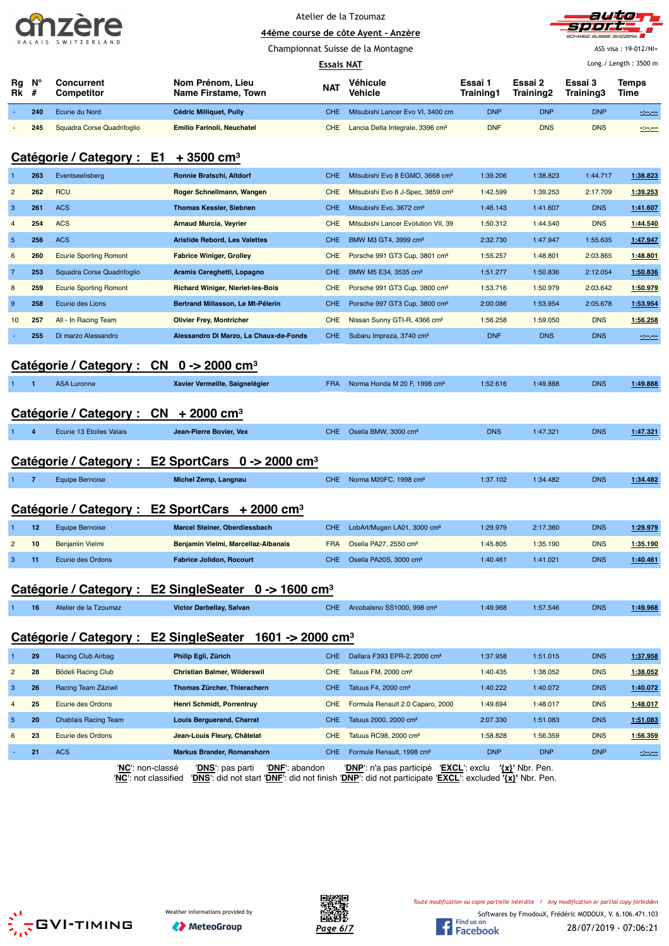| $\Pi$              |  |  |
|--------------------|--|--|
| VALAIS SWITZERLAND |  |  |



|                                                      |                     |                               | Championnat Suisse de la Montagne        | ASS visa: 19-012/NI+ |                                               |                      |                      |                       |               |
|------------------------------------------------------|---------------------|-------------------------------|------------------------------------------|----------------------|-----------------------------------------------|----------------------|----------------------|-----------------------|---------------|
|                                                      |                     |                               |                                          | <b>Essais NAT</b>    |                                               |                      |                      | Long./ Length: 3500 m |               |
|                                                      | Ν°<br>Rg<br>Rk<br># | Concurrent<br>Competitor      | Nom Prénom, Lieu<br>Name Firstame, Town  | <b>NAT</b>           | Véhicule<br>Vehicle                           | Essai 1<br>Training1 | Essai 2<br>Training2 | Essai 3<br>Training3  | Temps<br>Time |
|                                                      | 240                 | Ecurie du Nord                | Cédric Milliquet, Pully                  | <b>CHE</b>           | Mitsubishi Lancer Evo VI, 3400 cm             | <b>DNP</b>           | <b>DNP</b>           | <b>DNP</b>            | $-200$        |
|                                                      | 245                 | Squadra Corse Quadrifoglio    | <b>Emilio Farinoli, Neuchatel</b>        | <b>CHE</b>           | Lancia Delta Integrale, 3396 cm <sup>3</sup>  | <b>DNF</b>           | <b>DNS</b>           | <b>DNS</b>            | -3-5-         |
| Catégorie / Category : E1<br>$+3500$ cm <sup>3</sup> |                     |                               |                                          |                      |                                               |                      |                      |                       |               |
|                                                      | 263                 | Eventseelisberg               | Ronnie Bratschi, Altdorf                 | <b>CHE</b>           | Mitsubishi Evo 8 EGMO, 3668 cm <sup>3</sup>   | 1:39.206             | 1:38.823             | 1:44.717              | 1:38.823      |
| $\overline{2}$                                       | 262                 | <b>RCU</b>                    | Roger Schnellmann, Wangen                | <b>CHE</b>           | Mitsubishi Evo 8 J-Spec, 3859 cm <sup>3</sup> | 1:42.599             | 1:39.253             | 2:17.709              | 1:39.253      |
| 3                                                    | 261                 | <b>ACS</b>                    | <b>Thomas Kessler, Siebnen</b>           | <b>CHE</b>           | Mitsubishi Evo. 3672 cm <sup>3</sup>          | 1:46.143             | 1:41.607             | <b>DNS</b>            | 1:41.607      |
|                                                      | 254                 | <b>ACS</b>                    | <b>Arnaud Murcia, Veyrier</b>            | <b>CHE</b>           | Mitsubishi Lancer Evolution VII, 39           | 1:50.312             | 1:44.540             | <b>DNS</b>            | 1:44.540      |
| 5                                                    | 256                 | <b>ACS</b>                    | <b>Aristide Rebord, Les Valettes</b>     | <b>CHE</b>           | BMW M3 GT4, 3999 cm <sup>3</sup>              | 2:32.730             | 1:47.947             | 1:55.635              | 1:47.947      |
| 6                                                    | 260                 | <b>Ecurie Sporting Romont</b> | <b>Fabrice Winiger, Grolley</b>          | <b>CHE</b>           | Porsche 991 GT3 Cup, 3801 cm <sup>3</sup>     | 1:55.257             | 1:48.801             | 2:03.865              | 1:48.801      |
| $\overline{7}$                                       | 253                 | Squadra Corse Quadrifoglio    | Aramis Cereghetti, Lopagno               | <b>CHE</b>           | BMW M5 E34, 3535 cm <sup>3</sup>              | 1:51.277             | 1:50.836             | 2:12.054              | 1:50.836      |
| 8                                                    | 259                 | <b>Ecurie Sporting Romont</b> | <b>Richard Winiger, Nierlet-les-Bois</b> | <b>CHE</b>           | Porsche 991 GT3 Cup, 3800 cm <sup>3</sup>     | 1:53.716             | 1:50.979             | 2:03.642              | 1:50.979      |

# **Catégorie / Category : CN 0 -> 2000 cm³**

| ASA Luronne |  | Xavier Vermeille, Saignelégier | <b>FRA</b> | Norma Honda M 20 F, 1998 cm <sup>3</sup> | 1:52.616 | 1:49.888 | <b>DNS</b> | 1:49.888 |
|-------------|--|--------------------------------|------------|------------------------------------------|----------|----------|------------|----------|
|             |  |                                |            |                                          |          |          |            |          |

9 **258** Ecurie des Lions **Bertrand Millasson, Le Mt-Pélerin** CHE Porsche 997 GT3 Cup, 3800 cm³ 2:00.086 1:53.954 2:05.678 **1:53.954** 10 **257** All - In Racing Team **Olivier Frey, Montricher** CHE Nissan Sunny GTI-R, 4366 cm³ 1:56.258 1:59.050 DNS **1:56.258** 255 Di marzo Alessandro **Alessandro Di Marzo, La Chaux-de-Fonds** CHE Subaru Impreza, 3740 cm<sup>3</sup> DNF DNS DNS -:------

## **Catégorie / Category : CN + 2000 cm³**

|  |  | Ecurie 13 Etoiles Valais | Jean-Pierre Bovier, Vex | CHE | Osella BMW, 3000 cm <sup>3</sup> | DNS | 1:47.321 | DNS | 1:47.321 |
|--|--|--------------------------|-------------------------|-----|----------------------------------|-----|----------|-----|----------|
|--|--|--------------------------|-------------------------|-----|----------------------------------|-----|----------|-----|----------|

## **Catégorie / Category : E2 SportCars 0 -> 2000 cm³**

|  | Equipe Bernoise | Michel Zemp, Langnau | CHE. | Norma M20FC, 1998 cm <sup>3</sup> | 1:37.102 | 1:34.482 | <b>DNS</b> | 1:34.482 |
|--|-----------------|----------------------|------|-----------------------------------|----------|----------|------------|----------|
|  |                 |                      |      |                                   |          |          |            |          |

### **Catégorie / Category : E2 SportCars + 2000 cm³**

| 12 | Equipe Bernoise        | <b>Marcel Steiner, Oberdiessbach</b> |            | CHE LobArt/Mugen LA01, 3000 cm <sup>3</sup> | 1:29.979 | 2:17.360 | <b>DNS</b> | <u> 1:29.979</u> |
|----|------------------------|--------------------------------------|------------|---------------------------------------------|----------|----------|------------|------------------|
| 10 | <b>Benjamin Vielmi</b> | Benjamin Vielmi, Marcellaz-Albanais  | <b>FRA</b> | Osella PA27, 2550 cm <sup>3</sup>           | 1:45.805 | 1:35.190 | <b>DNS</b> | 1:35.190         |
|    | Ecurie des Ordons      | <b>Fabrice Jolidon, Rocourt</b>      |            | CHE Osella PA20S, 3000 cm <sup>3</sup>      | 1:40.461 | 1:41.021 | <b>DNS</b> | 1:40.461         |

### **Catégorie / Category : E2 SingleSeater 0 -> 1600 cm³**

| <b>DNS</b><br>:49.968<br>Arcobaleno SS1000, 998 cm <sup>3</sup><br>CHE.<br>1:49.968<br>1:57.546<br><b>Victor Darbellay, Salvan</b><br>16<br>Atelier de la Tzoumaz |
|-------------------------------------------------------------------------------------------------------------------------------------------------------------------|
|-------------------------------------------------------------------------------------------------------------------------------------------------------------------|

## **Catégorie / Category : E2 SingleSeater 1601 -> 2000 cm³**

|                | 29                                                                                                                                                                                                                                                               | Racing Club Airbag          | Philip Egli, Zürich                 | <b>CHE</b> | Dallara F393 EPR-2, 2000 cm <sup>3</sup> | 1:37.958   | 1:51.015   | <b>DNS</b> | 1:37.958 |  |  |
|----------------|------------------------------------------------------------------------------------------------------------------------------------------------------------------------------------------------------------------------------------------------------------------|-----------------------------|-------------------------------------|------------|------------------------------------------|------------|------------|------------|----------|--|--|
| $\overline{2}$ | 28                                                                                                                                                                                                                                                               | Bödeli Racing Club          | <b>Christian Balmer, Wilderswil</b> | <b>CHE</b> | Tatuus FM, 2000 cm <sup>3</sup>          | 1:40.435   | 1:38.052   | <b>DNS</b> | 1:38.052 |  |  |
| 3              | 26                                                                                                                                                                                                                                                               | Racing Team Zäziwil         | Thomas Zürcher, Thierachern         | CHE.       | Tatuus F4, 2000 cm <sup>3</sup>          | 1:40.222   | 1:40.072   | <b>DNS</b> | 1:40.072 |  |  |
| $\overline{4}$ | 25                                                                                                                                                                                                                                                               | Ecurie des Ordons           | <b>Henri Schmidt, Porrentruv</b>    | <b>CHE</b> | Formula Renault 2.0 Caparo, 2000         | 1:49.694   | 1:48.017   | <b>DNS</b> | 1:48.017 |  |  |
| -5             | 20                                                                                                                                                                                                                                                               | <b>Chablais Racing Team</b> | <b>Louis Berguerand, Charrat</b>    | <b>CHE</b> | Tatuus 2000, 2000 cm <sup>3</sup>        | 2:07.330   | 1:51.083   | <b>DNS</b> | 1:51.083 |  |  |
| 6              | 23                                                                                                                                                                                                                                                               | Ecurie des Ordons           | Jean-Louis Fleury, Châtelat         | <b>CHE</b> | Tatuus RC98, 2000 cm <sup>3</sup>        | 1:58.828   | 1:56.359   | <b>DNS</b> | 1:56.359 |  |  |
|                | 21                                                                                                                                                                                                                                                               | <b>ACS</b>                  | <b>Markus Brander, Romanshorn</b>   | CHE.       | Formule Renault, 1998 cm <sup>3</sup>    | <b>DNP</b> | <b>DNP</b> | <b>DNP</b> | $-200$   |  |  |
|                | 'NC': non-classé<br>'DNF': abandon<br>'EXCL': exclu<br>$\{x\}$ ' Nbr. Pen.<br>'DNS': pas parti<br>' <b>DNP</b> ': n'a pas participé<br>IDNO: did not otort IDNE: did not finish IDND: did not nortiginate IEVOL: avaluded Ify)! Nhy. Den<br>INIO: not planoified |                             |                                     |            |                                          |            |            |            |          |  |  |